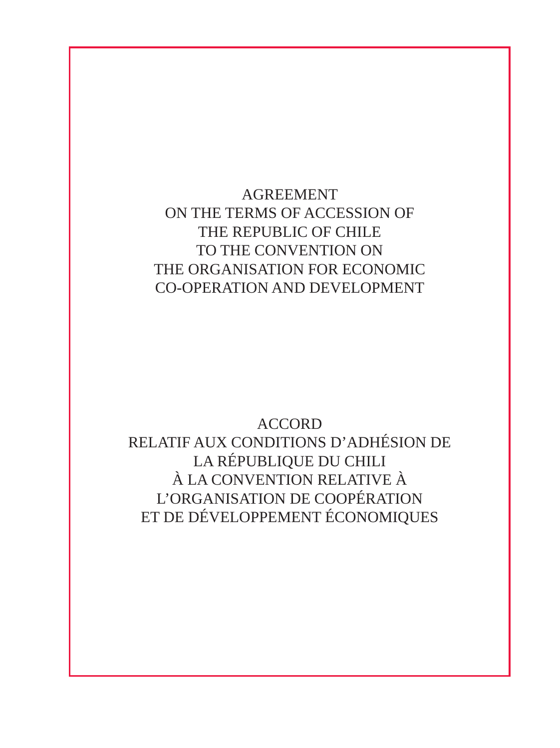AGREEMENT ON THE TERMS OF ACCESSION OF THE REPUBLIC OF CHILE TO THE CONVENTION ON THE ORGANISATION FOR ECONOMIC CO-OPERATION AND DEVELOPMENT

ACCORD RELATIF AUX CONDITIONS D'ADHÉSION DE LA RÉPUBLIQUE DU CHILI À LA CONVENTION RELATIVE À L'ORGANISATION DE COOPÉRATION ET DE DÉVELOPPEMENT ÉCONOMIQUES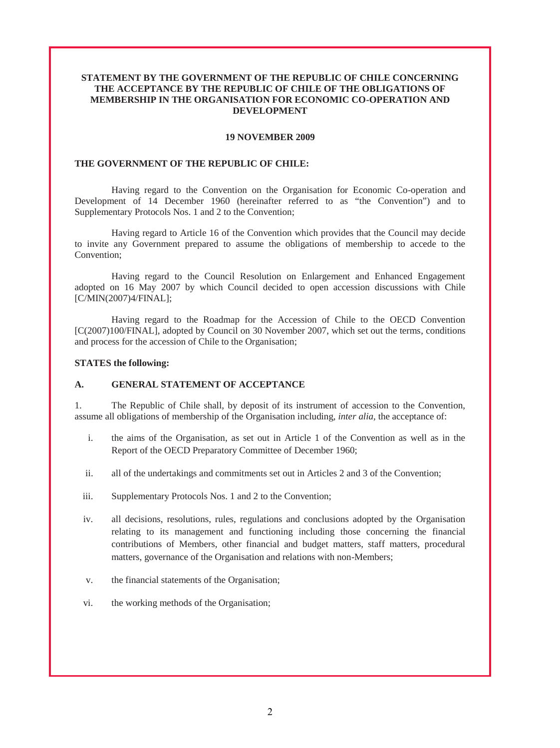#### **STATEMENT BY THE GOVERNMENT OF THE REPUBLIC OF CHILE CONCERNING THE ACCEPTANCE BY THE REPUBLIC OF CHILE OF THE OBLIGATIONS OF MEMBERSHIP IN THE ORGANISATION FOR ECONOMIC CO-OPERATION AND DEVELOPMENT**

#### **19 NOVEMBER 2009**

#### **THE GOVERNMENT OF THE REPUBLIC OF CHILE:**

Having regard to the Convention on the Organisation for Economic Co-operation and Development of 14 December 1960 (hereinafter referred to as "the Convention") and to Supplementary Protocols Nos. 1 and 2 to the Convention;

Having regard to Article 16 of the Convention which provides that the Council may decide to invite any Government prepared to assume the obligations of membership to accede to the Convention;

Having regard to the Council Resolution on Enlargement and Enhanced Engagement adopted on 16 May 2007 by which Council decided to open accession discussions with Chile [C/MIN(2007)4/FINAL];

Having regard to the Roadmap for the Accession of Chile to the OECD Convention [C(2007)100/FINAL], adopted by Council on 30 November 2007, which set out the terms, conditions and process for the accession of Chile to the Organisation;

#### **STATES the following:**

#### **A. GENERAL STATEMENT OF ACCEPTANCE**

1. The Republic of Chile shall, by deposit of its instrument of accession to the Convention, assume all obligations of membership of the Organisation including, *inter alia*, the acceptance of:

- i. the aims of the Organisation, as set out in Article 1 of the Convention as well as in the Report of the OECD Preparatory Committee of December 1960;
- ii. all of the undertakings and commitments set out in Articles 2 and 3 of the Convention;
- iii. Supplementary Protocols Nos. 1 and 2 to the Convention;
- iv. all decisions, resolutions, rules, regulations and conclusions adopted by the Organisation relating to its management and functioning including those concerning the financial contributions of Members, other financial and budget matters, staff matters, procedural matters, governance of the Organisation and relations with non-Members;
- v. the financial statements of the Organisation;
- vi. the working methods of the Organisation;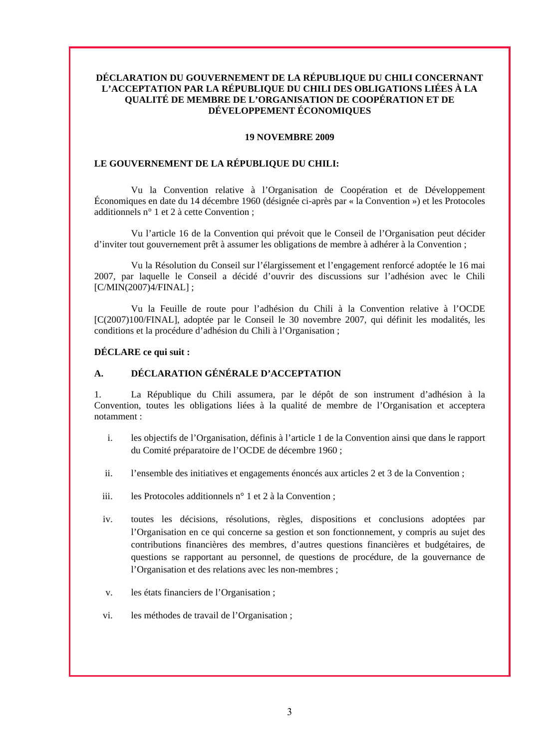# **DÉCLARATION DU GOUVERNEMENT DE LA RÉPUBLIQUE DU CHILI CONCERNANT L'ACCEPTATION PAR LA RÉPUBLIQUE DU CHILI DES OBLIGATIONS LIÉES À LA QUALITÉ DE MEMBRE DE L'ORGANISATION DE COOPÉRATION ET DE DÉVELOPPEMENT ÉCONOMIQUES**

#### **19 NOVEMBRE 2009**

#### **LE GOUVERNEMENT DE LA RÉPUBLIQUE DU CHILI:**

 Vu la Convention relative à l'Organisation de Coopération et de Développement Économiques en date du 14 décembre 1960 (désignée ci-après par « la Convention ») et les Protocoles additionnels n° 1 et 2 à cette Convention ;

 Vu l'article 16 de la Convention qui prévoit que le Conseil de l'Organisation peut décider d'inviter tout gouvernement prêt à assumer les obligations de membre à adhérer à la Convention ;

 Vu la Résolution du Conseil sur l'élargissement et l'engagement renforcé adoptée le 16 mai 2007, par laquelle le Conseil a décidé d'ouvrir des discussions sur l'adhésion avec le Chili [C/MIN(2007)4/FINAL] ;

 Vu la Feuille de route pour l'adhésion du Chili à la Convention relative à l'OCDE [C(2007)100/FINAL], adoptée par le Conseil le 30 novembre 2007, qui définit les modalités, les conditions et la procédure d'adhésion du Chili à l'Organisation ;

#### **DÉCLARE ce qui suit :**

# **A. DÉCLARATION GÉNÉRALE D'ACCEPTATION**

1. La République du Chili assumera, par le dépôt de son instrument d'adhésion à la Convention, toutes les obligations liées à la qualité de membre de l'Organisation et acceptera notamment :

- i. les objectifs de l'Organisation, définis à l'article 1 de la Convention ainsi que dans le rapport du Comité préparatoire de l'OCDE de décembre 1960 ;
- ii. l'ensemble des initiatives et engagements énoncés aux articles 2 et 3 de la Convention ;
- iii. les Protocoles additionnels n° 1 et 2 à la Convention ;
- iv. toutes les décisions, résolutions, règles, dispositions et conclusions adoptées par l'Organisation en ce qui concerne sa gestion et son fonctionnement, y compris au sujet des contributions financières des membres, d'autres questions financières et budgétaires, de questions se rapportant au personnel, de questions de procédure, de la gouvernance de l'Organisation et des relations avec les non-membres ;
- v. les états financiers de l'Organisation ;
- vi. les méthodes de travail de l'Organisation ;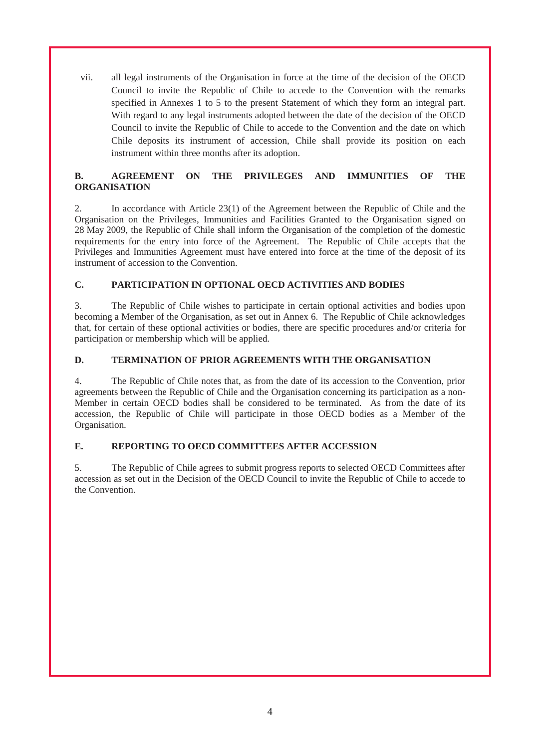vii. all legal instruments of the Organisation in force at the time of the decision of the OECD Council to invite the Republic of Chile to accede to the Convention with the remarks specified in Annexes 1 to 5 to the present Statement of which they form an integral part. With regard to any legal instruments adopted between the date of the decision of the OECD Council to invite the Republic of Chile to accede to the Convention and the date on which Chile deposits its instrument of accession, Chile shall provide its position on each instrument within three months after its adoption.

# **B. AGREEMENT ON THE PRIVILEGES AND IMMUNITIES OF THE ORGANISATION**

2. In accordance with Article 23(1) of the Agreement between the Republic of Chile and the Organisation on the Privileges, Immunities and Facilities Granted to the Organisation signed on 28 May 2009, the Republic of Chile shall inform the Organisation of the completion of the domestic requirements for the entry into force of the Agreement. The Republic of Chile accepts that the Privileges and Immunities Agreement must have entered into force at the time of the deposit of its instrument of accession to the Convention.

# **C. PARTICIPATION IN OPTIONAL OECD ACTIVITIES AND BODIES**

3. The Republic of Chile wishes to participate in certain optional activities and bodies upon becoming a Member of the Organisation, as set out in Annex 6. The Republic of Chile acknowledges that, for certain of these optional activities or bodies, there are specific procedures and/or criteria for participation or membership which will be applied.

# **D. TERMINATION OF PRIOR AGREEMENTS WITH THE ORGANISATION**

4. The Republic of Chile notes that, as from the date of its accession to the Convention, prior agreements between the Republic of Chile and the Organisation concerning its participation as a non-Member in certain OECD bodies shall be considered to be terminated. As from the date of its accession, the Republic of Chile will participate in those OECD bodies as a Member of the Organisation.

# **E. REPORTING TO OECD COMMITTEES AFTER ACCESSION**

5. The Republic of Chile agrees to submit progress reports to selected OECD Committees after accession as set out in the Decision of the OECD Council to invite the Republic of Chile to accede to the Convention.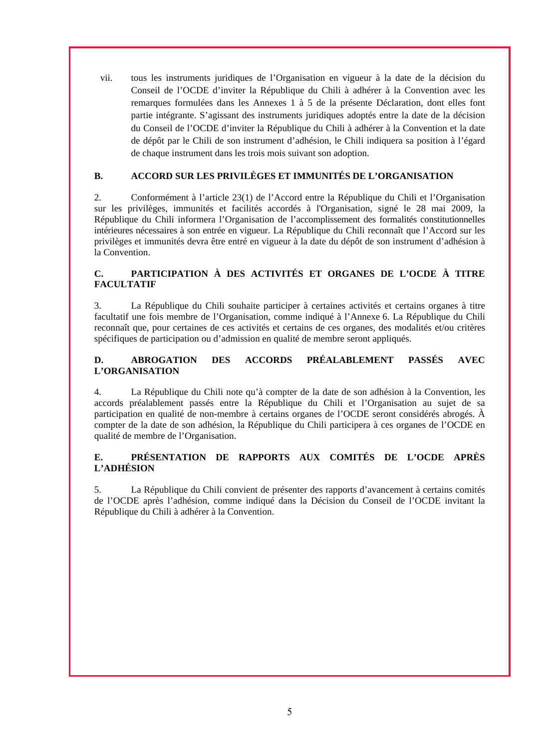vii. tous les instruments juridiques de l'Organisation en vigueur à la date de la décision du Conseil de l'OCDE d'inviter la République du Chili à adhérer à la Convention avec les remarques formulées dans les Annexes 1 à 5 de la présente Déclaration, dont elles font partie intégrante. S'agissant des instruments juridiques adoptés entre la date de la décision du Conseil de l'OCDE d'inviter la République du Chili à adhérer à la Convention et la date de dépôt par le Chili de son instrument d'adhésion, le Chili indiquera sa position à l'égard de chaque instrument dans les trois mois suivant son adoption.

# **B. ACCORD SUR LES PRIVILÈGES ET IMMUNITÉS DE L'ORGANISATION**

2. Conformément à l'article 23(1) de l'Accord entre la République du Chili et l'Organisation sur les privilèges, immunités et facilités accordés à l'Organisation, signé le 28 mai 2009, la République du Chili informera l'Organisation de l'accomplissement des formalités constitutionnelles intérieures nécessaires à son entrée en vigueur. La République du Chili reconnaît que l'Accord sur les privilèges et immunités devra être entré en vigueur à la date du dépôt de son instrument d'adhésion à la Convention.

# **C. PARTICIPATION À DES ACTIVITÉS ET ORGANES DE L'OCDE À TITRE FACULTATIF**

3. La République du Chili souhaite participer à certaines activités et certains organes à titre facultatif une fois membre de l'Organisation, comme indiqué à l'Annexe 6. La République du Chili reconnaît que, pour certaines de ces activités et certains de ces organes, des modalités et/ou critères spécifiques de participation ou d'admission en qualité de membre seront appliqués.

# **D. ABROGATION DES ACCORDS PRÉALABLEMENT PASSÉS AVEC L'ORGANISATION**

4. La République du Chili note qu'à compter de la date de son adhésion à la Convention, les accords préalablement passés entre la République du Chili et l'Organisation au sujet de sa participation en qualité de non-membre à certains organes de l'OCDE seront considérés abrogés. À compter de la date de son adhésion, la République du Chili participera à ces organes de l'OCDE en qualité de membre de l'Organisation.

# **E. PRÉSENTATION DE RAPPORTS AUX COMITÉS DE L'OCDE APRÈS L'ADHÉSION**

5. La République du Chili convient de présenter des rapports d'avancement à certains comités de l'OCDE après l'adhésion, comme indiqué dans la Décision du Conseil de l'OCDE invitant la République du Chili à adhérer à la Convention.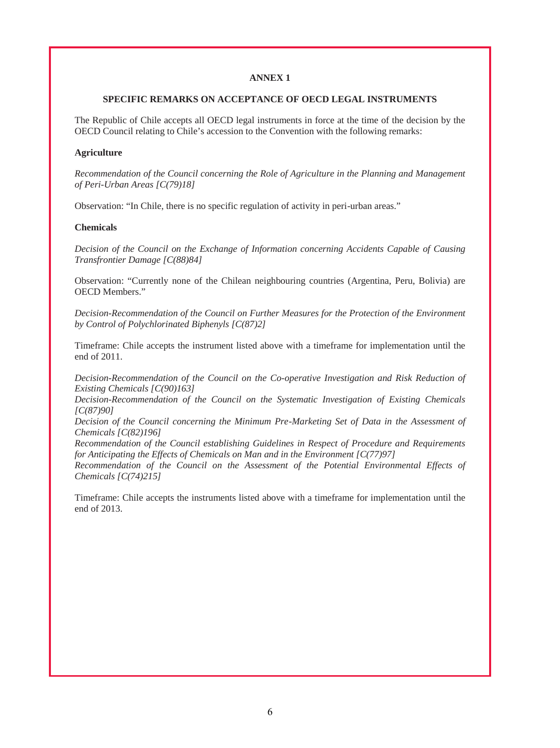#### **ANNEX 1**

#### **SPECIFIC REMARKS ON ACCEPTANCE OF OECD LEGAL INSTRUMENTS**

The Republic of Chile accepts all OECD legal instruments in force at the time of the decision by the OECD Council relating to Chile's accession to the Convention with the following remarks:

#### **Agriculture**

*Recommendation of the Council concerning the Role of Agriculture in the Planning and Management of Peri-Urban Areas [C(79)18]* 

Observation: "In Chile, there is no specific regulation of activity in peri-urban areas."

# **Chemicals**

*Decision of the Council on the Exchange of Information concerning Accidents Capable of Causing Transfrontier Damage [C(88)84]* 

Observation: "Currently none of the Chilean neighbouring countries (Argentina, Peru, Bolivia) are OECD Members."

*Decision-Recommendation of the Council on Further Measures for the Protection of the Environment by Control of Polychlorinated Biphenyls [C(87)2]* 

Timeframe: Chile accepts the instrument listed above with a timeframe for implementation until the end of 2011.

*Decision-Recommendation of the Council on the Co-operative Investigation and Risk Reduction of Existing Chemicals [C(90)163]* 

*Decision-Recommendation of the Council on the Systematic Investigation of Existing Chemicals [C(87)90]* 

*Decision of the Council concerning the Minimum Pre-Marketing Set of Data in the Assessment of Chemicals [C(82)196]* 

*Recommendation of the Council establishing Guidelines in Respect of Procedure and Requirements for Anticipating the Effects of Chemicals on Man and in the Environment [C(77)97]* 

*Recommendation of the Council on the Assessment of the Potential Environmental Effects of Chemicals [C(74)215]* 

Timeframe: Chile accepts the instruments listed above with a timeframe for implementation until the end of 2013.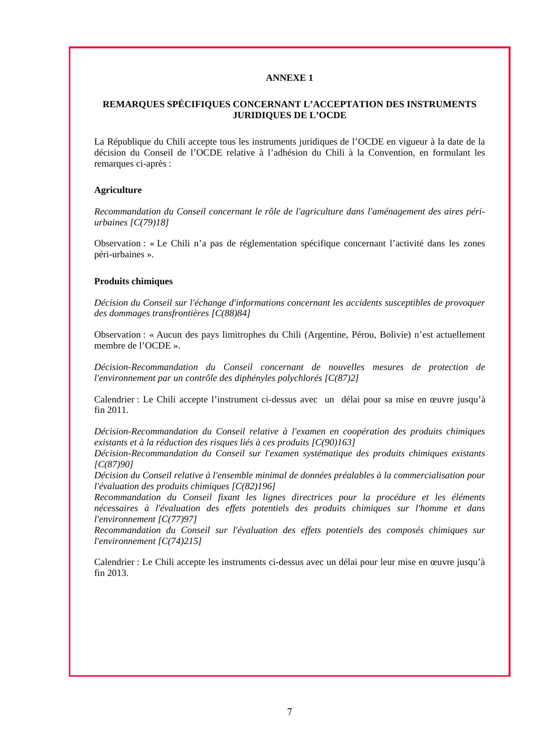### **ANNEXE 1**

# **REMARQUES SPÉCIFIQUES CONCERNANT L'ACCEPTATION DES INSTRUMENTS JURIDIQUES DE L'OCDE**

La République du Chili accepte tous les instruments juridiques de l'OCDE en vigueur à la date de la décision du Conseil de l'OCDE relative à l'adhésion du Chili à la Convention, en formulant les remarques ci-après :

### **Agriculture**

*Recommandation du Conseil concernant le rôle de l'agriculture dans l'aménagement des aires périurbaines [C(79)18]* 

Observation : « Le Chili n'a pas de réglementation spécifique concernant l'activité dans les zones péri-urbaines ».

#### **Produits chimiques**

*Décision du Conseil sur l'échange d'informations concernant les accidents susceptibles de provoquer des dommages transfrontières [C(88)84]* 

Observation : « Aucun des pays limitrophes du Chili (Argentine, Pérou, Bolivie) n'est actuellement membre de l'OCDE ».

*Décision-Recommandation du Conseil concernant de nouvelles mesures de protection de l'environnement par un contrôle des diphényles polychlorés [C(87)2]* 

Calendrier : Le Chili accepte l'instrument ci-dessus avec un délai pour sa mise en œuvre jusqu'à fin 2011.

*Décision-Recommandation du Conseil relative à l'examen en coopération des produits chimiques existants et à la réduction des risques liés à ces produits [C(90)163]* 

*Décision-Recommandation du Conseil sur l'examen systématique des produits chimiques existants [C(87)90]* 

*Décision du Conseil relative à l'ensemble minimal de données préalables à la commercialisation pour l'évaluation des produits chimiques [C(82)196]* 

*Recommandation du Conseil fixant les lignes directrices pour la procédure et les éléments nécessaires à l'évaluation des effets potentiels des produits chimiques sur l'homme et dans l'environnement [C(77)97]* 

*Recommandation du Conseil sur l'évaluation des effets potentiels des composés chimiques sur l'environnement [C(74)215]* 

Calendrier : Le Chili accepte les instruments ci-dessus avec un délai pour leur mise en œuvre jusqu'à fin 2013.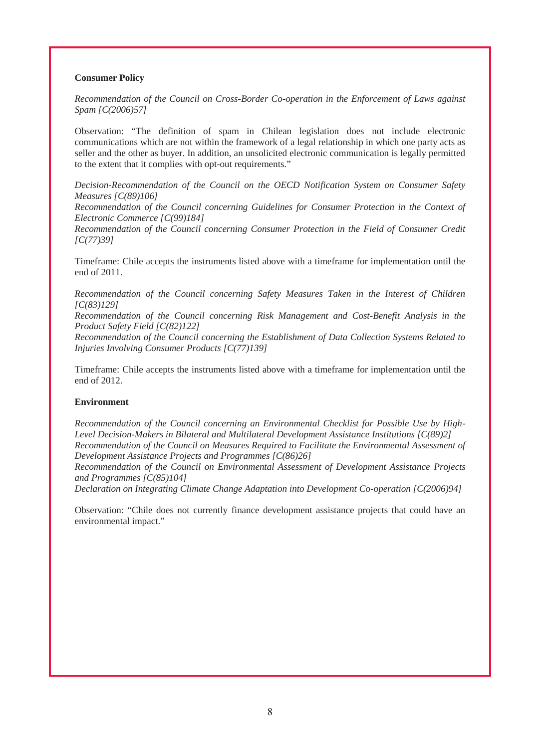#### **Consumer Policy**

*Recommendation of the Council on Cross-Border Co-operation in the Enforcement of Laws against Spam [C(2006)57]* 

Observation: "The definition of spam in Chilean legislation does not include electronic communications which are not within the framework of a legal relationship in which one party acts as seller and the other as buyer. In addition, an unsolicited electronic communication is legally permitted to the extent that it complies with opt-out requirements."

*Decision-Recommendation of the Council on the OECD Notification System on Consumer Safety Measures [C(89)106]* 

*Recommendation of the Council concerning Guidelines for Consumer Protection in the Context of Electronic Commerce [C(99)184]* 

*Recommendation of the Council concerning Consumer Protection in the Field of Consumer Credit [C(77)39]* 

Timeframe: Chile accepts the instruments listed above with a timeframe for implementation until the end of 2011.

*Recommendation of the Council concerning Safety Measures Taken in the Interest of Children [C(83)129]* 

*Recommendation of the Council concerning Risk Management and Cost-Benefit Analysis in the Product Safety Field [C(82)122]* 

*Recommendation of the Council concerning the Establishment of Data Collection Systems Related to Injuries Involving Consumer Products [C(77)139]* 

Timeframe: Chile accepts the instruments listed above with a timeframe for implementation until the end of 2012.

#### **Environment**

*Recommendation of the Council concerning an Environmental Checklist for Possible Use by High-Level Decision-Makers in Bilateral and Multilateral Development Assistance Institutions [C(89)2] Recommendation of the Council on Measures Required to Facilitate the Environmental Assessment of Development Assistance Projects and Programmes [C(86)26]* 

*Recommendation of the Council on Environmental Assessment of Development Assistance Projects and Programmes [C(85)104]* 

*Declaration on Integrating Climate Change Adaptation into Development Co-operation [C(2006)94]* 

Observation: "Chile does not currently finance development assistance projects that could have an environmental impact."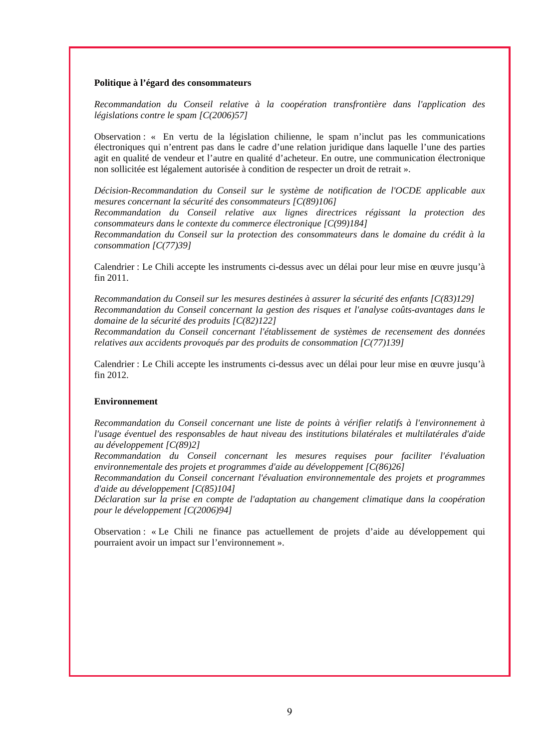#### **Politique à l'égard des consommateurs**

*Recommandation du Conseil relative à la coopération transfrontière dans l'application des législations contre le spam [C(2006)57]* 

Observation : « En vertu de la législation chilienne, le spam n'inclut pas les communications électroniques qui n'entrent pas dans le cadre d'une relation juridique dans laquelle l'une des parties agit en qualité de vendeur et l'autre en qualité d'acheteur. En outre, une communication électronique non sollicitée est légalement autorisée à condition de respecter un droit de retrait ».

*Décision-Recommandation du Conseil sur le système de notification de l'OCDE applicable aux mesures concernant la sécurité des consommateurs [C(89)106]* 

*Recommandation du Conseil relative aux lignes directrices régissant la protection des consommateurs dans le contexte du commerce électronique [C(99)184]* 

*Recommandation du Conseil sur la protection des consommateurs dans le domaine du crédit à la consommation [C(77)39]* 

Calendrier : Le Chili accepte les instruments ci-dessus avec un délai pour leur mise en œuvre jusqu'à fin 2011.

*Recommandation du Conseil sur les mesures destinées à assurer la sécurité des enfants [C(83)129] Recommandation du Conseil concernant la gestion des risques et l'analyse coûts-avantages dans le domaine de la sécurité des produits [C(82)122]* 

*Recommandation du Conseil concernant l'établissement de systèmes de recensement des données relatives aux accidents provoqués par des produits de consommation [C(77)139]* 

Calendrier : Le Chili accepte les instruments ci-dessus avec un délai pour leur mise en œuvre jusqu'à fin 2012.

#### **Environnement**

*Recommandation du Conseil concernant une liste de points à vérifier relatifs à l'environnement à l'usage éventuel des responsables de haut niveau des institutions bilatérales et multilatérales d'aide au développement [C(89)2]* 

*Recommandation du Conseil concernant les mesures requises pour faciliter l'évaluation environnementale des projets et programmes d'aide au développement [C(86)26]* 

*Recommandation du Conseil concernant l'évaluation environnementale des projets et programmes d'aide au développement [C(85)104]* 

*Déclaration sur la prise en compte de l'adaptation au changement climatique dans la coopération pour le développement [C(2006)94]* 

Observation : « Le Chili ne finance pas actuellement de projets d'aide au développement qui pourraient avoir un impact sur l'environnement ».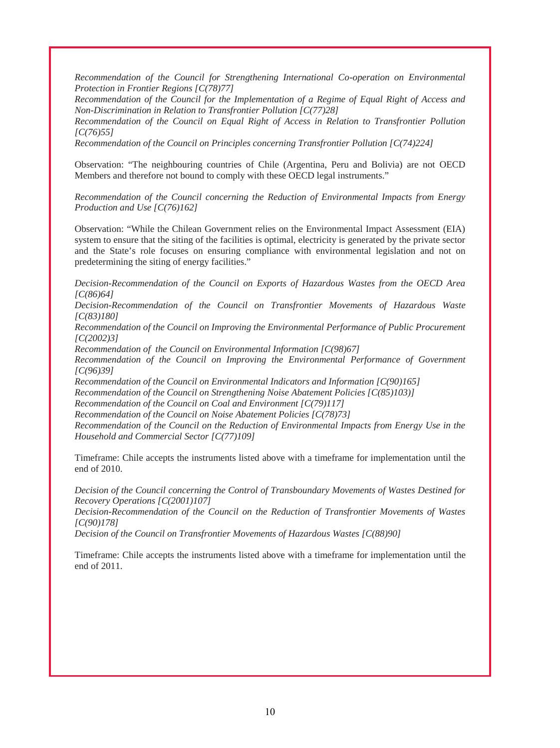*Recommendation of the Council for Strengthening International Co-operation on Environmental Protection in Frontier Regions [C(78)77]* 

*Recommendation of the Council for the Implementation of a Regime of Equal Right of Access and Non-Discrimination in Relation to Transfrontier Pollution [C(77)28]* 

*Recommendation of the Council on Equal Right of Access in Relation to Transfrontier Pollution [C(76)55]* 

*Recommendation of the Council on Principles concerning Transfrontier Pollution [C(74)224]* 

Observation: "The neighbouring countries of Chile (Argentina, Peru and Bolivia) are not OECD Members and therefore not bound to comply with these OECD legal instruments."

*Recommendation of the Council concerning the Reduction of Environmental Impacts from Energy Production and Use [C(76)162]* 

Observation: "While the Chilean Government relies on the Environmental Impact Assessment (EIA) system to ensure that the siting of the facilities is optimal, electricity is generated by the private sector and the State's role focuses on ensuring compliance with environmental legislation and not on predetermining the siting of energy facilities."

*Decision-Recommendation of the Council on Exports of Hazardous Wastes from the OECD Area [C(86)64]* 

*Decision-Recommendation of the Council on Transfrontier Movements of Hazardous Waste [C(83)180]* 

*Recommendation of the Council on Improving the Environmental Performance of Public Procurement [C(2002)3]* 

*Recommendation of the Council on Environmental Information [C(98)67]* 

*Recommendation of the Council on Improving the Environmental Performance of Government [C(96)39]* 

*Recommendation of the Council on Environmental Indicators and Information [C(90)165] Recommendation of the Council on Strengthening Noise Abatement Policies [C(85)103)] Recommendation of the Council on Coal and Environment [C(79)117]* 

*Recommendation of the Council on Noise Abatement Policies [C(78)73]* 

*Recommendation of the Council on the Reduction of Environmental Impacts from Energy Use in the Household and Commercial Sector [C(77)109]* 

Timeframe: Chile accepts the instruments listed above with a timeframe for implementation until the end of 2010.

*Decision of the Council concerning the Control of Transboundary Movements of Wastes Destined for Recovery Operations [C(2001)107]* 

*Decision-Recommendation of the Council on the Reduction of Transfrontier Movements of Wastes [C(90)178]* 

*Decision of the Council on Transfrontier Movements of Hazardous Wastes [C(88)90]* 

Timeframe: Chile accepts the instruments listed above with a timeframe for implementation until the end of 2011.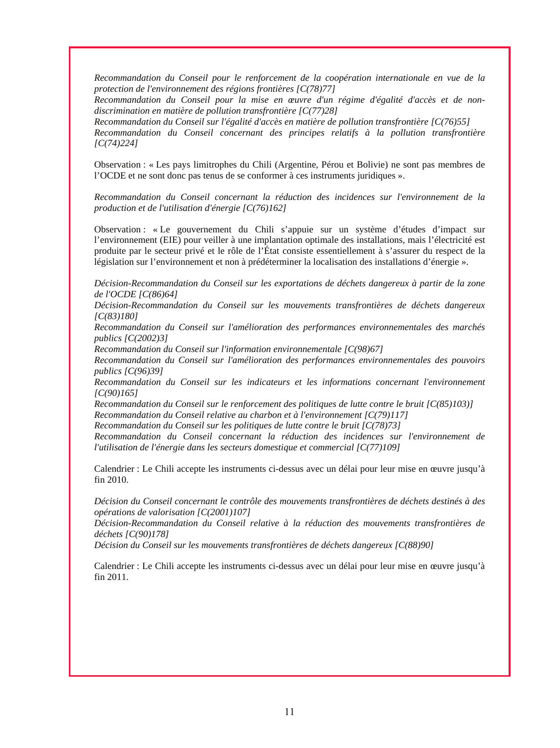*Recommandation du Conseil pour le renforcement de la coopération internationale en vue de la protection de l'environnement des régions frontières [C(78)77]* 

*Recommandation du Conseil pour la mise en œuvre d'un régime d'égalité d'accès et de nondiscrimination en matière de pollution transfrontière [C(77)28]* 

*Recommandation du Conseil sur l'égalité d'accès en matière de pollution transfrontière [C(76)55] Recommandation du Conseil concernant des principes relatifs à la pollution transfrontière [C(74)224]* 

Observation : « Les pays limitrophes du Chili (Argentine, Pérou et Bolivie) ne sont pas membres de l'OCDE et ne sont donc pas tenus de se conformer à ces instruments juridiques ».

*Recommandation du Conseil concernant la réduction des incidences sur l'environnement de la production et de l'utilisation d'énergie [C(76)162]* 

Observation : « Le gouvernement du Chili s'appuie sur un système d'études d'impact sur l'environnement (EIE) pour veiller à une implantation optimale des installations, mais l'électricité est produite par le secteur privé et le rôle de l'État consiste essentiellement à s'assurer du respect de la législation sur l'environnement et non à prédéterminer la localisation des installations d'énergie ».

*Décision-Recommandation du Conseil sur les exportations de déchets dangereux à partir de la zone de l'OCDE [C(86)64]* 

*Décision-Recommandation du Conseil sur les mouvements transfrontières de déchets dangereux [C(83)180]* 

*Recommandation du Conseil sur l'amélioration des performances environnementales des marchés publics [C(2002)3]* 

*Recommandation du Conseil sur l'information environnementale [C(98)67]* 

*Recommandation du Conseil sur l'amélioration des performances environnementales des pouvoirs publics [C(96)39]* 

*Recommandation du Conseil sur les indicateurs et les informations concernant l'environnement [C(90)165]* 

*Recommandation du Conseil sur le renforcement des politiques de lutte contre le bruit [C(85)103)] Recommandation du Conseil relative au charbon et à l'environnement [C(79)117]* 

*Recommandation du Conseil sur les politiques de lutte contre le bruit [C(78)73]* 

*Recommandation du Conseil concernant la réduction des incidences sur l'environnement de l'utilisation de l'énergie dans les secteurs domestique et commercial [C(77)109]* 

Calendrier : Le Chili accepte les instruments ci-dessus avec un délai pour leur mise en œuvre jusqu'à fin 2010.

*Décision du Conseil concernant le contrôle des mouvements transfrontières de déchets destinés à des opérations de valorisation [C(2001)107]* 

*Décision-Recommandation du Conseil relative à la réduction des mouvements transfrontières de déchets [C(90)178]* 

*Décision du Conseil sur les mouvements transfrontières de déchets dangereux [C(88)90]* 

Calendrier : Le Chili accepte les instruments ci-dessus avec un délai pour leur mise en œuvre jusqu'à fin 2011.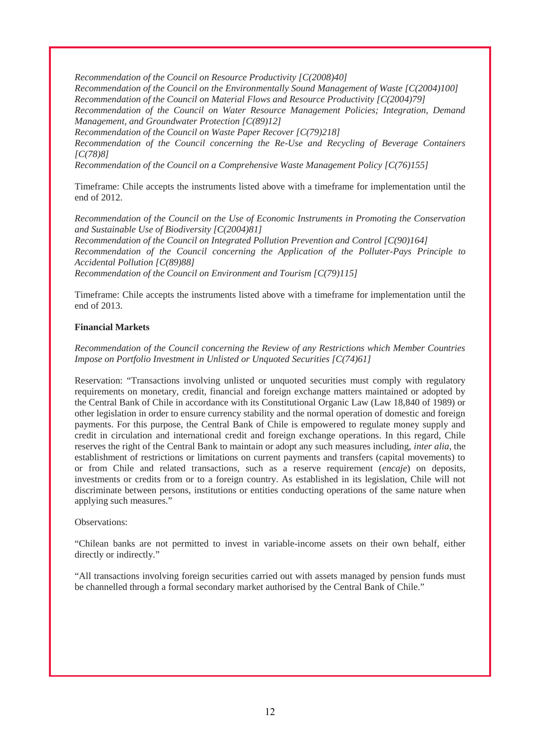*Recommendation of the Council on Resource Productivity [C(2008)40]* 

*Recommendation of the Council on the Environmentally Sound Management of Waste [C(2004)100] Recommendation of the Council on Material Flows and Resource Productivity [C(2004)79]* 

*Recommendation of the Council on Water Resource Management Policies; Integration, Demand Management, and Groundwater Protection [C(89)12]* 

*Recommendation of the Council on Waste Paper Recover [C(79)218]* 

*Recommendation of the Council concerning the Re-Use and Recycling of Beverage Containers [C(78)8]* 

*Recommendation of the Council on a Comprehensive Waste Management Policy [C(76)155]* 

Timeframe: Chile accepts the instruments listed above with a timeframe for implementation until the end of 2012.

*Recommendation of the Council on the Use of Economic Instruments in Promoting the Conservation and Sustainable Use of Biodiversity [C(2004)81] Recommendation of the Council on Integrated Pollution Prevention and Control [C(90)164]* 

*Recommendation of the Council concerning the Application of the Polluter-Pays Principle to Accidental Pollution [C(89)88]* 

*Recommendation of the Council on Environment and Tourism [C(79)115]* 

Timeframe: Chile accepts the instruments listed above with a timeframe for implementation until the end of 2013.

### **Financial Markets**

*Recommendation of the Council concerning the Review of any Restrictions which Member Countries Impose on Portfolio Investment in Unlisted or Unquoted Securities [C(74)61]* 

Reservation: "Transactions involving unlisted or unquoted securities must comply with regulatory requirements on monetary, credit, financial and foreign exchange matters maintained or adopted by the Central Bank of Chile in accordance with its Constitutional Organic Law (Law 18,840 of 1989) or other legislation in order to ensure currency stability and the normal operation of domestic and foreign payments. For this purpose, the Central Bank of Chile is empowered to regulate money supply and credit in circulation and international credit and foreign exchange operations. In this regard, Chile reserves the right of the Central Bank to maintain or adopt any such measures including, *inter alia*, the establishment of restrictions or limitations on current payments and transfers (capital movements) to or from Chile and related transactions, such as a reserve requirement (*encaje*) on deposits, investments or credits from or to a foreign country. As established in its legislation, Chile will not discriminate between persons, institutions or entities conducting operations of the same nature when applying such measures."

### Observations:

"Chilean banks are not permitted to invest in variable-income assets on their own behalf, either directly or indirectly."

"All transactions involving foreign securities carried out with assets managed by pension funds must be channelled through a formal secondary market authorised by the Central Bank of Chile."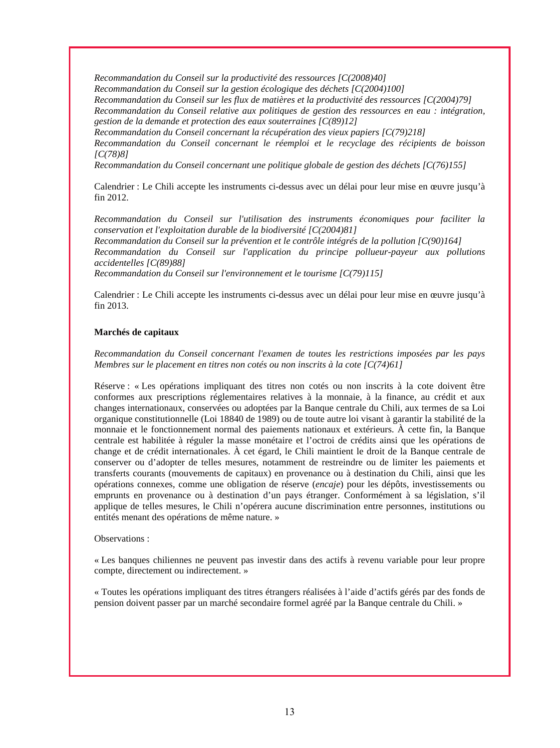*Recommandation du Conseil sur la productivité des ressources [C(2008)40] Recommandation du Conseil sur la gestion écologique des déchets [C(2004)100] Recommandation du Conseil sur les flux de matières et la productivité des ressources [C(2004)79] Recommandation du Conseil relative aux politiques de gestion des ressources en eau : intégration, gestion de la demande et protection des eaux souterraines [C(89)12] Recommandation du Conseil concernant la récupération des vieux papiers [C(79)218]* 

*Recommandation du Conseil concernant le réemploi et le recyclage des récipients de boisson [C(78)8]* 

*Recommandation du Conseil concernant une politique globale de gestion des déchets [C(76)155]* 

Calendrier : Le Chili accepte les instruments ci-dessus avec un délai pour leur mise en œuvre jusqu'à fin 2012.

*Recommandation du Conseil sur l'utilisation des instruments économiques pour faciliter la conservation et l'exploitation durable de la biodiversité [C(2004)81]* 

*Recommandation du Conseil sur la prévention et le contrôle intégrés de la pollution [C(90)164] Recommandation du Conseil sur l'application du principe pollueur-payeur aux pollutions accidentelles [C(89)88]* 

*Recommandation du Conseil sur l'environnement et le tourisme [C(79)115]* 

Calendrier : Le Chili accepte les instruments ci-dessus avec un délai pour leur mise en œuvre jusqu'à fin 2013.

### **Marchés de capitaux**

*Recommandation du Conseil concernant l'examen de toutes les restrictions imposées par les pays Membres sur le placement en titres non cotés ou non inscrits à la cote [C(74)61]* 

Réserve : « Les opérations impliquant des titres non cotés ou non inscrits à la cote doivent être conformes aux prescriptions réglementaires relatives à la monnaie, à la finance, au crédit et aux changes internationaux, conservées ou adoptées par la Banque centrale du Chili, aux termes de sa Loi organique constitutionnelle (Loi 18840 de 1989) ou de toute autre loi visant à garantir la stabilité de la monnaie et le fonctionnement normal des paiements nationaux et extérieurs. À cette fin, la Banque centrale est habilitée à réguler la masse monétaire et l'octroi de crédits ainsi que les opérations de change et de crédit internationales. À cet égard, le Chili maintient le droit de la Banque centrale de conserver ou d'adopter de telles mesures, notamment de restreindre ou de limiter les paiements et transferts courants (mouvements de capitaux) en provenance ou à destination du Chili, ainsi que les opérations connexes, comme une obligation de réserve (*encaje*) pour les dépôts, investissements ou emprunts en provenance ou à destination d'un pays étranger. Conformément à sa législation, s'il applique de telles mesures, le Chili n'opérera aucune discrimination entre personnes, institutions ou entités menant des opérations de même nature. »

### Observations :

« Les banques chiliennes ne peuvent pas investir dans des actifs à revenu variable pour leur propre compte, directement ou indirectement. »

« Toutes les opérations impliquant des titres étrangers réalisées à l'aide d'actifs gérés par des fonds de pension doivent passer par un marché secondaire formel agréé par la Banque centrale du Chili. »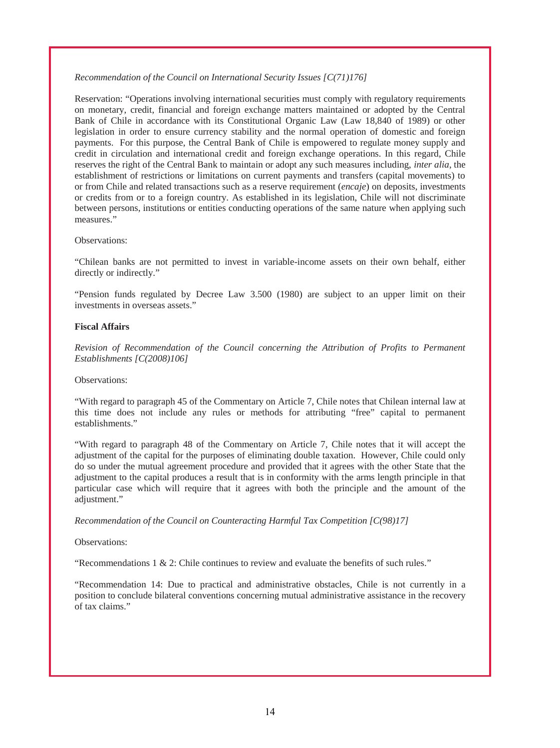#### *Recommendation of the Council on International Security Issues [C(71)176]*

Reservation: "Operations involving international securities must comply with regulatory requirements on monetary, credit, financial and foreign exchange matters maintained or adopted by the Central Bank of Chile in accordance with its Constitutional Organic Law (Law 18,840 of 1989) or other legislation in order to ensure currency stability and the normal operation of domestic and foreign payments. For this purpose, the Central Bank of Chile is empowered to regulate money supply and credit in circulation and international credit and foreign exchange operations. In this regard, Chile reserves the right of the Central Bank to maintain or adopt any such measures including, *inter alia*, the establishment of restrictions or limitations on current payments and transfers (capital movements) to or from Chile and related transactions such as a reserve requirement (*encaje*) on deposits, investments or credits from or to a foreign country. As established in its legislation, Chile will not discriminate between persons, institutions or entities conducting operations of the same nature when applying such measures."

#### Observations:

"Chilean banks are not permitted to invest in variable-income assets on their own behalf, either directly or indirectly."

"Pension funds regulated by Decree Law 3.500 (1980) are subject to an upper limit on their investments in overseas assets."

#### **Fiscal Affairs**

*Revision of Recommendation of the Council concerning the Attribution of Profits to Permanent Establishments [C(2008)106]* 

#### Observations:

"With regard to paragraph 45 of the Commentary on Article 7, Chile notes that Chilean internal law at this time does not include any rules or methods for attributing "free" capital to permanent establishments."

"With regard to paragraph 48 of the Commentary on Article 7, Chile notes that it will accept the adjustment of the capital for the purposes of eliminating double taxation. However, Chile could only do so under the mutual agreement procedure and provided that it agrees with the other State that the adjustment to the capital produces a result that is in conformity with the arms length principle in that particular case which will require that it agrees with both the principle and the amount of the adjustment."

*Recommendation of the Council on Counteracting Harmful Tax Competition [C(98)17]* 

#### Observations:

"Recommendations 1 & 2: Chile continues to review and evaluate the benefits of such rules."

"Recommendation 14: Due to practical and administrative obstacles, Chile is not currently in a position to conclude bilateral conventions concerning mutual administrative assistance in the recovery of tax claims."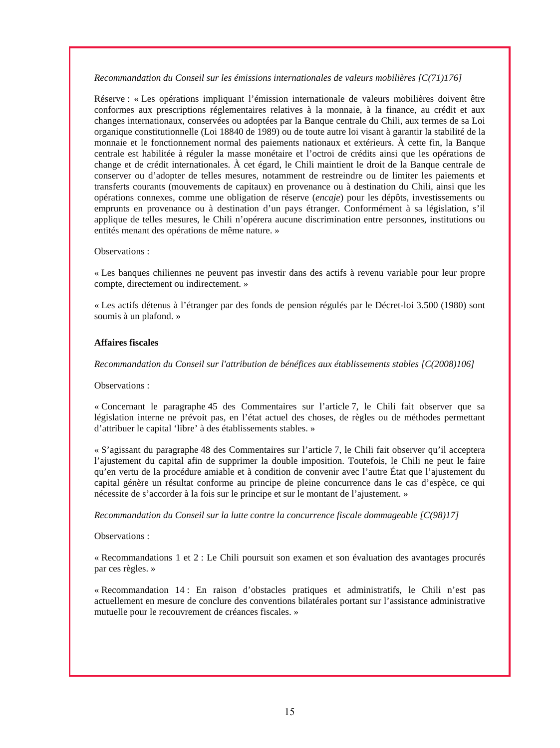#### *Recommandation du Conseil sur les émissions internationales de valeurs mobilières [C(71)176]*

Réserve : « Les opérations impliquant l'émission internationale de valeurs mobilières doivent être conformes aux prescriptions réglementaires relatives à la monnaie, à la finance, au crédit et aux changes internationaux, conservées ou adoptées par la Banque centrale du Chili, aux termes de sa Loi organique constitutionnelle (Loi 18840 de 1989) ou de toute autre loi visant à garantir la stabilité de la monnaie et le fonctionnement normal des paiements nationaux et extérieurs. À cette fin, la Banque centrale est habilitée à réguler la masse monétaire et l'octroi de crédits ainsi que les opérations de change et de crédit internationales. À cet égard, le Chili maintient le droit de la Banque centrale de conserver ou d'adopter de telles mesures, notamment de restreindre ou de limiter les paiements et transferts courants (mouvements de capitaux) en provenance ou à destination du Chili, ainsi que les opérations connexes, comme une obligation de réserve (*encaje*) pour les dépôts, investissements ou emprunts en provenance ou à destination d'un pays étranger. Conformément à sa législation, s'il applique de telles mesures, le Chili n'opérera aucune discrimination entre personnes, institutions ou entités menant des opérations de même nature. »

#### Observations :

« Les banques chiliennes ne peuvent pas investir dans des actifs à revenu variable pour leur propre compte, directement ou indirectement. »

« Les actifs détenus à l'étranger par des fonds de pension régulés par le Décret-loi 3.500 (1980) sont soumis à un plafond. »

#### **Affaires fiscales**

*Recommandation du Conseil sur l'attribution de bénéfices aux établissements stables [C(2008)106]* 

Observations :

« Concernant le paragraphe 45 des Commentaires sur l'article 7, le Chili fait observer que sa législation interne ne prévoit pas, en l'état actuel des choses, de règles ou de méthodes permettant d'attribuer le capital 'libre' à des établissements stables. »

« S'agissant du paragraphe 48 des Commentaires sur l'article 7, le Chili fait observer qu'il acceptera l'ajustement du capital afin de supprimer la double imposition. Toutefois, le Chili ne peut le faire qu'en vertu de la procédure amiable et à condition de convenir avec l'autre État que l'ajustement du capital génère un résultat conforme au principe de pleine concurrence dans le cas d'espèce, ce qui nécessite de s'accorder à la fois sur le principe et sur le montant de l'ajustement. »

*Recommandation du Conseil sur la lutte contre la concurrence fiscale dommageable [C(98)17]* 

Observations :

« Recommandations 1 et 2 : Le Chili poursuit son examen et son évaluation des avantages procurés par ces règles. »

« Recommandation 14 : En raison d'obstacles pratiques et administratifs, le Chili n'est pas actuellement en mesure de conclure des conventions bilatérales portant sur l'assistance administrative mutuelle pour le recouvrement de créances fiscales. »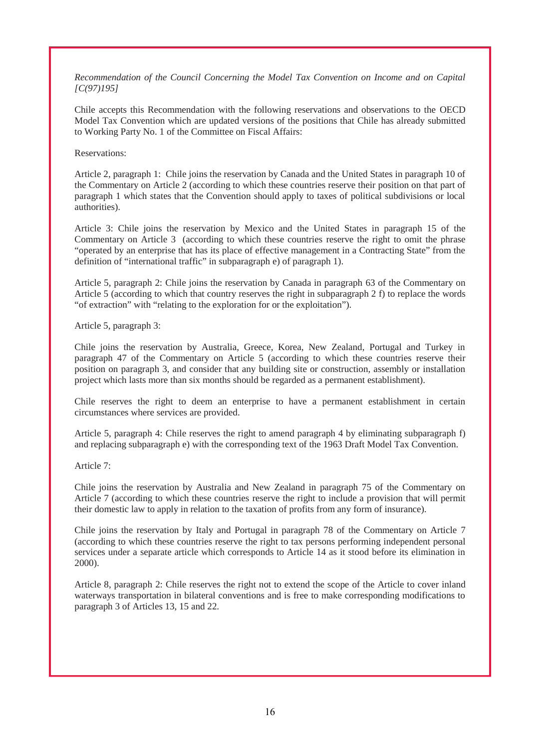*Recommendation of the Council Concerning the Model Tax Convention on Income and on Capital [C(97)195]* 

Chile accepts this Recommendation with the following reservations and observations to the OECD Model Tax Convention which are updated versions of the positions that Chile has already submitted to Working Party No. 1 of the Committee on Fiscal Affairs:

### Reservations:

Article 2, paragraph 1: Chile joins the reservation by Canada and the United States in paragraph 10 of the Commentary on Article 2 (according to which these countries reserve their position on that part of paragraph 1 which states that the Convention should apply to taxes of political subdivisions or local authorities).

Article 3: Chile joins the reservation by Mexico and the United States in paragraph 15 of the Commentary on Article 3 (according to which these countries reserve the right to omit the phrase "operated by an enterprise that has its place of effective management in a Contracting State" from the definition of "international traffic" in subparagraph e) of paragraph 1).

Article 5, paragraph 2: Chile joins the reservation by Canada in paragraph 63 of the Commentary on Article 5 (according to which that country reserves the right in subparagraph 2 f) to replace the words "of extraction" with "relating to the exploration for or the exploitation").

Article 5, paragraph 3:

Chile joins the reservation by Australia, Greece, Korea, New Zealand, Portugal and Turkey in paragraph 47 of the Commentary on Article 5 (according to which these countries reserve their position on paragraph 3, and consider that any building site or construction, assembly or installation project which lasts more than six months should be regarded as a permanent establishment).

Chile reserves the right to deem an enterprise to have a permanent establishment in certain circumstances where services are provided.

Article 5, paragraph 4: Chile reserves the right to amend paragraph 4 by eliminating subparagraph f) and replacing subparagraph e) with the corresponding text of the 1963 Draft Model Tax Convention.

Article 7:

Chile joins the reservation by Australia and New Zealand in paragraph 75 of the Commentary on Article 7 (according to which these countries reserve the right to include a provision that will permit their domestic law to apply in relation to the taxation of profits from any form of insurance).

Chile joins the reservation by Italy and Portugal in paragraph 78 of the Commentary on Article 7 (according to which these countries reserve the right to tax persons performing independent personal services under a separate article which corresponds to Article 14 as it stood before its elimination in 2000).

Article 8, paragraph 2: Chile reserves the right not to extend the scope of the Article to cover inland waterways transportation in bilateral conventions and is free to make corresponding modifications to paragraph 3 of Articles 13, 15 and 22.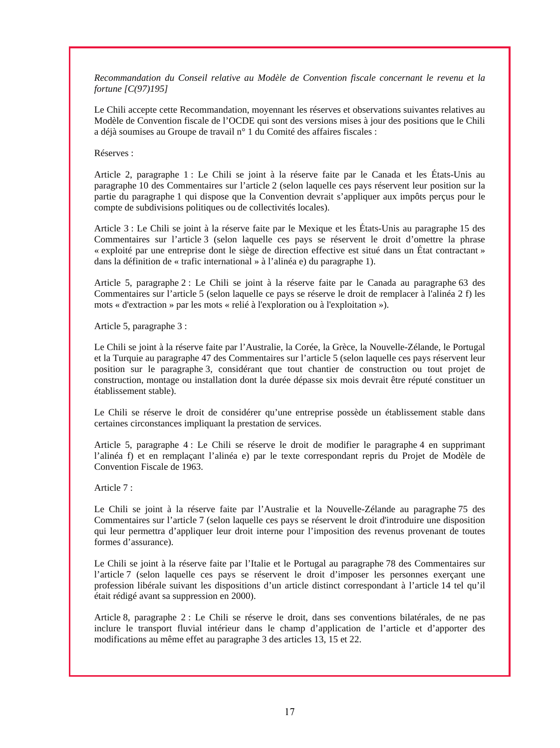*Recommandation du Conseil relative au Modèle de Convention fiscale concernant le revenu et la fortune [C(97)195]* 

Le Chili accepte cette Recommandation, moyennant les réserves et observations suivantes relatives au Modèle de Convention fiscale de l'OCDE qui sont des versions mises à jour des positions que le Chili a déjà soumises au Groupe de travail n° 1 du Comité des affaires fiscales :

Réserves :

Article 2, paragraphe 1 : Le Chili se joint à la réserve faite par le Canada et les États-Unis au paragraphe 10 des Commentaires sur l'article 2 (selon laquelle ces pays réservent leur position sur la partie du paragraphe 1 qui dispose que la Convention devrait s'appliquer aux impôts perçus pour le compte de subdivisions politiques ou de collectivités locales).

Article 3 : Le Chili se joint à la réserve faite par le Mexique et les États-Unis au paragraphe 15 des Commentaires sur l'article 3 (selon laquelle ces pays se réservent le droit d'omettre la phrase « exploité par une entreprise dont le siège de direction effective est situé dans un État contractant » dans la définition de « trafic international » à l'alinéa e) du paragraphe 1).

Article 5, paragraphe 2 : Le Chili se joint à la réserve faite par le Canada au paragraphe 63 des Commentaires sur l'article 5 (selon laquelle ce pays se réserve le droit de remplacer à l'alinéa 2 f) les mots « d'extraction » par les mots « relié à l'exploration ou à l'exploitation »).

Article 5, paragraphe 3 :

Le Chili se joint à la réserve faite par l'Australie, la Corée, la Grèce, la Nouvelle-Zélande, le Portugal et la Turquie au paragraphe 47 des Commentaires sur l'article 5 (selon laquelle ces pays réservent leur position sur le paragraphe 3, considérant que tout chantier de construction ou tout projet de construction, montage ou installation dont la durée dépasse six mois devrait être réputé constituer un établissement stable).

Le Chili se réserve le droit de considérer qu'une entreprise possède un établissement stable dans certaines circonstances impliquant la prestation de services.

Article 5, paragraphe 4 : Le Chili se réserve le droit de modifier le paragraphe 4 en supprimant l'alinéa f) et en remplaçant l'alinéa e) par le texte correspondant repris du Projet de Modèle de Convention Fiscale de 1963.

Article 7 :

Le Chili se joint à la réserve faite par l'Australie et la Nouvelle-Zélande au paragraphe 75 des Commentaires sur l'article 7 (selon laquelle ces pays se réservent le droit d'introduire une disposition qui leur permettra d'appliquer leur droit interne pour l'imposition des revenus provenant de toutes formes d'assurance).

Le Chili se joint à la réserve faite par l'Italie et le Portugal au paragraphe 78 des Commentaires sur l'article 7 (selon laquelle ces pays se réservent le droit d'imposer les personnes exerçant une profession libérale suivant les dispositions d'un article distinct correspondant à l'article 14 tel qu'il était rédigé avant sa suppression en 2000).

Article 8, paragraphe 2 : Le Chili se réserve le droit, dans ses conventions bilatérales, de ne pas inclure le transport fluvial intérieur dans le champ d'application de l'article et d'apporter des modifications au même effet au paragraphe 3 des articles 13, 15 et 22.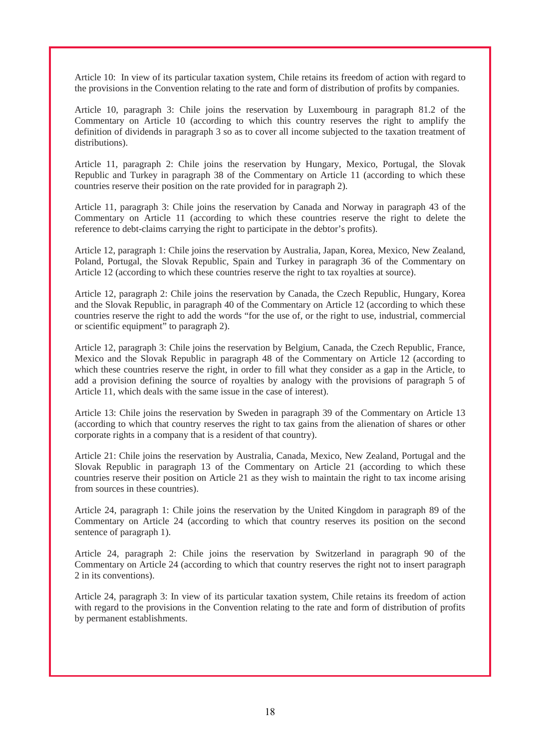Article 10: In view of its particular taxation system, Chile retains its freedom of action with regard to the provisions in the Convention relating to the rate and form of distribution of profits by companies.

Article 10, paragraph 3: Chile joins the reservation by Luxembourg in paragraph 81.2 of the Commentary on Article 10 (according to which this country reserves the right to amplify the definition of dividends in paragraph 3 so as to cover all income subjected to the taxation treatment of distributions).

Article 11, paragraph 2: Chile joins the reservation by Hungary, Mexico, Portugal, the Slovak Republic and Turkey in paragraph 38 of the Commentary on Article 11 (according to which these countries reserve their position on the rate provided for in paragraph 2).

Article 11, paragraph 3: Chile joins the reservation by Canada and Norway in paragraph 43 of the Commentary on Article 11 (according to which these countries reserve the right to delete the reference to debt-claims carrying the right to participate in the debtor's profits).

Article 12, paragraph 1: Chile joins the reservation by Australia, Japan, Korea, Mexico, New Zealand, Poland, Portugal, the Slovak Republic, Spain and Turkey in paragraph 36 of the Commentary on Article 12 (according to which these countries reserve the right to tax royalties at source).

Article 12, paragraph 2: Chile joins the reservation by Canada, the Czech Republic, Hungary, Korea and the Slovak Republic, in paragraph 40 of the Commentary on Article 12 (according to which these countries reserve the right to add the words "for the use of, or the right to use, industrial, commercial or scientific equipment" to paragraph 2).

Article 12, paragraph 3: Chile joins the reservation by Belgium, Canada, the Czech Republic, France, Mexico and the Slovak Republic in paragraph 48 of the Commentary on Article 12 (according to which these countries reserve the right, in order to fill what they consider as a gap in the Article, to add a provision defining the source of royalties by analogy with the provisions of paragraph 5 of Article 11, which deals with the same issue in the case of interest).

Article 13: Chile joins the reservation by Sweden in paragraph 39 of the Commentary on Article 13 (according to which that country reserves the right to tax gains from the alienation of shares or other corporate rights in a company that is a resident of that country).

Article 21: Chile joins the reservation by Australia, Canada, Mexico, New Zealand, Portugal and the Slovak Republic in paragraph 13 of the Commentary on Article 21 (according to which these countries reserve their position on Article 21 as they wish to maintain the right to tax income arising from sources in these countries).

Article 24, paragraph 1: Chile joins the reservation by the United Kingdom in paragraph 89 of the Commentary on Article 24 (according to which that country reserves its position on the second sentence of paragraph 1).

Article 24, paragraph 2: Chile joins the reservation by Switzerland in paragraph 90 of the Commentary on Article 24 (according to which that country reserves the right not to insert paragraph 2 in its conventions).

Article 24, paragraph 3: In view of its particular taxation system, Chile retains its freedom of action with regard to the provisions in the Convention relating to the rate and form of distribution of profits by permanent establishments.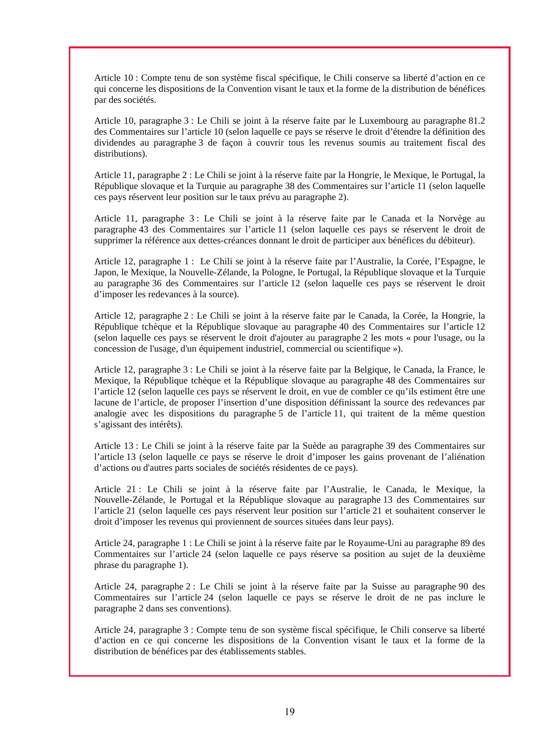Article 10 : Compte tenu de son système fiscal spécifique, le Chili conserve sa liberté d'action en ce qui concerne les dispositions de la Convention visant le taux et la forme de la distribution de bénéfices par des sociétés.

Article 10, paragraphe 3 : Le Chili se joint à la réserve faite par le Luxembourg au paragraphe 81.2 des Commentaires sur l'article 10 (selon laquelle ce pays se réserve le droit d'étendre la définition des dividendes au paragraphe 3 de façon à couvrir tous les revenus soumis au traitement fiscal des distributions).

Article 11, paragraphe 2 : Le Chili se joint à la réserve faite par la Hongrie, le Mexique, le Portugal, la République slovaque et la Turquie au paragraphe 38 des Commentaires sur l'article 11 (selon laquelle ces pays réservent leur position sur le taux prévu au paragraphe 2).

Article 11, paragraphe 3 : Le Chili se joint à la réserve faite par le Canada et la Norvège au paragraphe 43 des Commentaires sur l'article 11 (selon laquelle ces pays se réservent le droit de supprimer la référence aux dettes-créances donnant le droit de participer aux bénéfices du débiteur).

Article 12, paragraphe 1 : Le Chili se joint à la réserve faite par l'Australie, la Corée, l'Espagne, le Japon, le Mexique, la Nouvelle-Zélande, la Pologne, le Portugal, la République slovaque et la Turquie au paragraphe 36 des Commentaires sur l'article 12 (selon laquelle ces pays se réservent le droit d'imposer les redevances à la source).

Article 12, paragraphe 2 : Le Chili se joint à la réserve faite par le Canada, la Corée, la Hongrie, la République tchèque et la République slovaque au paragraphe 40 des Commentaires sur l'article 12 (selon laquelle ces pays se réservent le droit d'ajouter au paragraphe 2 les mots « pour l'usage, ou la concession de l'usage, d'un équipement industriel, commercial ou scientifique »).

Article 12, paragraphe 3 : Le Chili se joint à la réserve faite par la Belgique, le Canada, la France, le Mexique, la République tchèque et la République slovaque au paragraphe 48 des Commentaires sur l'article 12 (selon laquelle ces pays se réservent le droit, en vue de combler ce qu'ils estiment être une lacune de l'article, de proposer l'insertion d'une disposition définissant la source des redevances par analogie avec les dispositions du paragraphe 5 de l'article 11, qui traitent de la même question s'agissant des intérêts).

Article 13 : Le Chili se joint à la réserve faite par la Suède au paragraphe 39 des Commentaires sur l'article 13 (selon laquelle ce pays se réserve le droit d'imposer les gains provenant de l'aliénation d'actions ou d'autres parts sociales de sociétés résidentes de ce pays).

Article 21 : Le Chili se joint à la réserve faite par l'Australie, le Canada, le Mexique, la Nouvelle-Zélande, le Portugal et la République slovaque au paragraphe 13 des Commentaires sur l'article 21 (selon laquelle ces pays réservent leur position sur l'article 21 et souhaitent conserver le droit d'imposer les revenus qui proviennent de sources situées dans leur pays).

Article 24, paragraphe 1 : Le Chili se joint à la réserve faite par le Royaume-Uni au paragraphe 89 des Commentaires sur l'article 24 (selon laquelle ce pays réserve sa position au sujet de la deuxième phrase du paragraphe 1).

Article 24, paragraphe 2 : Le Chili se joint à la réserve faite par la Suisse au paragraphe 90 des Commentaires sur l'article 24 (selon laquelle ce pays se réserve le droit de ne pas inclure le paragraphe 2 dans ses conventions).

Article 24, paragraphe 3 : Compte tenu de son système fiscal spécifique, le Chili conserve sa liberté d'action en ce qui concerne les dispositions de la Convention visant le taux et la forme de la distribution de bénéfices par des établissements stables.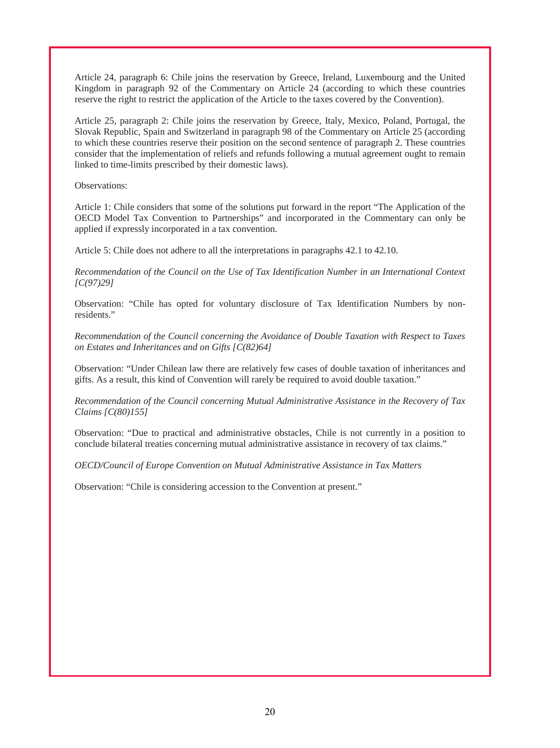Article 24, paragraph 6: Chile joins the reservation by Greece, Ireland, Luxembourg and the United Kingdom in paragraph 92 of the Commentary on Article 24 (according to which these countries reserve the right to restrict the application of the Article to the taxes covered by the Convention).

Article 25, paragraph 2: Chile joins the reservation by Greece, Italy, Mexico, Poland, Portugal, the Slovak Republic, Spain and Switzerland in paragraph 98 of the Commentary on Article 25 (according to which these countries reserve their position on the second sentence of paragraph 2. These countries consider that the implementation of reliefs and refunds following a mutual agreement ought to remain linked to time-limits prescribed by their domestic laws).

Observations:

Article 1: Chile considers that some of the solutions put forward in the report "The Application of the OECD Model Tax Convention to Partnerships" and incorporated in the Commentary can only be applied if expressly incorporated in a tax convention.

Article 5: Chile does not adhere to all the interpretations in paragraphs 42.1 to 42.10.

*Recommendation of the Council on the Use of Tax Identification Number in an International Context [C(97)29]* 

Observation: "Chile has opted for voluntary disclosure of Tax Identification Numbers by nonresidents."

*Recommendation of the Council concerning the Avoidance of Double Taxation with Respect to Taxes on Estates and Inheritances and on Gifts [C(82)64]* 

Observation: "Under Chilean law there are relatively few cases of double taxation of inheritances and gifts. As a result, this kind of Convention will rarely be required to avoid double taxation."

*Recommendation of the Council concerning Mutual Administrative Assistance in the Recovery of Tax Claims [C(80)155]* 

Observation: "Due to practical and administrative obstacles, Chile is not currently in a position to conclude bilateral treaties concerning mutual administrative assistance in recovery of tax claims."

*OECD/Council of Europe Convention on Mutual Administrative Assistance in Tax Matters* 

Observation: "Chile is considering accession to the Convention at present."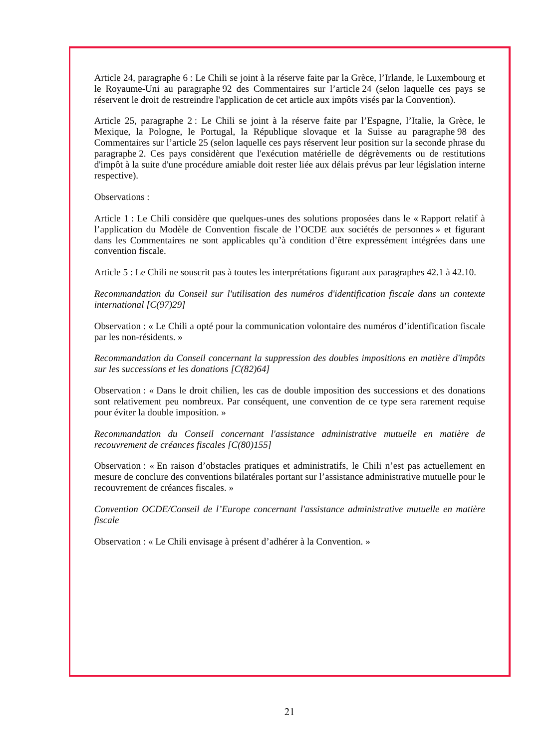Article 24, paragraphe 6 : Le Chili se joint à la réserve faite par la Grèce, l'Irlande, le Luxembourg et le Royaume-Uni au paragraphe 92 des Commentaires sur l'article 24 (selon laquelle ces pays se réservent le droit de restreindre l'application de cet article aux impôts visés par la Convention).

Article 25, paragraphe 2 : Le Chili se joint à la réserve faite par l'Espagne, l'Italie, la Grèce, le Mexique, la Pologne, le Portugal, la République slovaque et la Suisse au paragraphe 98 des Commentaires sur l'article 25 (selon laquelle ces pays réservent leur position sur la seconde phrase du paragraphe 2. Ces pays considèrent que l'exécution matérielle de dégrèvements ou de restitutions d'impôt à la suite d'une procédure amiable doit rester liée aux délais prévus par leur législation interne respective).

Observations :

Article 1 : Le Chili considère que quelques-unes des solutions proposées dans le « Rapport relatif à l'application du Modèle de Convention fiscale de l'OCDE aux sociétés de personnes » et figurant dans les Commentaires ne sont applicables qu'à condition d'être expressément intégrées dans une convention fiscale.

Article 5 : Le Chili ne souscrit pas à toutes les interprétations figurant aux paragraphes 42.1 à 42.10.

*Recommandation du Conseil sur l'utilisation des numéros d'identification fiscale dans un contexte international [C(97)29]* 

Observation : « Le Chili a opté pour la communication volontaire des numéros d'identification fiscale par les non-résidents. »

*Recommandation du Conseil concernant la suppression des doubles impositions en matière d'impôts sur les successions et les donations [C(82)64]* 

Observation : « Dans le droit chilien, les cas de double imposition des successions et des donations sont relativement peu nombreux. Par conséquent, une convention de ce type sera rarement requise pour éviter la double imposition. »

*Recommandation du Conseil concernant l'assistance administrative mutuelle en matière de recouvrement de créances fiscales [C(80)155]* 

Observation : « En raison d'obstacles pratiques et administratifs, le Chili n'est pas actuellement en mesure de conclure des conventions bilatérales portant sur l'assistance administrative mutuelle pour le recouvrement de créances fiscales. »

*Convention OCDE/Conseil de l'Europe concernant l'assistance administrative mutuelle en matière fiscale*

Observation : « Le Chili envisage à présent d'adhérer à la Convention. »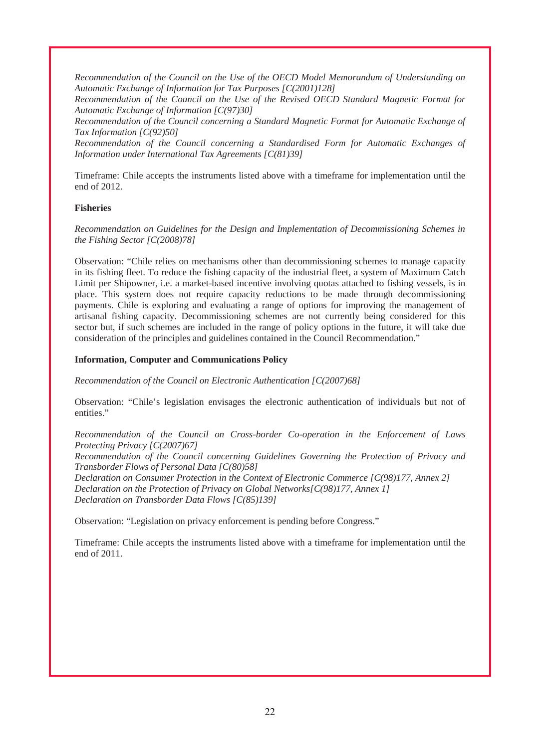*Recommendation of the Council on the Use of the OECD Model Memorandum of Understanding on Automatic Exchange of Information for Tax Purposes [C(2001)128]* 

*Recommendation of the Council on the Use of the Revised OECD Standard Magnetic Format for Automatic Exchange of Information [C(97)30]* 

*Recommendation of the Council concerning a Standard Magnetic Format for Automatic Exchange of Tax Information [C(92)50]* 

*Recommendation of the Council concerning a Standardised Form for Automatic Exchanges of Information under International Tax Agreements [C(81)39]* 

Timeframe: Chile accepts the instruments listed above with a timeframe for implementation until the end of 2012.

### **Fisheries**

*Recommendation on Guidelines for the Design and Implementation of Decommissioning Schemes in the Fishing Sector [C(2008)78]* 

Observation: "Chile relies on mechanisms other than decommissioning schemes to manage capacity in its fishing fleet. To reduce the fishing capacity of the industrial fleet, a system of Maximum Catch Limit per Shipowner, i.e. a market-based incentive involving quotas attached to fishing vessels, is in place. This system does not require capacity reductions to be made through decommissioning payments. Chile is exploring and evaluating a range of options for improving the management of artisanal fishing capacity. Decommissioning schemes are not currently being considered for this sector but, if such schemes are included in the range of policy options in the future, it will take due consideration of the principles and guidelines contained in the Council Recommendation."

#### **Information, Computer and Communications Policy**

*Recommendation of the Council on Electronic Authentication [C(2007)68]* 

Observation: "Chile's legislation envisages the electronic authentication of individuals but not of entities."

*Recommendation of the Council on Cross-border Co-operation in the Enforcement of Laws Protecting Privacy [C(2007)67]* 

*Recommendation of the Council concerning Guidelines Governing the Protection of Privacy and Transborder Flows of Personal Data [C(80)58]* 

*Declaration on Consumer Protection in the Context of Electronic Commerce [C(98)177, Annex 2] Declaration on the Protection of Privacy on Global Networks[C(98)177, Annex 1] Declaration on Transborder Data Flows [C(85)139]* 

Observation: "Legislation on privacy enforcement is pending before Congress."

Timeframe: Chile accepts the instruments listed above with a timeframe for implementation until the end of 2011.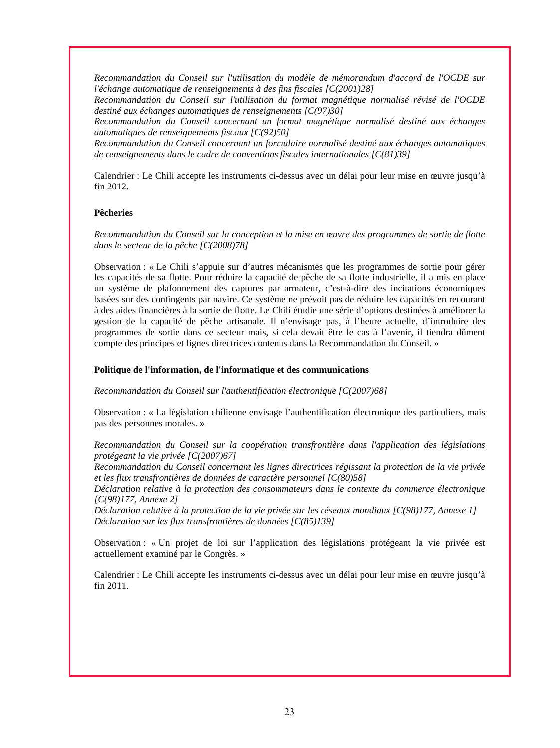*Recommandation du Conseil sur l'utilisation du modèle de mémorandum d'accord de l'OCDE sur l'échange automatique de renseignements à des fins fiscales [C(2001)28]* 

*Recommandation du Conseil sur l'utilisation du format magnétique normalisé révisé de l'OCDE destiné aux échanges automatiques de renseignements [C(97)30]* 

*Recommandation du Conseil concernant un format magnétique normalisé destiné aux échanges automatiques de renseignements fiscaux [C(92)50]* 

*Recommandation du Conseil concernant un formulaire normalisé destiné aux échanges automatiques de renseignements dans le cadre de conventions fiscales internationales [C(81)39]* 

Calendrier : Le Chili accepte les instruments ci-dessus avec un délai pour leur mise en œuvre jusqu'à fin 2012.

### **Pêcheries**

*Recommandation du Conseil sur la conception et la mise en œuvre des programmes de sortie de flotte dans le secteur de la pêche [C(2008)78]* 

Observation : « Le Chili s'appuie sur d'autres mécanismes que les programmes de sortie pour gérer les capacités de sa flotte. Pour réduire la capacité de pêche de sa flotte industrielle, il a mis en place un système de plafonnement des captures par armateur, c'est-à-dire des incitations économiques basées sur des contingents par navire. Ce système ne prévoit pas de réduire les capacités en recourant à des aides financières à la sortie de flotte. Le Chili étudie une série d'options destinées à améliorer la gestion de la capacité de pêche artisanale. Il n'envisage pas, à l'heure actuelle, d'introduire des programmes de sortie dans ce secteur mais, si cela devait être le cas à l'avenir, il tiendra dûment compte des principes et lignes directrices contenus dans la Recommandation du Conseil. »

#### **Politique de l'information, de l'informatique et des communications**

*Recommandation du Conseil sur l'authentification électronique [C(2007)68]* 

Observation : « La législation chilienne envisage l'authentification électronique des particuliers, mais pas des personnes morales. »

*Recommandation du Conseil sur la coopération transfrontière dans l'application des législations protégeant la vie privée [C(2007)67]* 

*Recommandation du Conseil concernant les lignes directrices régissant la protection de la vie privée et les flux transfrontières de données de caractère personnel [C(80)58]* 

*Déclaration relative à la protection des consommateurs dans le contexte du commerce électronique [C(98)177, Annexe 2]* 

*Déclaration relative à la protection de la vie privée sur les réseaux mondiaux [C(98)177, Annexe 1] Déclaration sur les flux transfrontières de données [C(85)139]* 

Observation : « Un projet de loi sur l'application des législations protégeant la vie privée est actuellement examiné par le Congrès. »

Calendrier : Le Chili accepte les instruments ci-dessus avec un délai pour leur mise en œuvre jusqu'à fin 2011.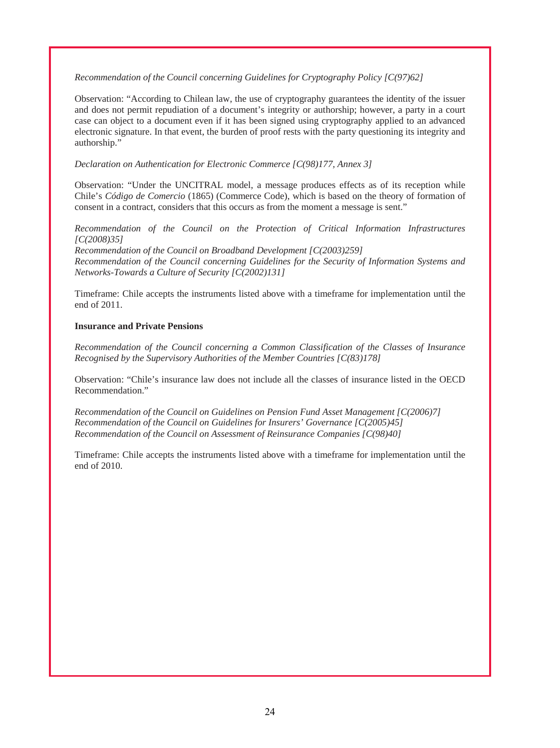*Recommendation of the Council concerning Guidelines for Cryptography Policy [C(97)62]* 

Observation: "According to Chilean law, the use of cryptography guarantees the identity of the issuer and does not permit repudiation of a document's integrity or authorship; however, a party in a court case can object to a document even if it has been signed using cryptography applied to an advanced electronic signature. In that event, the burden of proof rests with the party questioning its integrity and authorship."

*Declaration on Authentication for Electronic Commerce [C(98)177, Annex 3]* 

Observation: "Under the UNCITRAL model, a message produces effects as of its reception while Chile's *Código de Comercio* (1865) (Commerce Code), which is based on the theory of formation of consent in a contract, considers that this occurs as from the moment a message is sent."

*Recommendation of the Council on the Protection of Critical Information Infrastructures [C(2008)35]* 

*Recommendation of the Council on Broadband Development [C(2003)259] Recommendation of the Council concerning Guidelines for the Security of Information Systems and Networks-Towards a Culture of Security [C(2002)131]* 

Timeframe: Chile accepts the instruments listed above with a timeframe for implementation until the end of 2011.

#### **Insurance and Private Pensions**

*Recommendation of the Council concerning a Common Classification of the Classes of Insurance Recognised by the Supervisory Authorities of the Member Countries [C(83)178]* 

Observation: "Chile's insurance law does not include all the classes of insurance listed in the OECD Recommendation."

*Recommendation of the Council on Guidelines on Pension Fund Asset Management [C(2006)7] Recommendation of the Council on Guidelines for Insurers' Governance [C(2005)45] Recommendation of the Council on Assessment of Reinsurance Companies [C(98)40]* 

Timeframe: Chile accepts the instruments listed above with a timeframe for implementation until the end of 2010.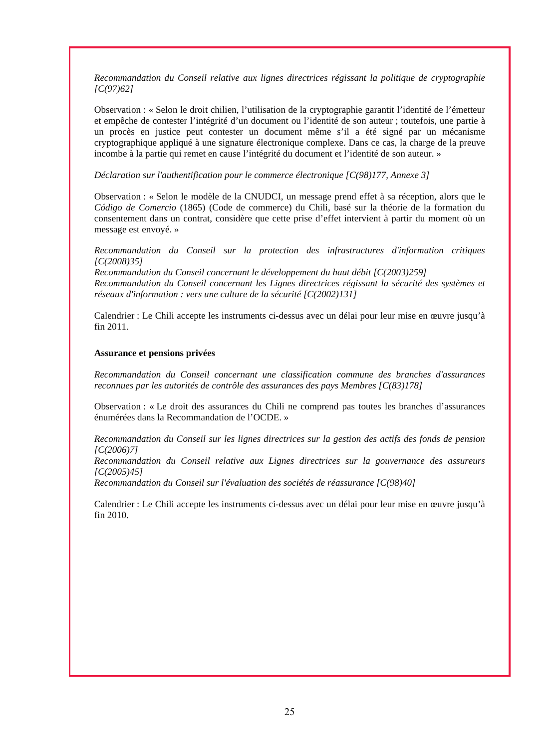*Recommandation du Conseil relative aux lignes directrices régissant la politique de cryptographie [C(97)62]* 

Observation : « Selon le droit chilien, l'utilisation de la cryptographie garantit l'identité de l'émetteur et empêche de contester l'intégrité d'un document ou l'identité de son auteur ; toutefois, une partie à un procès en justice peut contester un document même s'il a été signé par un mécanisme cryptographique appliqué à une signature électronique complexe. Dans ce cas, la charge de la preuve incombe à la partie qui remet en cause l'intégrité du document et l'identité de son auteur. »

*Déclaration sur l'authentification pour le commerce électronique [C(98)177, Annexe 3]* 

Observation : « Selon le modèle de la CNUDCI, un message prend effet à sa réception, alors que le *Código de Comercio* (1865) (Code de commerce) du Chili, basé sur la théorie de la formation du consentement dans un contrat, considère que cette prise d'effet intervient à partir du moment où un message est envoyé. »

*Recommandation du Conseil sur la protection des infrastructures d'information critiques [C(2008)35]* 

*Recommandation du Conseil concernant le développement du haut débit [C(2003)259] Recommandation du Conseil concernant les Lignes directrices régissant la sécurité des systèmes et réseaux d'information : vers une culture de la sécurité [C(2002)131]* 

Calendrier : Le Chili accepte les instruments ci-dessus avec un délai pour leur mise en œuvre jusqu'à fin 2011.

#### **Assurance et pensions privées**

*Recommandation du Conseil concernant une classification commune des branches d'assurances reconnues par les autorités de contrôle des assurances des pays Membres [C(83)178]* 

Observation : « Le droit des assurances du Chili ne comprend pas toutes les branches d'assurances énumérées dans la Recommandation de l'OCDE. »

*Recommandation du Conseil sur les lignes directrices sur la gestion des actifs des fonds de pension [C(2006)7]* 

*Recommandation du Conseil relative aux Lignes directrices sur la gouvernance des assureurs [C(2005)45]* 

*Recommandation du Conseil sur l'évaluation des sociétés de réassurance [C(98)40]* 

Calendrier : Le Chili accepte les instruments ci-dessus avec un délai pour leur mise en œuvre jusqu'à fin 2010.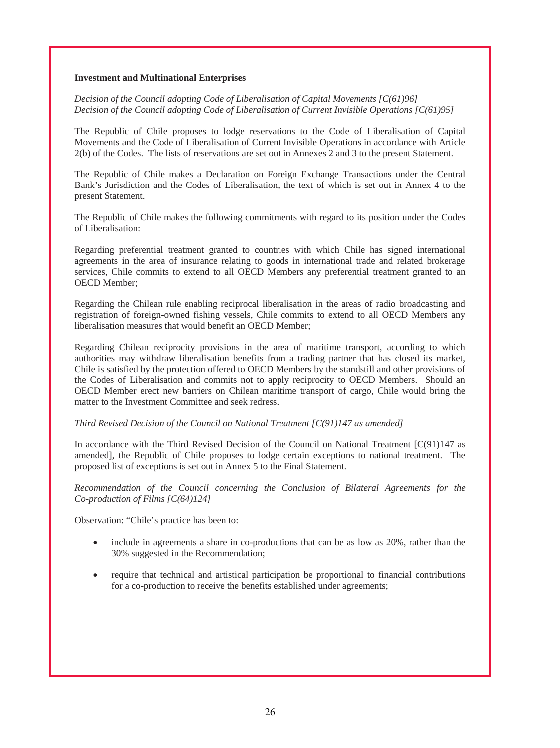#### **Investment and Multinational Enterprises**

*Decision of the Council adopting Code of Liberalisation of Capital Movements [C(61)96] Decision of the Council adopting Code of Liberalisation of Current Invisible Operations [C(61)95]* 

The Republic of Chile proposes to lodge reservations to the Code of Liberalisation of Capital Movements and the Code of Liberalisation of Current Invisible Operations in accordance with Article 2(b) of the Codes. The lists of reservations are set out in Annexes 2 and 3 to the present Statement.

The Republic of Chile makes a Declaration on Foreign Exchange Transactions under the Central Bank's Jurisdiction and the Codes of Liberalisation, the text of which is set out in Annex 4 to the present Statement.

The Republic of Chile makes the following commitments with regard to its position under the Codes of Liberalisation:

Regarding preferential treatment granted to countries with which Chile has signed international agreements in the area of insurance relating to goods in international trade and related brokerage services, Chile commits to extend to all OECD Members any preferential treatment granted to an OECD Member;

Regarding the Chilean rule enabling reciprocal liberalisation in the areas of radio broadcasting and registration of foreign-owned fishing vessels, Chile commits to extend to all OECD Members any liberalisation measures that would benefit an OECD Member;

Regarding Chilean reciprocity provisions in the area of maritime transport, according to which authorities may withdraw liberalisation benefits from a trading partner that has closed its market, Chile is satisfied by the protection offered to OECD Members by the standstill and other provisions of the Codes of Liberalisation and commits not to apply reciprocity to OECD Members. Should an OECD Member erect new barriers on Chilean maritime transport of cargo, Chile would bring the matter to the Investment Committee and seek redress.

#### *Third Revised Decision of the Council on National Treatment [C(91)147 as amended]*

In accordance with the Third Revised Decision of the Council on National Treatment  $[C(91)147]$  as amended], the Republic of Chile proposes to lodge certain exceptions to national treatment. The proposed list of exceptions is set out in Annex 5 to the Final Statement.

*Recommendation of the Council concerning the Conclusion of Bilateral Agreements for the Co-production of Films [C(64)124]* 

Observation: "Chile's practice has been to:

- include in agreements a share in co-productions that can be as low as 20%, rather than the 30% suggested in the Recommendation;
- require that technical and artistical participation be proportional to financial contributions for a co-production to receive the benefits established under agreements;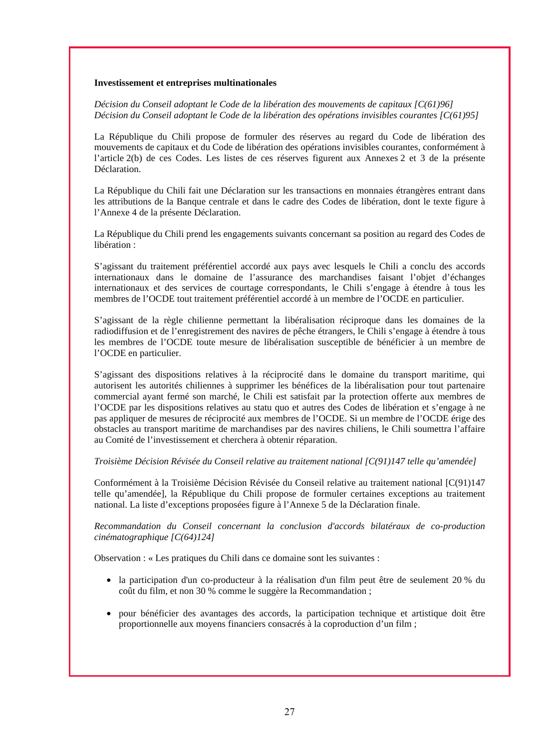#### **Investissement et entreprises multinationales**

*Décision du Conseil adoptant le Code de la libération des mouvements de capitaux [C(61)96] Décision du Conseil adoptant le Code de la libération des opérations invisibles courantes [C(61)95]* 

La République du Chili propose de formuler des réserves au regard du Code de libération des mouvements de capitaux et du Code de libération des opérations invisibles courantes, conformément à l'article 2(b) de ces Codes. Les listes de ces réserves figurent aux Annexes 2 et 3 de la présente Déclaration.

La République du Chili fait une Déclaration sur les transactions en monnaies étrangères entrant dans les attributions de la Banque centrale et dans le cadre des Codes de libération, dont le texte figure à l'Annexe 4 de la présente Déclaration.

La République du Chili prend les engagements suivants concernant sa position au regard des Codes de libération :

S'agissant du traitement préférentiel accordé aux pays avec lesquels le Chili a conclu des accords internationaux dans le domaine de l'assurance des marchandises faisant l'objet d'échanges internationaux et des services de courtage correspondants, le Chili s'engage à étendre à tous les membres de l'OCDE tout traitement préférentiel accordé à un membre de l'OCDE en particulier.

S'agissant de la règle chilienne permettant la libéralisation réciproque dans les domaines de la radiodiffusion et de l'enregistrement des navires de pêche étrangers, le Chili s'engage à étendre à tous les membres de l'OCDE toute mesure de libéralisation susceptible de bénéficier à un membre de l'OCDE en particulier.

S'agissant des dispositions relatives à la réciprocité dans le domaine du transport maritime, qui autorisent les autorités chiliennes à supprimer les bénéfices de la libéralisation pour tout partenaire commercial ayant fermé son marché, le Chili est satisfait par la protection offerte aux membres de l'OCDE par les dispositions relatives au statu quo et autres des Codes de libération et s'engage à ne pas appliquer de mesures de réciprocité aux membres de l'OCDE. Si un membre de l'OCDE érige des obstacles au transport maritime de marchandises par des navires chiliens, le Chili soumettra l'affaire au Comité de l'investissement et cherchera à obtenir réparation.

*Troisième Décision Révisée du Conseil relative au traitement national [C(91)147 telle qu'amendée]*

Conformément à la Troisième Décision Révisée du Conseil relative au traitement national [C(91)147 telle qu'amendée], la République du Chili propose de formuler certaines exceptions au traitement national. La liste d'exceptions proposées figure à l'Annexe 5 de la Déclaration finale.

*Recommandation du Conseil concernant la conclusion d'accords bilatéraux de co-production cinématographique [C(64)124]* 

Observation : « Les pratiques du Chili dans ce domaine sont les suivantes :

- la participation d'un co-producteur à la réalisation d'un film peut être de seulement 20 % du coût du film, et non 30 % comme le suggère la Recommandation ;
- pour bénéficier des avantages des accords, la participation technique et artistique doit être proportionnelle aux moyens financiers consacrés à la coproduction d'un film ;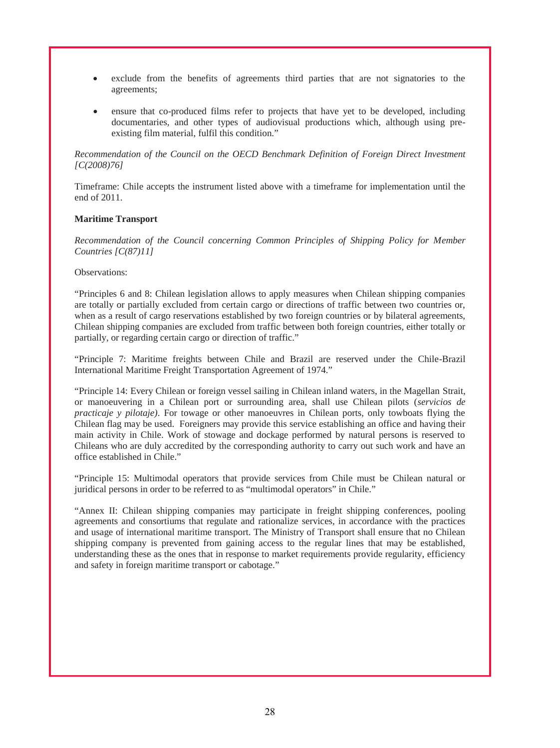- x exclude from the benefits of agreements third parties that are not signatories to the agreements;
- x ensure that co-produced films refer to projects that have yet to be developed, including documentaries, and other types of audiovisual productions which, although using preexisting film material, fulfil this condition."

*Recommendation of the Council on the OECD Benchmark Definition of Foreign Direct Investment [C(2008)76]*

Timeframe: Chile accepts the instrument listed above with a timeframe for implementation until the end of 2011.

#### **Maritime Transport**

*Recommendation of the Council concerning Common Principles of Shipping Policy for Member Countries [C(87)11]* 

#### Observations:

"Principles 6 and 8: Chilean legislation allows to apply measures when Chilean shipping companies are totally or partially excluded from certain cargo or directions of traffic between two countries or, when as a result of cargo reservations established by two foreign countries or by bilateral agreements, Chilean shipping companies are excluded from traffic between both foreign countries, either totally or partially, or regarding certain cargo or direction of traffic."

"Principle 7: Maritime freights between Chile and Brazil are reserved under the Chile-Brazil International Maritime Freight Transportation Agreement of 1974."

"Principle 14: Every Chilean or foreign vessel sailing in Chilean inland waters, in the Magellan Strait, or manoeuvering in a Chilean port or surrounding area, shall use Chilean pilots (*servicios de practicaje y pilotaje)*. For towage or other manoeuvres in Chilean ports, only towboats flying the Chilean flag may be used. Foreigners may provide this service establishing an office and having their main activity in Chile. Work of stowage and dockage performed by natural persons is reserved to Chileans who are duly accredited by the corresponding authority to carry out such work and have an office established in Chile."

"Principle 15: Multimodal operators that provide services from Chile must be Chilean natural or juridical persons in order to be referred to as "multimodal operators" in Chile."

"Annex II: Chilean shipping companies may participate in freight shipping conferences, pooling agreements and consortiums that regulate and rationalize services, in accordance with the practices and usage of international maritime transport. The Ministry of Transport shall ensure that no Chilean shipping company is prevented from gaining access to the regular lines that may be established, understanding these as the ones that in response to market requirements provide regularity, efficiency and safety in foreign maritime transport or cabotage."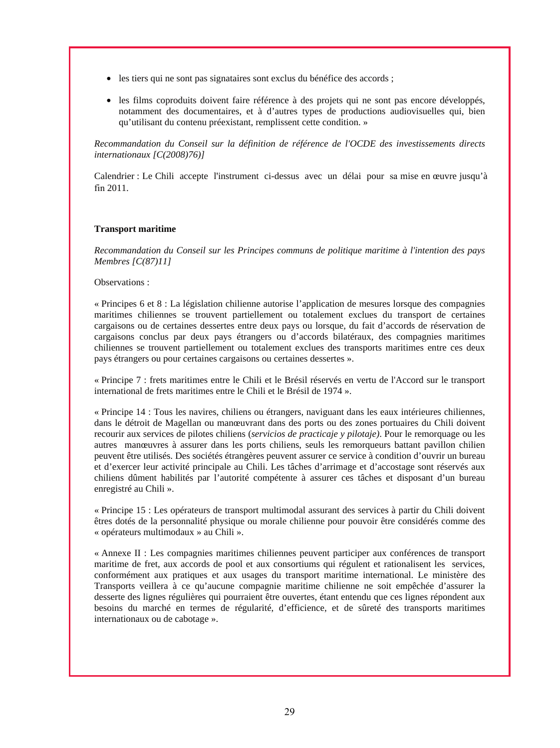- les tiers qui ne sont pas signataires sont exclus du bénéfice des accords ;
- les films coproduits doivent faire référence à des projets qui ne sont pas encore développés, notamment des documentaires, et à d'autres types de productions audiovisuelles qui, bien qu'utilisant du contenu préexistant, remplissent cette condition. »

*Recommandation du Conseil sur la définition de référence de l'OCDE des investissements directs internationaux [C(2008)76)]*

Calendrier : Le Chili accepte l'instrument ci-dessus avec un délai pour sa mise en œuvre jusqu'à fin 2011.

#### **Transport maritime**

*Recommandation du Conseil sur les Principes communs de politique maritime à l'intention des pays Membres [C(87)11]* 

Observations :

« Principes 6 et 8 : La législation chilienne autorise l'application de mesures lorsque des compagnies maritimes chiliennes se trouvent partiellement ou totalement exclues du transport de certaines cargaisons ou de certaines dessertes entre deux pays ou lorsque, du fait d'accords de réservation de cargaisons conclus par deux pays étrangers ou d'accords bilatéraux, des compagnies maritimes chiliennes se trouvent partiellement ou totalement exclues des transports maritimes entre ces deux pays étrangers ou pour certaines cargaisons ou certaines dessertes ».

« Principe 7 : frets maritimes entre le Chili et le Brésil réservés en vertu de l'Accord sur le transport international de frets maritimes entre le Chili et le Brésil de 1974 ».

« Principe 14 : Tous les navires, chiliens ou étrangers, naviguant dans les eaux intérieures chiliennes, dans le détroit de Magellan ou manœuvrant dans des ports ou des zones portuaires du Chili doivent recourir aux services de pilotes chiliens (*servicios de practicaje y pilotaje)*. Pour le remorquage ou les autres manœuvres à assurer dans les ports chiliens, seuls les remorqueurs battant pavillon chilien peuvent être utilisés. Des sociétés étrangères peuvent assurer ce service à condition d'ouvrir un bureau et d'exercer leur activité principale au Chili. Les tâches d'arrimage et d'accostage sont réservés aux chiliens dûment habilités par l'autorité compétente à assurer ces tâches et disposant d'un bureau enregistré au Chili ».

« Principe 15 : Les opérateurs de transport multimodal assurant des services à partir du Chili doivent êtres dotés de la personnalité physique ou morale chilienne pour pouvoir être considérés comme des « opérateurs multimodaux » au Chili ».

« Annexe II : Les compagnies maritimes chiliennes peuvent participer aux conférences de transport maritime de fret, aux accords de pool et aux consortiums qui régulent et rationalisent les services, conformément aux pratiques et aux usages du transport maritime international. Le ministère des Transports veillera à ce qu'aucune compagnie maritime chilienne ne soit empêchée d'assurer la desserte des lignes régulières qui pourraient être ouvertes, étant entendu que ces lignes répondent aux besoins du marché en termes de régularité, d'efficience, et de sûreté des transports maritimes internationaux ou de cabotage ».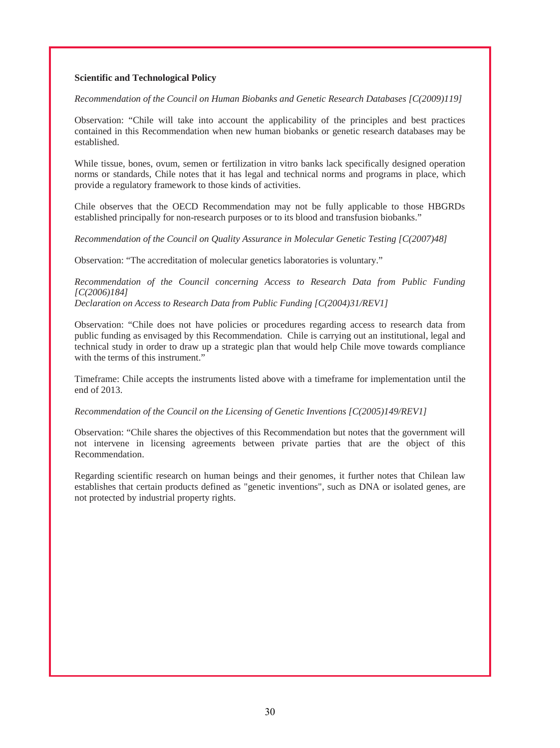#### **Scientific and Technological Policy**

*Recommendation of the Council on Human Biobanks and Genetic Research Databases [C(2009)119]* 

Observation: "Chile will take into account the applicability of the principles and best practices contained in this Recommendation when new human biobanks or genetic research databases may be established.

While tissue, bones, ovum, semen or fertilization in vitro banks lack specifically designed operation norms or standards, Chile notes that it has legal and technical norms and programs in place, which provide a regulatory framework to those kinds of activities.

Chile observes that the OECD Recommendation may not be fully applicable to those HBGRDs established principally for non-research purposes or to its blood and transfusion biobanks."

*Recommendation of the Council on Quality Assurance in Molecular Genetic Testing [C(2007)48]* 

Observation: "The accreditation of molecular genetics laboratories is voluntary."

*Recommendation of the Council concerning Access to Research Data from Public Funding [C(2006)184]* 

*Declaration on Access to Research Data from Public Funding [C(2004)31/REV1]* 

Observation: "Chile does not have policies or procedures regarding access to research data from public funding as envisaged by this Recommendation. Chile is carrying out an institutional, legal and technical study in order to draw up a strategic plan that would help Chile move towards compliance with the terms of this instrument."

Timeframe: Chile accepts the instruments listed above with a timeframe for implementation until the end of 2013.

#### *Recommendation of the Council on the Licensing of Genetic Inventions [C(2005)149/REV1]*

Observation: "Chile shares the objectives of this Recommendation but notes that the government will not intervene in licensing agreements between private parties that are the object of this Recommendation.

Regarding scientific research on human beings and their genomes, it further notes that Chilean law establishes that certain products defined as "genetic inventions", such as DNA or isolated genes, are not protected by industrial property rights.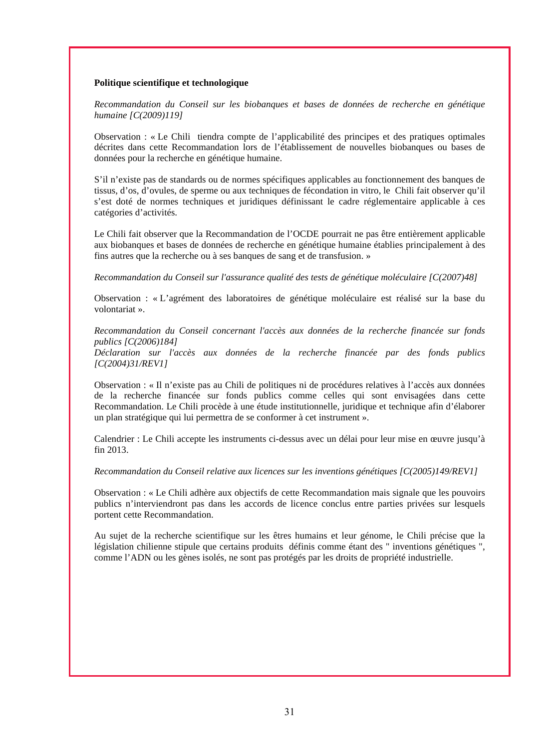#### **Politique scientifique et technologique**

*Recommandation du Conseil sur les biobanques et bases de données de recherche en génétique humaine [C(2009)119]* 

Observation : « Le Chili tiendra compte de l'applicabilité des principes et des pratiques optimales décrites dans cette Recommandation lors de l'établissement de nouvelles biobanques ou bases de données pour la recherche en génétique humaine.

S'il n'existe pas de standards ou de normes spécifiques applicables au fonctionnement des banques de tissus, d'os, d'ovules, de sperme ou aux techniques de fécondation in vitro, le Chili fait observer qu'il s'est doté de normes techniques et juridiques définissant le cadre réglementaire applicable à ces catégories d'activités.

Le Chili fait observer que la Recommandation de l'OCDE pourrait ne pas être entièrement applicable aux biobanques et bases de données de recherche en génétique humaine établies principalement à des fins autres que la recherche ou à ses banques de sang et de transfusion. »

*Recommandation du Conseil sur l'assurance qualité des tests de génétique moléculaire [C(2007)48]* 

Observation : « L'agrément des laboratoires de génétique moléculaire est réalisé sur la base du volontariat ».

*Recommandation du Conseil concernant l'accès aux données de la recherche financée sur fonds publics [C(2006)184]* 

*Déclaration sur l'accès aux données de la recherche financée par des fonds publics [C(2004)31/REV1]* 

Observation : « Il n'existe pas au Chili de politiques ni de procédures relatives à l'accès aux données de la recherche financée sur fonds publics comme celles qui sont envisagées dans cette Recommandation. Le Chili procède à une étude institutionnelle, juridique et technique afin d'élaborer un plan stratégique qui lui permettra de se conformer à cet instrument ».

Calendrier : Le Chili accepte les instruments ci-dessus avec un délai pour leur mise en œuvre jusqu'à fin 2013.

*Recommandation du Conseil relative aux licences sur les inventions génétiques [C(2005)149/REV1]* 

Observation : « Le Chili adhère aux objectifs de cette Recommandation mais signale que les pouvoirs publics n'interviendront pas dans les accords de licence conclus entre parties privées sur lesquels portent cette Recommandation.

Au sujet de la recherche scientifique sur les êtres humains et leur génome, le Chili précise que la législation chilienne stipule que certains produits définis comme étant des " inventions génétiques ", comme l'ADN ou les gènes isolés, ne sont pas protégés par les droits de propriété industrielle.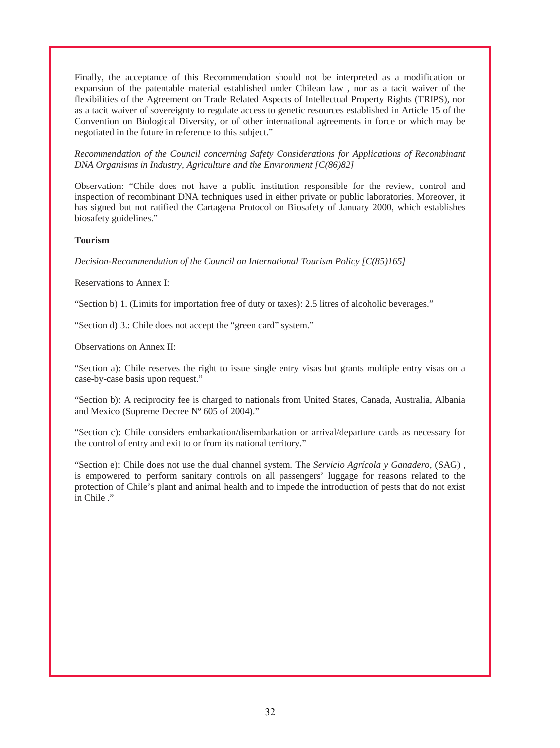Finally, the acceptance of this Recommendation should not be interpreted as a modification or expansion of the patentable material established under Chilean law , nor as a tacit waiver of the flexibilities of the Agreement on Trade Related Aspects of Intellectual Property Rights (TRIPS), nor as a tacit waiver of sovereignty to regulate access to genetic resources established in Article 15 of the Convention on Biological Diversity, or of other international agreements in force or which may be negotiated in the future in reference to this subject."

*Recommendation of the Council concerning Safety Considerations for Applications of Recombinant DNA Organisms in Industry, Agriculture and the Environment [C(86)82]* 

Observation: "Chile does not have a public institution responsible for the review, control and inspection of recombinant DNA techniques used in either private or public laboratories. Moreover, it has signed but not ratified the Cartagena Protocol on Biosafety of January 2000, which establishes biosafety guidelines."

#### **Tourism**

*Decision-Recommendation of the Council on International Tourism Policy [C(85)165]* 

Reservations to Annex I:

"Section b) 1. (Limits for importation free of duty or taxes): 2.5 litres of alcoholic beverages."

"Section d) 3.: Chile does not accept the "green card" system."

Observations on Annex II:

"Section a): Chile reserves the right to issue single entry visas but grants multiple entry visas on a case-by-case basis upon request."

"Section b): A reciprocity fee is charged to nationals from United States, Canada, Australia, Albania and Mexico (Supreme Decree Nº 605 of 2004)."

"Section c): Chile considers embarkation/disembarkation or arrival/departure cards as necessary for the control of entry and exit to or from its national territory."

"Section e): Chile does not use the dual channel system. The *Servicio Agrícola y Ganadero*, (SAG) , is empowered to perform sanitary controls on all passengers' luggage for reasons related to the protection of Chile's plant and animal health and to impede the introduction of pests that do not exist in Chile ."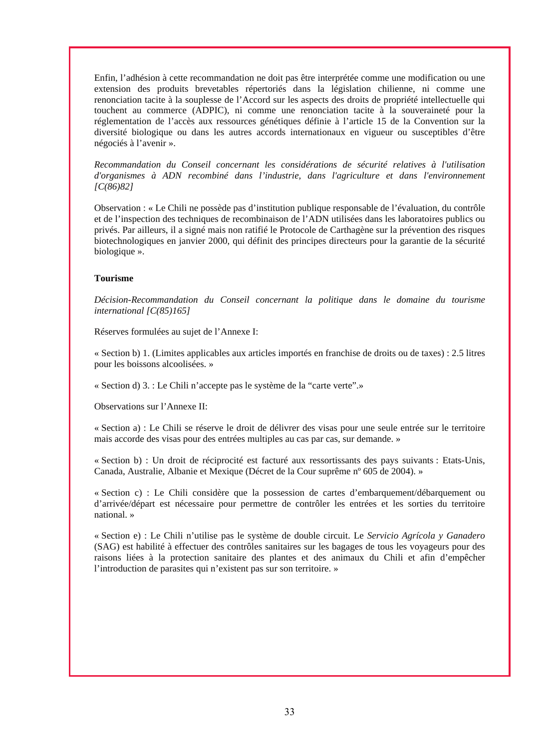Enfin, l'adhésion à cette recommandation ne doit pas être interprétée comme une modification ou une extension des produits brevetables répertoriés dans la législation chilienne, ni comme une renonciation tacite à la souplesse de l'Accord sur les aspects des droits de propriété intellectuelle qui touchent au commerce (ADPIC), ni comme une renonciation tacite à la souveraineté pour la réglementation de l'accès aux ressources génétiques définie à l'article 15 de la Convention sur la diversité biologique ou dans les autres accords internationaux en vigueur ou susceptibles d'être négociés à l'avenir ».

*Recommandation du Conseil concernant les considérations de sécurité relatives à l'utilisation d'organismes à ADN recombiné dans l'industrie, dans l'agriculture et dans l'environnement [C(86)82]* 

Observation : « Le Chili ne possède pas d'institution publique responsable de l'évaluation, du contrôle et de l'inspection des techniques de recombinaison de l'ADN utilisées dans les laboratoires publics ou privés. Par ailleurs, il a signé mais non ratifié le Protocole de Carthagène sur la prévention des risques biotechnologiques en janvier 2000, qui définit des principes directeurs pour la garantie de la sécurité biologique ».

#### **Tourisme**

*Décision-Recommandation du Conseil concernant la politique dans le domaine du tourisme international [C(85)165]* 

Réserves formulées au sujet de l'Annexe I:

« Section b) 1. (Limites applicables aux articles importés en franchise de droits ou de taxes) : 2.5 litres pour les boissons alcoolisées. »

« Section d) 3. : Le Chili n'accepte pas le système de la "carte verte".»

Observations sur l'Annexe II:

« Section a) : Le Chili se réserve le droit de délivrer des visas pour une seule entrée sur le territoire mais accorde des visas pour des entrées multiples au cas par cas, sur demande. »

« Section b) : Un droit de réciprocité est facturé aux ressortissants des pays suivants : Etats-Unis, Canada, Australie, Albanie et Mexique (Décret de la Cour suprême nº 605 de 2004). »

« Section c) : Le Chili considère que la possession de cartes d'embarquement/débarquement ou d'arrivée/départ est nécessaire pour permettre de contrôler les entrées et les sorties du territoire national. »

« Section e) : Le Chili n'utilise pas le système de double circuit. Le *Servicio Agrícola y Ganadero* (SAG) est habilité à effectuer des contrôles sanitaires sur les bagages de tous les voyageurs pour des raisons liées à la protection sanitaire des plantes et des animaux du Chili et afin d'empêcher l'introduction de parasites qui n'existent pas sur son territoire. »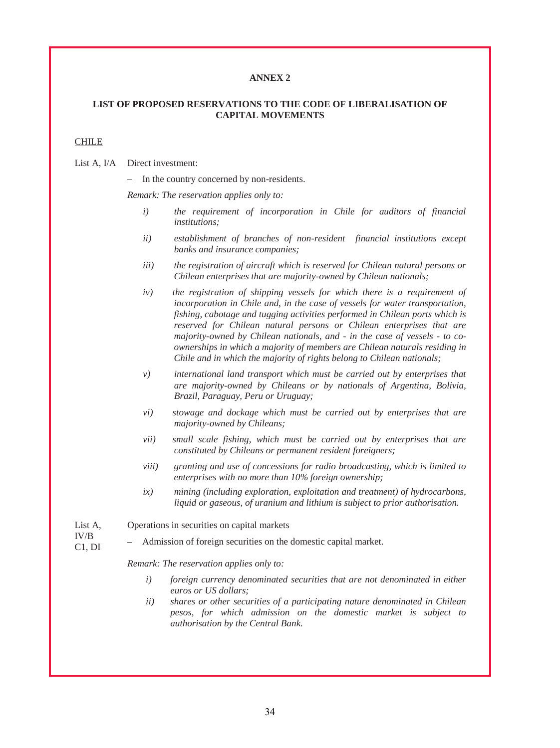#### **ANNEX 2**

### **LIST OF PROPOSED RESERVATIONS TO THE CODE OF LIBERALISATION OF CAPITAL MOVEMENTS**

#### CHILE

List A, I/A Direct investment:

In the country concerned by non-residents.

*Remark: The reservation applies only to:* 

- *i) the requirement of incorporation in Chile for auditors of financial institutions;*
- *ii) establishment of branches of non-resident financial institutions except banks and insurance companies;*
- *iii) the registration of aircraft which is reserved for Chilean natural persons or Chilean enterprises that are majority-owned by Chilean nationals;*
- *iv) the registration of shipping vessels for which there is a requirement of incorporation in Chile and, in the case of vessels for water transportation, fishing, cabotage and tugging activities performed in Chilean ports which is reserved for Chilean natural persons or Chilean enterprises that are majority-owned by Chilean nationals, and - in the case of vessels - to coownerships in which a majority of members are Chilean naturals residing in Chile and in which the majority of rights belong to Chilean nationals;*
- *v) international land transport which must be carried out by enterprises that are majority-owned by Chileans or by nationals of Argentina, Bolivia, Brazil, Paraguay, Peru or Uruguay;*
- *vi) stowage and dockage which must be carried out by enterprises that are majority-owned by Chileans;*
- *vii) small scale fishing, which must be carried out by enterprises that are constituted by Chileans or permanent resident foreigners;*
- *viii) granting and use of concessions for radio broadcasting, which is limited to enterprises with no more than 10% foreign ownership;*
- *ix) mining (including exploration, exploitation and treatment) of hydrocarbons, liquid or gaseous, of uranium and lithium is subject to prior authorisation.*

List A, Operations in securities on capital markets

IV/B C1, DI – Admission of foreign securities on the domestic capital market.

*Remark: The reservation applies only to:* 

- *i) foreign currency denominated securities that are not denominated in either euros or US dollars;*
- *ii) shares or other securities of a participating nature denominated in Chilean pesos, for which admission on the domestic market is subject to authorisation by the Central Bank.*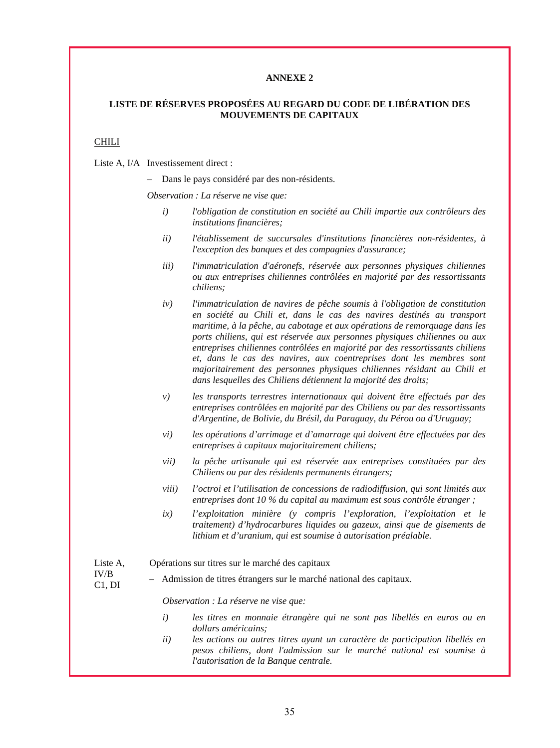#### **ANNEXE 2**

# **LISTE DE RÉSERVES PROPOSÉES AU REGARD DU CODE DE LIBÉRATION DES MOUVEMENTS DE CAPITAUX**

#### CHILI

Liste A, I/A Investissement direct :

– Dans le pays considéré par des non-résidents.

*Observation : La réserve ne vise que:* 

- *i) l'obligation de constitution en société au Chili impartie aux contrôleurs des institutions financières;*
- *ii) l'établissement de succursales d'institutions financières non-résidentes, à l'exception des banques et des compagnies d'assurance;*
- *iii) l'immatriculation d'aéronefs, réservée aux personnes physiques chiliennes ou aux entreprises chiliennes contrôlées en majorité par des ressortissants chiliens;*
- *iv) l'immatriculation de navires de pêche soumis à l'obligation de constitution en société au Chili et, dans le cas des navires destinés au transport maritime, à la pêche, au cabotage et aux opérations de remorquage dans les ports chiliens, qui est réservée aux personnes physiques chiliennes ou aux entreprises chiliennes contrôlées en majorité par des ressortissants chiliens et, dans le cas des navires, aux coentreprises dont les membres sont majoritairement des personnes physiques chiliennes résidant au Chili et dans lesquelles des Chiliens détiennent la majorité des droits;*
- *v) les transports terrestres internationaux qui doivent être effectués par des entreprises contrôlées en majorité par des Chiliens ou par des ressortissants d'Argentine, de Bolivie, du Brésil, du Paraguay, du Pérou ou d'Uruguay;*
- *vi) les opérations d'arrimage et d'amarrage qui doivent être effectuées par des entreprises à capitaux majoritairement chiliens;*
- *vii) la pêche artisanale qui est réservée aux entreprises constituées par des Chiliens ou par des résidents permanents étrangers;*
- *viii) l'octroi et l'utilisation de concessions de radiodiffusion, qui sont limités aux entreprises dont 10 % du capital au maximum est sous contrôle étranger ;*
- *ix) l'exploitation minière (y compris l'exploration, l'exploitation et le traitement) d'hydrocarbures liquides ou gazeux, ainsi que de gisements de lithium et d'uranium, qui est soumise à autorisation préalable.*
- Liste A, Opérations sur titres sur le marché des capitaux
- IV/B C1, DI
- Admission de titres étrangers sur le marché national des capitaux.

*Observation : La réserve ne vise que:* 

- *i) les titres en monnaie étrangère qui ne sont pas libellés en euros ou en dollars américains;*
- *ii) les actions ou autres titres ayant un caractère de participation libellés en pesos chiliens, dont l'admission sur le marché national est soumise à l'autorisation de la Banque centrale.*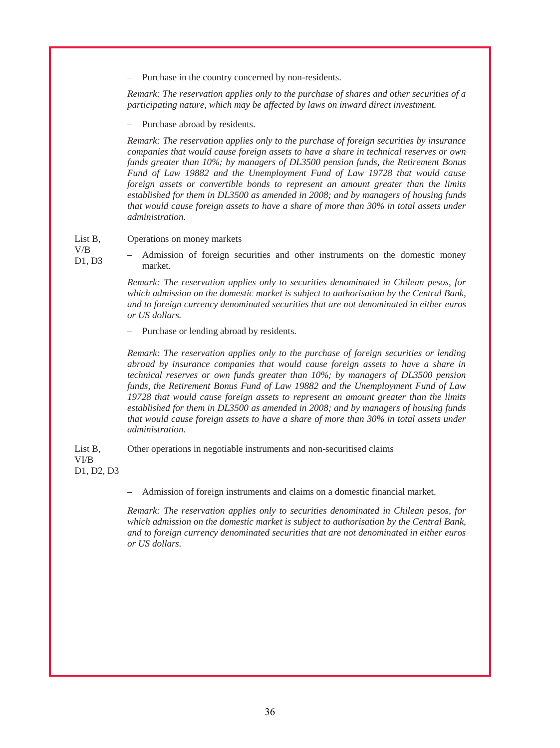– Purchase in the country concerned by non-residents.

*Remark: The reservation applies only to the purchase of shares and other securities of a participating nature, which may be affected by laws on inward direct investment.* 

– Purchase abroad by residents.

*Remark: The reservation applies only to the purchase of foreign securities by insurance companies that would cause foreign assets to have a share in technical reserves or own funds greater than 10%; by managers of DL3500 pension funds, the Retirement Bonus Fund of Law 19882 and the Unemployment Fund of Law 19728 that would cause foreign assets or convertible bonds to represent an amount greater than the limits established for them in DL3500 as amended in 2008; and by managers of housing funds that would cause foreign assets to have a share of more than 30% in total assets under administration.* 

List B, Operations on money markets

V/B D1, D3

– Admission of foreign securities and other instruments on the domestic money market.

*Remark: The reservation applies only to securities denominated in Chilean pesos, for which admission on the domestic market is subject to authorisation by the Central Bank, and to foreign currency denominated securities that are not denominated in either euros or US dollars.* 

– Purchase or lending abroad by residents.

*Remark: The reservation applies only to the purchase of foreign securities or lending abroad by insurance companies that would cause foreign assets to have a share in technical reserves or own funds greater than 10%; by managers of DL3500 pension funds, the Retirement Bonus Fund of Law 19882 and the Unemployment Fund of Law 19728 that would cause foreign assets to represent an amount greater than the limits established for them in DL3500 as amended in 2008; and by managers of housing funds that would cause foreign assets to have a share of more than 30% in total assets under administration.* 

List B, Other operations in negotiable instruments and non-securitised claims

VI/B D1, D2, D3

– Admission of foreign instruments and claims on a domestic financial market.

*Remark: The reservation applies only to securities denominated in Chilean pesos, for which admission on the domestic market is subject to authorisation by the Central Bank, and to foreign currency denominated securities that are not denominated in either euros or US dollars.*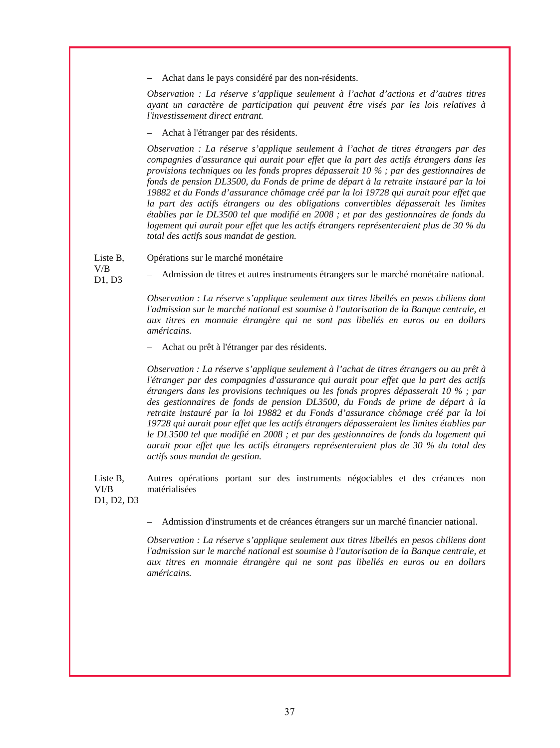– Achat dans le pays considéré par des non-résidents.

*Observation : La réserve s'applique seulement à l'achat d'actions et d'autres titres ayant un caractère de participation qui peuvent être visés par les lois relatives à l'investissement direct entrant.* 

– Achat à l'étranger par des résidents.

*Observation : La réserve s'applique seulement à l'achat de titres étrangers par des compagnies d'assurance qui aurait pour effet que la part des actifs étrangers dans les provisions techniques ou les fonds propres dépasserait 10 % ; par des gestionnaires de fonds de pension DL3500, du Fonds de prime de départ à la retraite instauré par la loi 19882 et du Fonds d'assurance chômage créé par la loi 19728 qui aurait pour effet que la part des actifs étrangers ou des obligations convertibles dépasserait les limites établies par le DL3500 tel que modifié en 2008 ; et par des gestionnaires de fonds du logement qui aurait pour effet que les actifs étrangers représenteraient plus de 30 % du total des actifs sous mandat de gestion.* 

Liste B, Opérations sur le marché monétaire

V/B D1, D3

– Admission de titres et autres instruments étrangers sur le marché monétaire national.

*Observation : La réserve s'applique seulement aux titres libellés en pesos chiliens dont l'admission sur le marché national est soumise à l'autorisation de la Banque centrale, et aux titres en monnaie étrangère qui ne sont pas libellés en euros ou en dollars américains.*

– Achat ou prêt à l'étranger par des résidents.

*Observation : La réserve s'applique seulement à l'achat de titres étrangers ou au prêt à l'étranger par des compagnies d'assurance qui aurait pour effet que la part des actifs étrangers dans les provisions techniques ou les fonds propres dépasserait 10 % ; par des gestionnaires de fonds de pension DL3500, du Fonds de prime de départ à la retraite instauré par la loi 19882 et du Fonds d'assurance chômage créé par la loi 19728 qui aurait pour effet que les actifs étrangers dépasseraient les limites établies par le DL3500 tel que modifié en 2008 ; et par des gestionnaires de fonds du logement qui aurait pour effet que les actifs étrangers représenteraient plus de 30 % du total des actifs sous mandat de gestion.* 

Liste B, VI/B Autres opérations portant sur des instruments négociables et des créances non matérialisées

D1, D2, D3

– Admission d'instruments et de créances étrangers sur un marché financier national.

*Observation : La réserve s'applique seulement aux titres libellés en pesos chiliens dont l'admission sur le marché national est soumise à l'autorisation de la Banque centrale, et aux titres en monnaie étrangère qui ne sont pas libellés en euros ou en dollars américains.*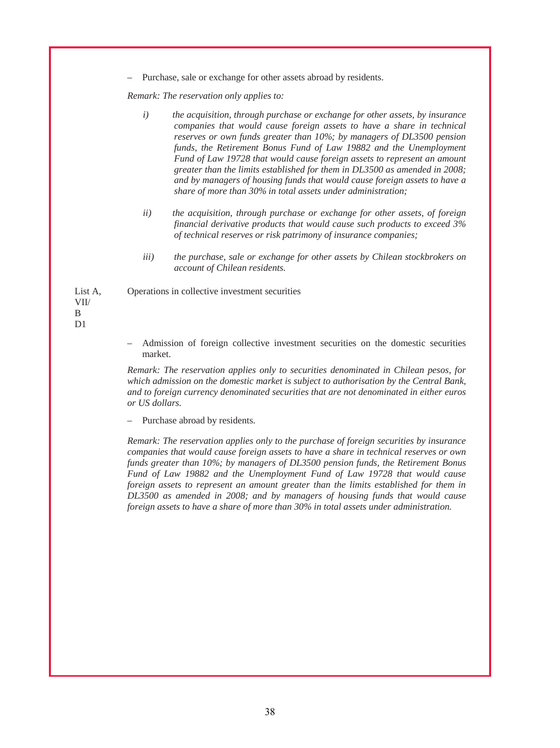– Purchase, sale or exchange for other assets abroad by residents.

*Remark: The reservation only applies to:* 

- *i) the acquisition, through purchase or exchange for other assets, by insurance companies that would cause foreign assets to have a share in technical reserves or own funds greater than 10%; by managers of DL3500 pension funds, the Retirement Bonus Fund of Law 19882 and the Unemployment Fund of Law 19728 that would cause foreign assets to represent an amount greater than the limits established for them in DL3500 as amended in 2008; and by managers of housing funds that would cause foreign assets to have a share of more than 30% in total assets under administration;*
- *ii) the acquisition, through purchase or exchange for other assets, of foreign financial derivative products that would cause such products to exceed 3% of technical reserves or risk patrimony of insurance companies;*
- *iii) the purchase, sale or exchange for other assets by Chilean stockbrokers on account of Chilean residents.*

List A, VII/ B D1 Operations in collective investment securities

– Admission of foreign collective investment securities on the domestic securities market.

*Remark: The reservation applies only to securities denominated in Chilean pesos, for which admission on the domestic market is subject to authorisation by the Central Bank, and to foreign currency denominated securities that are not denominated in either euros or US dollars.* 

Purchase abroad by residents.

*Remark: The reservation applies only to the purchase of foreign securities by insurance companies that would cause foreign assets to have a share in technical reserves or own funds greater than 10%; by managers of DL3500 pension funds, the Retirement Bonus Fund of Law 19882 and the Unemployment Fund of Law 19728 that would cause foreign assets to represent an amount greater than the limits established for them in DL3500 as amended in 2008; and by managers of housing funds that would cause foreign assets to have a share of more than 30% in total assets under administration.*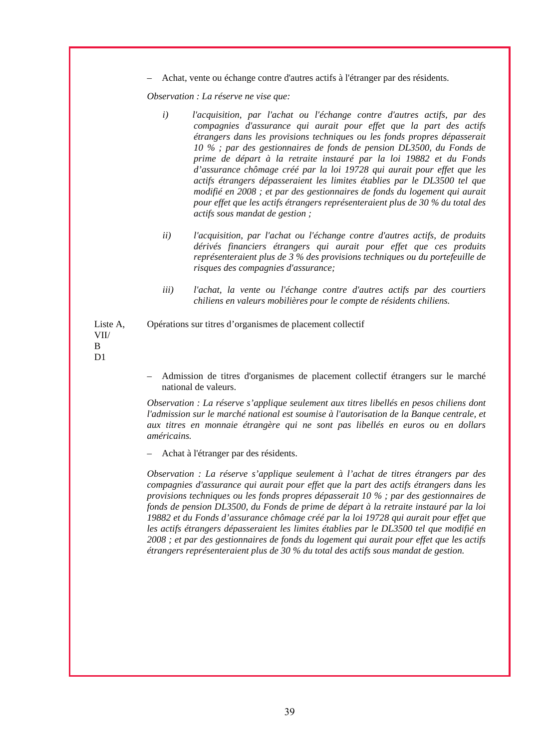– Achat, vente ou échange contre d'autres actifs à l'étranger par des résidents.

*Observation : La réserve ne vise que:* 

- *i) l'acquisition, par l'achat ou l'échange contre d'autres actifs, par des compagnies d'assurance qui aurait pour effet que la part des actifs étrangers dans les provisions techniques ou les fonds propres dépasserait 10 % ; par des gestionnaires de fonds de pension DL3500, du Fonds de prime de départ à la retraite instauré par la loi 19882 et du Fonds d'assurance chômage créé par la loi 19728 qui aurait pour effet que les actifs étrangers dépasseraient les limites établies par le DL3500 tel que modifié en 2008 ; et par des gestionnaires de fonds du logement qui aurait pour effet que les actifs étrangers représenteraient plus de 30 % du total des actifs sous mandat de gestion ;*
- *ii) l'acquisition, par l'achat ou l'échange contre d'autres actifs, de produits dérivés financiers étrangers qui aurait pour effet que ces produits représenteraient plus de 3 % des provisions techniques ou du portefeuille de risques des compagnies d'assurance;*
- *iii) l'achat, la vente ou l'échange contre d'autres actifs par des courtiers chiliens en valeurs mobilières pour le compte de résidents chiliens.*

Liste A, VII/ Opérations sur titres d'organismes de placement collectif

B D<sub>1</sub>

> – Admission de titres d'organismes de placement collectif étrangers sur le marché national de valeurs.

> *Observation : La réserve s'applique seulement aux titres libellés en pesos chiliens dont l'admission sur le marché national est soumise à l'autorisation de la Banque centrale, et aux titres en monnaie étrangère qui ne sont pas libellés en euros ou en dollars américains.*

– Achat à l'étranger par des résidents.

*Observation : La réserve s'applique seulement à l'achat de titres étrangers par des compagnies d'assurance qui aurait pour effet que la part des actifs étrangers dans les provisions techniques ou les fonds propres dépasserait 10 % ; par des gestionnaires de fonds de pension DL3500, du Fonds de prime de départ à la retraite instauré par la loi 19882 et du Fonds d'assurance chômage créé par la loi 19728 qui aurait pour effet que les actifs étrangers dépasseraient les limites établies par le DL3500 tel que modifié en 2008 ; et par des gestionnaires de fonds du logement qui aurait pour effet que les actifs étrangers représenteraient plus de 30 % du total des actifs sous mandat de gestion.*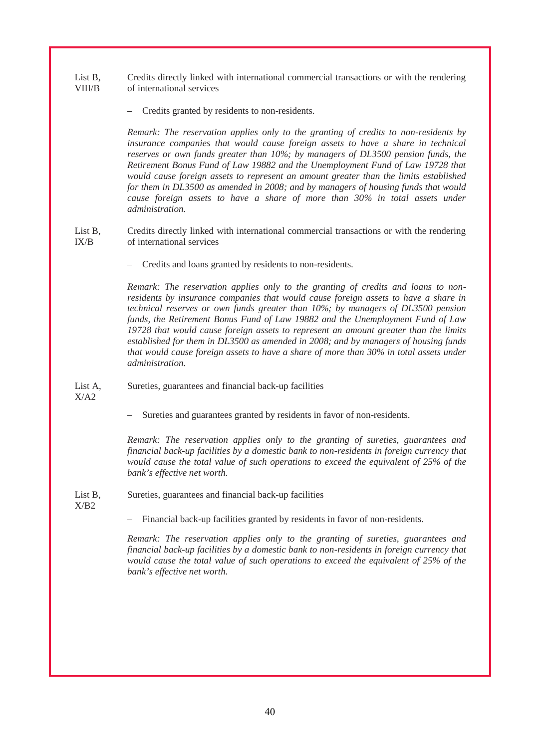List B, VIII/B Credits directly linked with international commercial transactions or with the rendering of international services

– Credits granted by residents to non-residents.

*Remark: The reservation applies only to the granting of credits to non-residents by insurance companies that would cause foreign assets to have a share in technical reserves or own funds greater than 10%; by managers of DL3500 pension funds, the Retirement Bonus Fund of Law 19882 and the Unemployment Fund of Law 19728 that would cause foreign assets to represent an amount greater than the limits established for them in DL3500 as amended in 2008; and by managers of housing funds that would cause foreign assets to have a share of more than 30% in total assets under administration.* 

List B, IX/B Credits directly linked with international commercial transactions or with the rendering of international services

– Credits and loans granted by residents to non-residents.

*Remark: The reservation applies only to the granting of credits and loans to nonresidents by insurance companies that would cause foreign assets to have a share in technical reserves or own funds greater than 10%; by managers of DL3500 pension funds, the Retirement Bonus Fund of Law 19882 and the Unemployment Fund of Law 19728 that would cause foreign assets to represent an amount greater than the limits established for them in DL3500 as amended in 2008; and by managers of housing funds that would cause foreign assets to have a share of more than 30% in total assets under administration.* 

List A,  $X/A2$ Sureties, guarantees and financial back-up facilities

– Sureties and guarantees granted by residents in favor of non-residents.

*Remark: The reservation applies only to the granting of sureties, guarantees and financial back-up facilities by a domestic bank to non-residents in foreign currency that would cause the total value of such operations to exceed the equivalent of 25% of the bank's effective net worth.*

List B, Sureties, guarantees and financial back-up facilities

 $X/B2$ 

– Financial back-up facilities granted by residents in favor of non-residents.

*Remark: The reservation applies only to the granting of sureties, guarantees and financial back-up facilities by a domestic bank to non-residents in foreign currency that would cause the total value of such operations to exceed the equivalent of 25% of the bank's effective net worth.*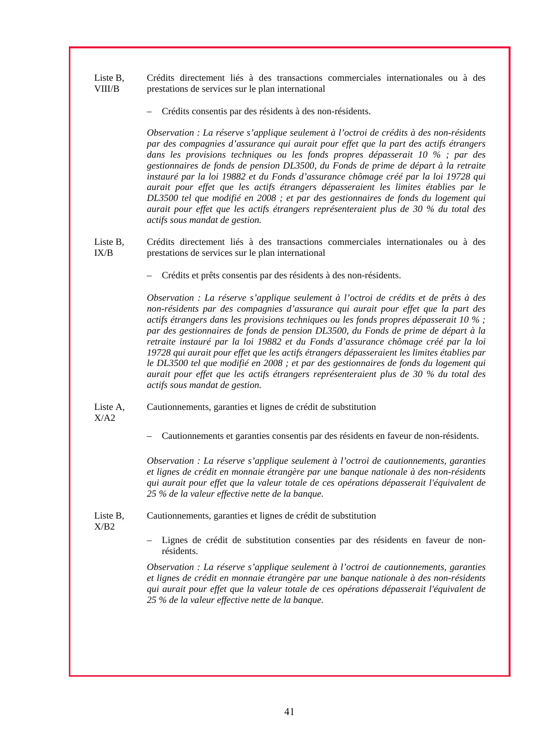Liste B, VIII/B Crédits directement liés à des transactions commerciales internationales ou à des prestations de services sur le plan international

– Crédits consentis par des résidents à des non-résidents.

*Observation : La réserve s'applique seulement à l'octroi de crédits à des non-résidents par des compagnies d'assurance qui aurait pour effet que la part des actifs étrangers dans les provisions techniques ou les fonds propres dépasserait 10 % ; par des gestionnaires de fonds de pension DL3500, du Fonds de prime de départ à la retraite instauré par la loi 19882 et du Fonds d'assurance chômage créé par la loi 19728 qui aurait pour effet que les actifs étrangers dépasseraient les limites établies par le DL3500 tel que modifié en 2008 ; et par des gestionnaires de fonds du logement qui aurait pour effet que les actifs étrangers représenteraient plus de 30 % du total des actifs sous mandat de gestion.* 

Liste B, IX/B Crédits directement liés à des transactions commerciales internationales ou à des prestations de services sur le plan international

– Crédits et prêts consentis par des résidents à des non-résidents.

*Observation : La réserve s'applique seulement à l'octroi de crédits et de prêts à des non-résidents par des compagnies d'assurance qui aurait pour effet que la part des actifs étrangers dans les provisions techniques ou les fonds propres dépasserait 10 % ; par des gestionnaires de fonds de pension DL3500, du Fonds de prime de départ à la retraite instauré par la loi 19882 et du Fonds d'assurance chômage créé par la loi 19728 qui aurait pour effet que les actifs étrangers dépasseraient les limites établies par le DL3500 tel que modifié en 2008 ; et par des gestionnaires de fonds du logement qui aurait pour effet que les actifs étrangers représenteraient plus de 30 % du total des actifs sous mandat de gestion.* 

Liste A, Cautionnements, garanties et lignes de crédit de substitution

X/A2

– Cautionnements et garanties consentis par des résidents en faveur de non-résidents.

*Observation : La réserve s'applique seulement à l'octroi de cautionnements, garanties et lignes de crédit en monnaie étrangère par une banque nationale à des non-résidents qui aurait pour effet que la valeur totale de ces opérations dépasserait l'équivalent de 25 % de la valeur effective nette de la banque.* 

Liste B, Cautionnements, garanties et lignes de crédit de substitution

X/B2

– Lignes de crédit de substitution consenties par des résidents en faveur de nonrésidents.

*Observation : La réserve s'applique seulement à l'octroi de cautionnements, garanties et lignes de crédit en monnaie étrangère par une banque nationale à des non-résidents qui aurait pour effet que la valeur totale de ces opérations dépasserait l'équivalent de 25 % de la valeur effective nette de la banque.*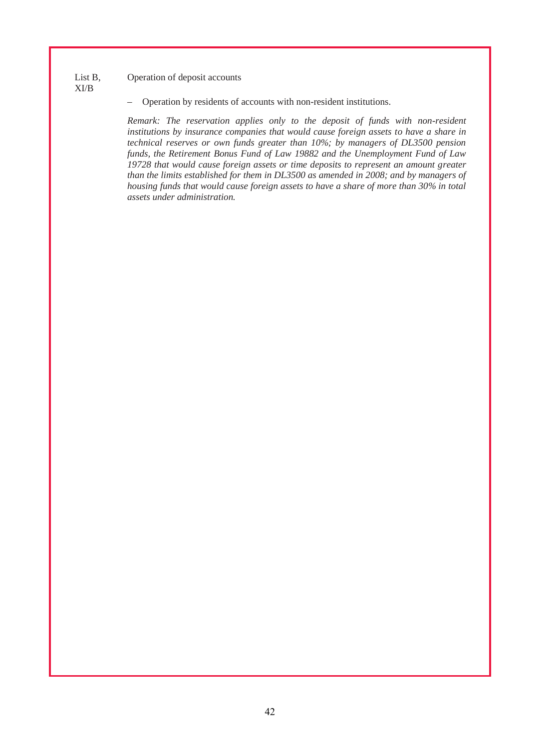#### List B, Operation of deposit accounts

XI/B

– Operation by residents of accounts with non-resident institutions.

*Remark: The reservation applies only to the deposit of funds with non-resident institutions by insurance companies that would cause foreign assets to have a share in technical reserves or own funds greater than 10%; by managers of DL3500 pension funds, the Retirement Bonus Fund of Law 19882 and the Unemployment Fund of Law 19728 that would cause foreign assets or time deposits to represent an amount greater than the limits established for them in DL3500 as amended in 2008; and by managers of housing funds that would cause foreign assets to have a share of more than 30% in total assets under administration.*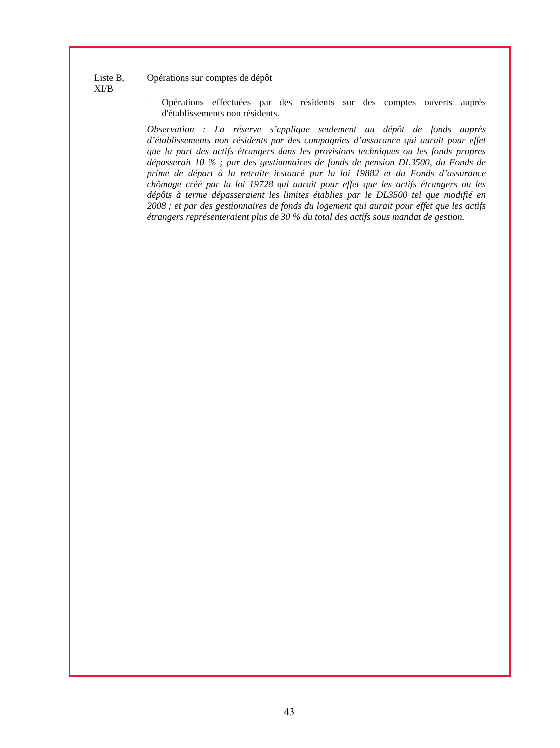# Liste B,

Opérations sur comptes de dépôt

XI/B

 – Opérations effectuées par des résidents sur des comptes ouverts auprès d'établissements non résidents.

*Observation : La réserve s'applique seulement au dépôt de fonds auprès d'établissements non résidents par des compagnies d'assurance qui aurait pour effet que la part des actifs étrangers dans les provisions techniques ou les fonds propres dépasserait 10 % ; par des gestionnaires de fonds de pension DL3500, du Fonds de prime de départ à la retraite instauré par la loi 19882 et du Fonds d'assurance chômage créé par la loi 19728 qui aurait pour effet que les actifs étrangers ou les dépôts à terme dépasseraient les limites établies par le DL3500 tel que modifié en 2008 ; et par des gestionnaires de fonds du logement qui aurait pour effet que les actifs étrangers représenteraient plus de 30 % du total des actifs sous mandat de gestion.*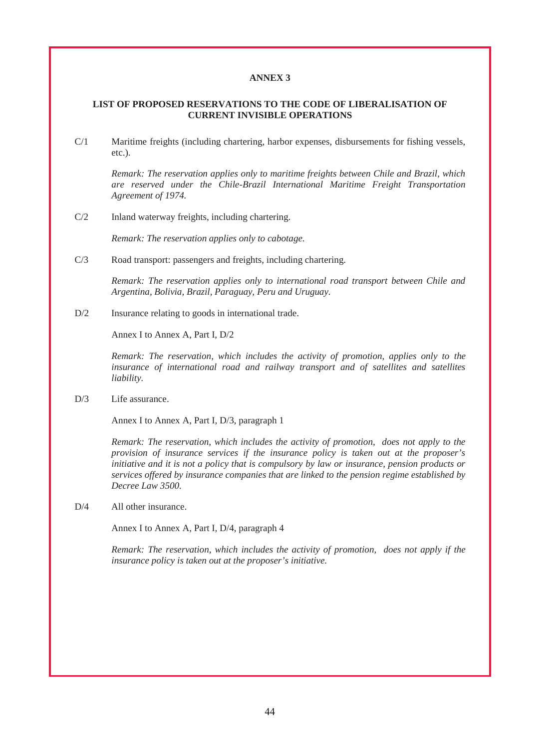#### **ANNEX 3**

#### **LIST OF PROPOSED RESERVATIONS TO THE CODE OF LIBERALISATION OF CURRENT INVISIBLE OPERATIONS**

C/1 Maritime freights (including chartering, harbor expenses, disbursements for fishing vessels, etc.).

*Remark: The reservation applies only to maritime freights between Chile and Brazil, which are reserved under the Chile-Brazil International Maritime Freight Transportation Agreement of 1974.* 

C/2 Inland waterway freights, including chartering.

*Remark: The reservation applies only to cabotage.* 

C/3 Road transport: passengers and freights, including chartering.

*Remark: The reservation applies only to international road transport between Chile and Argentina, Bolivia, Brazil, Paraguay, Peru and Uruguay.* 

D/2 Insurance relating to goods in international trade.

Annex I to Annex A, Part I, D/2

*Remark: The reservation, which includes the activity of promotion, applies only to the insurance of international road and railway transport and of satellites and satellites liability.* 

D/3 Life assurance.

Annex I to Annex A, Part I, D/3, paragraph 1

*Remark: The reservation, which includes the activity of promotion, does not apply to the provision of insurance services if the insurance policy is taken out at the proposer's initiative and it is not a policy that is compulsory by law or insurance, pension products or services offered by insurance companies that are linked to the pension regime established by Decree Law 3500.* 

D/4 All other insurance.

Annex I to Annex A, Part I, D/4, paragraph 4

*Remark: The reservation, which includes the activity of promotion, does not apply if the insurance policy is taken out at the proposer's initiative.*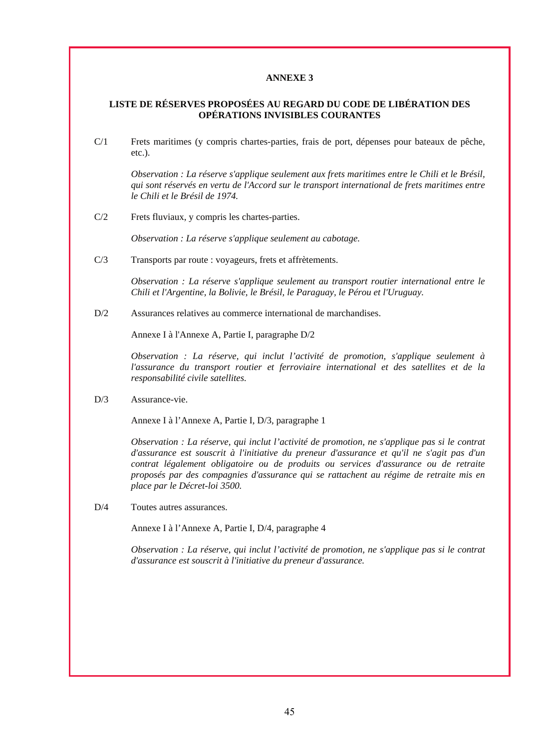### **ANNEXE 3**

# **LISTE DE RÉSERVES PROPOSÉES AU REGARD DU CODE DE LIBÉRATION DES OPÉRATIONS INVISIBLES COURANTES**

C/1 Frets maritimes (y compris chartes-parties, frais de port, dépenses pour bateaux de pêche, etc.).

*Observation : La réserve s'applique seulement aux frets maritimes entre le Chili et le Brésil, qui sont réservés en vertu de l'Accord sur le transport international de frets maritimes entre le Chili et le Brésil de 1974.* 

C/2 Frets fluviaux, y compris les chartes-parties.

*Observation : La réserve s'applique seulement au cabotage.* 

C/3 Transports par route : voyageurs, frets et affrètements.

*Observation : La réserve s'applique seulement au transport routier international entre le Chili et l'Argentine, la Bolivie, le Brésil, le Paraguay, le Pérou et l'Uruguay.* 

D/2 Assurances relatives au commerce international de marchandises.

Annexe I à l'Annexe A, Partie I, paragraphe D/2

*Observation : La réserve, qui inclut l'activité de promotion, s'applique seulement à l'assurance du transport routier et ferroviaire international et des satellites et de la responsabilité civile satellites.* 

#### D/3 Assurance-vie.

Annexe I à l'Annexe A, Partie I, D/3, paragraphe 1

*Observation : La réserve, qui inclut l'activité de promotion, ne s'applique pas si le contrat d'assurance est souscrit à l'initiative du preneur d'assurance et qu'il ne s'agit pas d'un contrat légalement obligatoire ou de produits ou services d'assurance ou de retraite proposés par des compagnies d'assurance qui se rattachent au régime de retraite mis en place par le Décret-loi 3500.* 

D/4 Toutes autres assurances

Annexe I à l'Annexe A, Partie I, D/4, paragraphe 4

*Observation : La réserve, qui inclut l'activité de promotion, ne s'applique pas si le contrat d'assurance est souscrit à l'initiative du preneur d'assurance.*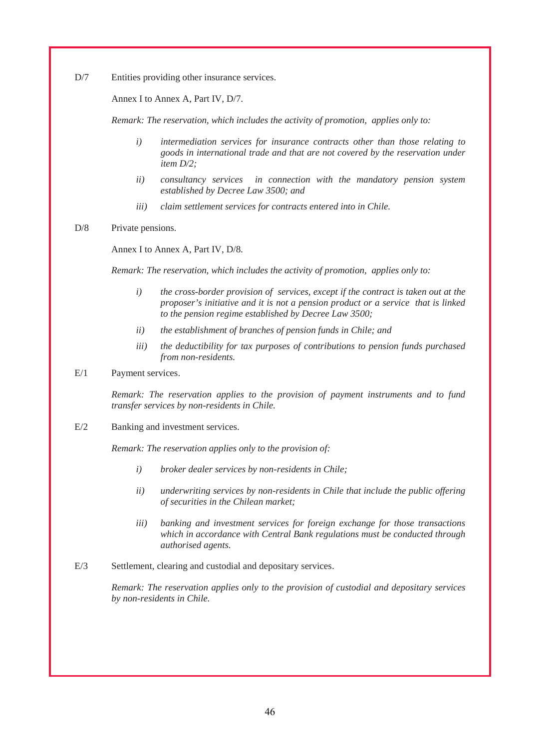#### D/7 Entities providing other insurance services.

Annex I to Annex A, Part IV, D/7.

*Remark: The reservation, which includes the activity of promotion, applies only to:* 

- *i) intermediation services for insurance contracts other than those relating to goods in international trade and that are not covered by the reservation under item D/2;*
- *ii) consultancy services in connection with the mandatory pension system established by Decree Law 3500; and*
- *iii) claim settlement services for contracts entered into in Chile.*
- D/8 Private pensions.

Annex I to Annex A, Part IV, D/8.

*Remark: The reservation, which includes the activity of promotion, applies only to:* 

- *i) the cross-border provision of services, except if the contract is taken out at the proposer's initiative and it is not a pension product or a service that is linked to the pension regime established by Decree Law 3500;*
- *ii) the establishment of branches of pension funds in Chile; and*
- *iii) the deductibility for tax purposes of contributions to pension funds purchased from non-residents.*
- E/1 Payment services.

*Remark: The reservation applies to the provision of payment instruments and to fund transfer services by non-residents in Chile.* 

E/2 Banking and investment services.

*Remark: The reservation applies only to the provision of:* 

- *i) broker dealer services by non-residents in Chile;*
- *ii) underwriting services by non-residents in Chile that include the public offering of securities in the Chilean market;*
- *iii) banking and investment services for foreign exchange for those transactions which in accordance with Central Bank regulations must be conducted through authorised agents.*
- E/3 Settlement, clearing and custodial and depositary services.

*Remark: The reservation applies only to the provision of custodial and depositary services by non-residents in Chile.*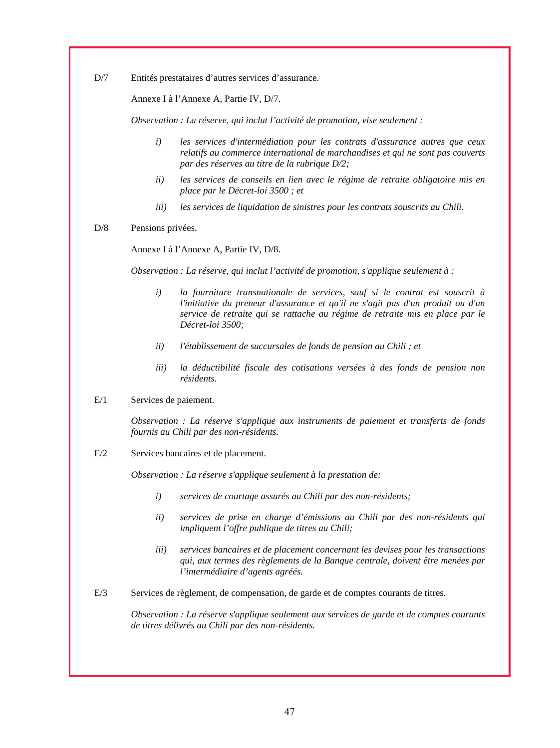D/7 Entités prestataires d'autres services d'assurance.

Annexe I à l'Annexe A, Partie IV, D/7.

*Observation : La réserve, qui inclut l'activité de promotion, vise seulement :* 

- *i) les services d'intermédiation pour les contrats d'assurance autres que ceux relatifs au commerce international de marchandises et qui ne sont pas couverts par des réserves au titre de la rubrique D/2;*
- *ii) les services de conseils en lien avec le régime de retraite obligatoire mis en place par le Décret-loi 3500 ; et*
- *iii) les services de liquidation de sinistres pour les contrats souscrits au Chili.*
- D/8 Pensions privées.

Annexe I à l'Annexe A, Partie IV, D/8.

*Observation : La réserve, qui inclut l'activité de promotion, s'applique seulement à :* 

- *i) la fourniture transnationale de services, sauf si le contrat est souscrit à l'initiative du preneur d'assurance et qu'il ne s'agit pas d'un produit ou d'un service de retraite qui se rattache au régime de retraite mis en place par le Décret-loi 3500;*
- *ii) l'établissement de succursales de fonds de pension au Chili ; et*
- *iii) la déductibilité fiscale des cotisations versées à des fonds de pension non résidents.*
- E/1 Services de paiement.

*Observation : La réserve s'applique aux instruments de paiement et transferts de fonds fournis au Chili par des non-résidents.* 

E/2 Services bancaires et de placement.

*Observation : La réserve s'applique seulement à la prestation de:* 

- *i) services de courtage assurés au Chili par des non-résidents;*
- *ii) services de prise en charge d'émissions au Chili par des non-résidents qui impliquent l'offre publique de titres au Chili;*
- *iii) services bancaires et de placement concernant les devises pour les transactions qui, aux termes des règlements de la Banque centrale, doivent être menées par l'intermédiaire d'agents agréés.*
- E/3 Services de règlement, de compensation, de garde et de comptes courants de titres.

*Observation : La réserve s'applique seulement aux services de garde et de comptes courants de titres délivrés au Chili par des non-résidents.*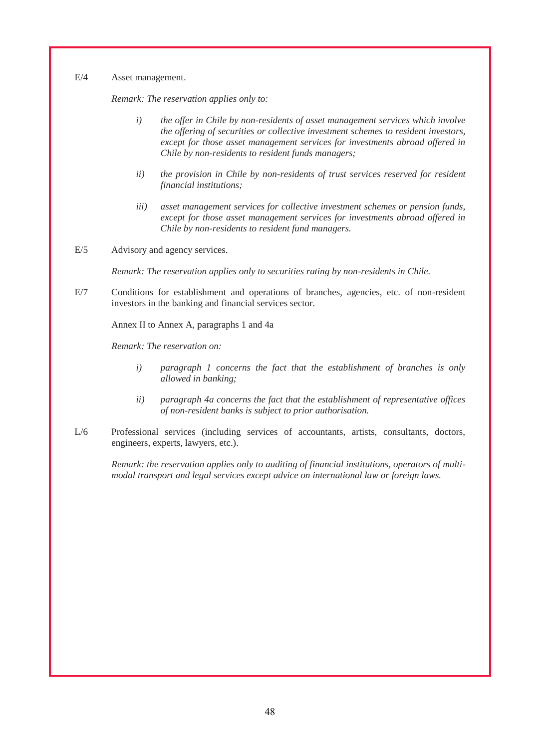#### E/4 Asset management.

*Remark: The reservation applies only to:* 

- *i) the offer in Chile by non-residents of asset management services which involve the offering of securities or collective investment schemes to resident investors, except for those asset management services for investments abroad offered in Chile by non-residents to resident funds managers;*
- *ii) the provision in Chile by non-residents of trust services reserved for resident financial institutions;*
- *iii) asset management services for collective investment schemes or pension funds, except for those asset management services for investments abroad offered in Chile by non-residents to resident fund managers.*
- E/5 Advisory and agency services.

*Remark: The reservation applies only to securities rating by non-residents in Chile.* 

E/7 Conditions for establishment and operations of branches, agencies, etc. of non-resident investors in the banking and financial services sector.

Annex II to Annex A, paragraphs 1 and 4a

*Remark: The reservation on:* 

- *i*) *paragraph 1 concerns the fact that the establishment of branches is only allowed in banking;*
- *ii) paragraph 4a concerns the fact that the establishment of representative offices of non-resident banks is subject to prior authorisation.*
- L/6 Professional services (including services of accountants, artists, consultants, doctors, engineers, experts, lawyers, etc.).

*Remark: the reservation applies only to auditing of financial institutions, operators of multimodal transport and legal services except advice on international law or foreign laws.*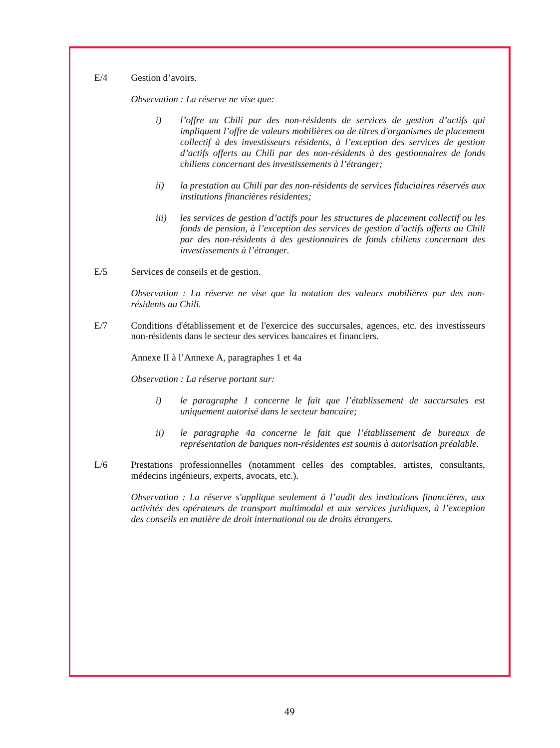E/4 Gestion d'avoirs.

*Observation : La réserve ne vise que:* 

- *i) l'offre au Chili par des non-résidents de services de gestion d'actifs qui impliquent l'offre de valeurs mobilières ou de titres d'organismes de placement collectif à des investisseurs résidents, à l'exception des services de gestion d'actifs offerts au Chili par des non-résidents à des gestionnaires de fonds chiliens concernant des investissements à l'étranger;*
- *ii) la prestation au Chili par des non-résidents de services fiduciaires réservés aux institutions financières résidentes;*
- *iii) les services de gestion d'actifs pour les structures de placement collectif ou les fonds de pension, à l'exception des services de gestion d'actifs offerts au Chili par des non-résidents à des gestionnaires de fonds chiliens concernant des investissements à l'étranger.*
- E/5 Services de conseils et de gestion.

*Observation : La réserve ne vise que la notation des valeurs mobilières par des nonrésidents au Chili.* 

E/7 Conditions d'établissement et de l'exercice des succursales, agences, etc. des investisseurs non-résidents dans le secteur des services bancaires et financiers.

Annexe II à l'Annexe A, paragraphes 1 et 4a

*Observation : La réserve portant sur:* 

- *i) le paragraphe 1 concerne le fait que l'établissement de succursales est uniquement autorisé dans le secteur bancaire;*
- *ii) le paragraphe 4a concerne le fait que l'établissement de bureaux de représentation de banques non-résidentes est soumis à autorisation préalable.*
- L/6 Prestations professionnelles (notamment celles des comptables, artistes, consultants, médecins ingénieurs, experts, avocats, etc.).

*Observation : La réserve s'applique seulement à l'audit des institutions financières, aux activités des opérateurs de transport multimodal et aux services juridiques, à l'exception des conseils en matière de droit international ou de droits étrangers.*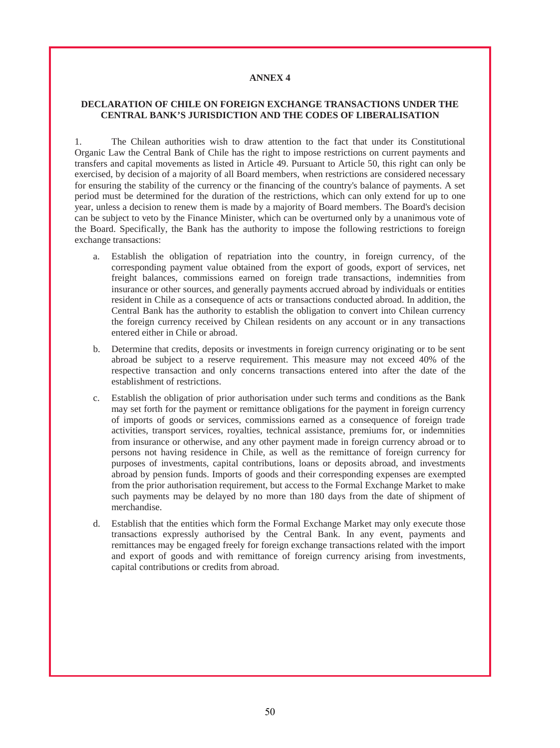#### **ANNEX 4**

#### **DECLARATION OF CHILE ON FOREIGN EXCHANGE TRANSACTIONS UNDER THE CENTRAL BANK'S JURISDICTION AND THE CODES OF LIBERALISATION**

1. The Chilean authorities wish to draw attention to the fact that under its Constitutional Organic Law the Central Bank of Chile has the right to impose restrictions on current payments and transfers and capital movements as listed in Article 49. Pursuant to Article 50, this right can only be exercised, by decision of a majority of all Board members, when restrictions are considered necessary for ensuring the stability of the currency or the financing of the country's balance of payments. A set period must be determined for the duration of the restrictions, which can only extend for up to one year, unless a decision to renew them is made by a majority of Board members. The Board's decision can be subject to veto by the Finance Minister, which can be overturned only by a unanimous vote of the Board. Specifically, the Bank has the authority to impose the following restrictions to foreign exchange transactions:

- a. Establish the obligation of repatriation into the country, in foreign currency, of the corresponding payment value obtained from the export of goods, export of services, net freight balances, commissions earned on foreign trade transactions, indemnities from insurance or other sources, and generally payments accrued abroad by individuals or entities resident in Chile as a consequence of acts or transactions conducted abroad. In addition, the Central Bank has the authority to establish the obligation to convert into Chilean currency the foreign currency received by Chilean residents on any account or in any transactions entered either in Chile or abroad.
- b. Determine that credits, deposits or investments in foreign currency originating or to be sent abroad be subject to a reserve requirement. This measure may not exceed 40% of the respective transaction and only concerns transactions entered into after the date of the establishment of restrictions.
- c. Establish the obligation of prior authorisation under such terms and conditions as the Bank may set forth for the payment or remittance obligations for the payment in foreign currency of imports of goods or services, commissions earned as a consequence of foreign trade activities, transport services, royalties, technical assistance, premiums for, or indemnities from insurance or otherwise, and any other payment made in foreign currency abroad or to persons not having residence in Chile, as well as the remittance of foreign currency for purposes of investments, capital contributions, loans or deposits abroad, and investments abroad by pension funds. Imports of goods and their corresponding expenses are exempted from the prior authorisation requirement, but access to the Formal Exchange Market to make such payments may be delayed by no more than 180 days from the date of shipment of merchandise.
- d. Establish that the entities which form the Formal Exchange Market may only execute those transactions expressly authorised by the Central Bank. In any event, payments and remittances may be engaged freely for foreign exchange transactions related with the import and export of goods and with remittance of foreign currency arising from investments, capital contributions or credits from abroad.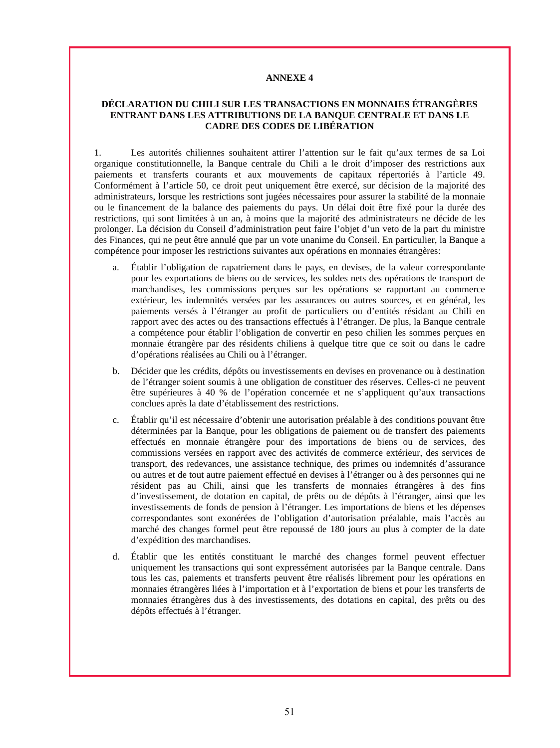#### **ANNEXE 4**

#### **DÉCLARATION DU CHILI SUR LES TRANSACTIONS EN MONNAIES ÉTRANGÈRES ENTRANT DANS LES ATTRIBUTIONS DE LA BANQUE CENTRALE ET DANS LE CADRE DES CODES DE LIBÉRATION**

1. Les autorités chiliennes souhaitent attirer l'attention sur le fait qu'aux termes de sa Loi organique constitutionnelle, la Banque centrale du Chili a le droit d'imposer des restrictions aux paiements et transferts courants et aux mouvements de capitaux répertoriés à l'article 49. Conformément à l'article 50, ce droit peut uniquement être exercé, sur décision de la majorité des administrateurs, lorsque les restrictions sont jugées nécessaires pour assurer la stabilité de la monnaie ou le financement de la balance des paiements du pays. Un délai doit être fixé pour la durée des restrictions, qui sont limitées à un an, à moins que la majorité des administrateurs ne décide de les prolonger. La décision du Conseil d'administration peut faire l'objet d'un veto de la part du ministre des Finances, qui ne peut être annulé que par un vote unanime du Conseil. En particulier, la Banque a compétence pour imposer les restrictions suivantes aux opérations en monnaies étrangères:

- a. Établir l'obligation de rapatriement dans le pays, en devises, de la valeur correspondante pour les exportations de biens ou de services, les soldes nets des opérations de transport de marchandises, les commissions perçues sur les opérations se rapportant au commerce extérieur, les indemnités versées par les assurances ou autres sources, et en général, les paiements versés à l'étranger au profit de particuliers ou d'entités résidant au Chili en rapport avec des actes ou des transactions effectués à l'étranger. De plus, la Banque centrale a compétence pour établir l'obligation de convertir en peso chilien les sommes perçues en monnaie étrangère par des résidents chiliens à quelque titre que ce soit ou dans le cadre d'opérations réalisées au Chili ou à l'étranger.
- b. Décider que les crédits, dépôts ou investissements en devises en provenance ou à destination de l'étranger soient soumis à une obligation de constituer des réserves. Celles-ci ne peuvent être supérieures à 40 % de l'opération concernée et ne s'appliquent qu'aux transactions conclues après la date d'établissement des restrictions.
- c. Établir qu'il est nécessaire d'obtenir une autorisation préalable à des conditions pouvant être déterminées par la Banque, pour les obligations de paiement ou de transfert des paiements effectués en monnaie étrangère pour des importations de biens ou de services, des commissions versées en rapport avec des activités de commerce extérieur, des services de transport, des redevances, une assistance technique, des primes ou indemnités d'assurance ou autres et de tout autre paiement effectué en devises à l'étranger ou à des personnes qui ne résident pas au Chili, ainsi que les transferts de monnaies étrangères à des fins d'investissement, de dotation en capital, de prêts ou de dépôts à l'étranger, ainsi que les investissements de fonds de pension à l'étranger. Les importations de biens et les dépenses correspondantes sont exonérées de l'obligation d'autorisation préalable, mais l'accès au marché des changes formel peut être repoussé de 180 jours au plus à compter de la date d'expédition des marchandises.
- d. Établir que les entités constituant le marché des changes formel peuvent effectuer uniquement les transactions qui sont expressément autorisées par la Banque centrale. Dans tous les cas, paiements et transferts peuvent être réalisés librement pour les opérations en monnaies étrangères liées à l'importation et à l'exportation de biens et pour les transferts de monnaies étrangères dus à des investissements, des dotations en capital, des prêts ou des dépôts effectués à l'étranger.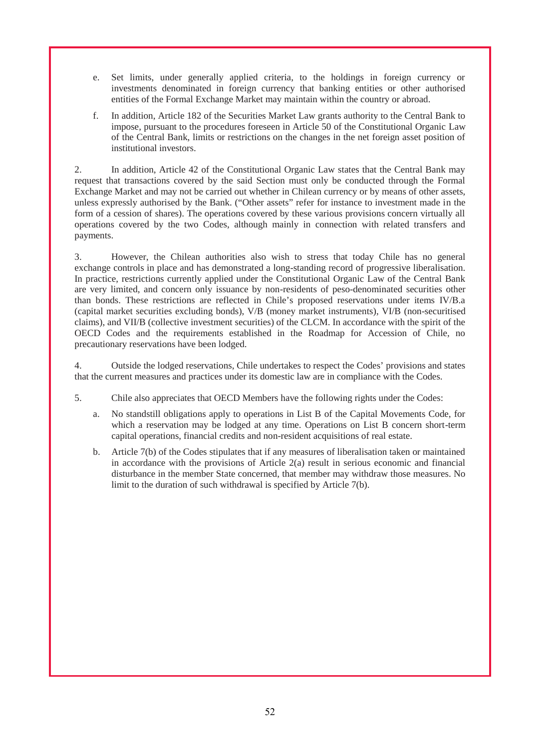- e. Set limits, under generally applied criteria, to the holdings in foreign currency or investments denominated in foreign currency that banking entities or other authorised entities of the Formal Exchange Market may maintain within the country or abroad.
- f. In addition, Article 182 of the Securities Market Law grants authority to the Central Bank to impose, pursuant to the procedures foreseen in Article 50 of the Constitutional Organic Law of the Central Bank, limits or restrictions on the changes in the net foreign asset position of institutional investors.

2. In addition, Article 42 of the Constitutional Organic Law states that the Central Bank may request that transactions covered by the said Section must only be conducted through the Formal Exchange Market and may not be carried out whether in Chilean currency or by means of other assets, unless expressly authorised by the Bank. ("Other assets" refer for instance to investment made in the form of a cession of shares). The operations covered by these various provisions concern virtually all operations covered by the two Codes, although mainly in connection with related transfers and payments.

3. However, the Chilean authorities also wish to stress that today Chile has no general exchange controls in place and has demonstrated a long-standing record of progressive liberalisation. In practice, restrictions currently applied under the Constitutional Organic Law of the Central Bank are very limited, and concern only issuance by non-residents of peso-denominated securities other than bonds. These restrictions are reflected in Chile's proposed reservations under items IV/B.a (capital market securities excluding bonds), V/B (money market instruments), VI/B (non-securitised claims), and VII/B (collective investment securities) of the CLCM. In accordance with the spirit of the OECD Codes and the requirements established in the Roadmap for Accession of Chile, no precautionary reservations have been lodged.

4. Outside the lodged reservations, Chile undertakes to respect the Codes' provisions and states that the current measures and practices under its domestic law are in compliance with the Codes.

5. Chile also appreciates that OECD Members have the following rights under the Codes:

- a. No standstill obligations apply to operations in List B of the Capital Movements Code, for which a reservation may be lodged at any time. Operations on List B concern short-term capital operations, financial credits and non-resident acquisitions of real estate.
- b. Article 7(b) of the Codes stipulates that if any measures of liberalisation taken or maintained in accordance with the provisions of Article  $2(a)$  result in serious economic and financial disturbance in the member State concerned, that member may withdraw those measures. No limit to the duration of such withdrawal is specified by Article 7(b).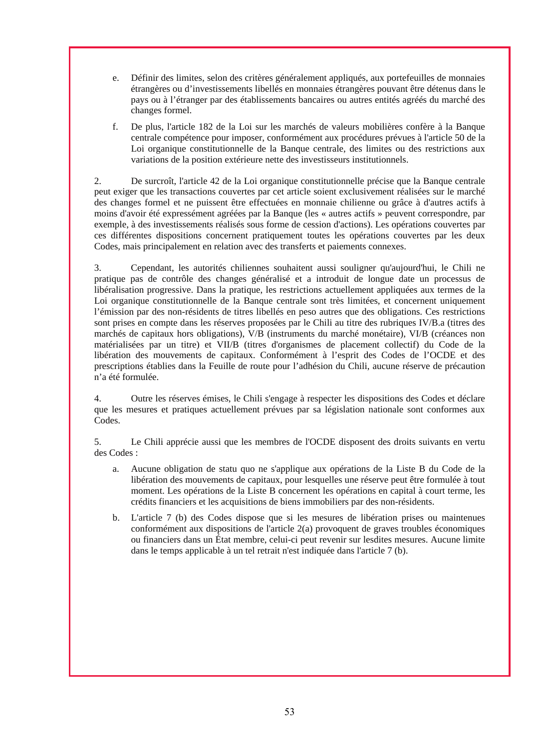- e. Définir des limites, selon des critères généralement appliqués, aux portefeuilles de monnaies étrangères ou d'investissements libellés en monnaies étrangères pouvant être détenus dans le pays ou à l'étranger par des établissements bancaires ou autres entités agréés du marché des changes formel.
- f. De plus, l'article 182 de la Loi sur les marchés de valeurs mobilières confère à la Banque centrale compétence pour imposer, conformément aux procédures prévues à l'article 50 de la Loi organique constitutionnelle de la Banque centrale, des limites ou des restrictions aux variations de la position extérieure nette des investisseurs institutionnels.

2. De surcroît, l'article 42 de la Loi organique constitutionnelle précise que la Banque centrale peut exiger que les transactions couvertes par cet article soient exclusivement réalisées sur le marché des changes formel et ne puissent être effectuées en monnaie chilienne ou grâce à d'autres actifs à moins d'avoir été expressément agréées par la Banque (les « autres actifs » peuvent correspondre, par exemple, à des investissements réalisés sous forme de cession d'actions). Les opérations couvertes par ces différentes dispositions concernent pratiquement toutes les opérations couvertes par les deux Codes, mais principalement en relation avec des transferts et paiements connexes.

3. Cependant, les autorités chiliennes souhaitent aussi souligner qu'aujourd'hui, le Chili ne pratique pas de contrôle des changes généralisé et a introduit de longue date un processus de libéralisation progressive. Dans la pratique, les restrictions actuellement appliquées aux termes de la Loi organique constitutionnelle de la Banque centrale sont très limitées, et concernent uniquement l'émission par des non-résidents de titres libellés en peso autres que des obligations. Ces restrictions sont prises en compte dans les réserves proposées par le Chili au titre des rubriques IV/B.a (titres des marchés de capitaux hors obligations), V/B (instruments du marché monétaire), VI/B (créances non matérialisées par un titre) et VII/B (titres d'organismes de placement collectif) du Code de la libération des mouvements de capitaux. Conformément à l'esprit des Codes de l'OCDE et des prescriptions établies dans la Feuille de route pour l'adhésion du Chili, aucune réserve de précaution n'a été formulée.

4. Outre les réserves émises, le Chili s'engage à respecter les dispositions des Codes et déclare que les mesures et pratiques actuellement prévues par sa législation nationale sont conformes aux Codes.

5. Le Chili apprécie aussi que les membres de l'OCDE disposent des droits suivants en vertu des Codes :

- a. Aucune obligation de statu quo ne s'applique aux opérations de la Liste B du Code de la libération des mouvements de capitaux, pour lesquelles une réserve peut être formulée à tout moment. Les opérations de la Liste B concernent les opérations en capital à court terme, les crédits financiers et les acquisitions de biens immobiliers par des non-résidents.
- b. L'article 7 (b) des Codes dispose que si les mesures de libération prises ou maintenues conformément aux dispositions de l'article 2(a) provoquent de graves troubles économiques ou financiers dans un État membre, celui-ci peut revenir sur lesdites mesures. Aucune limite dans le temps applicable à un tel retrait n'est indiquée dans l'article 7 (b).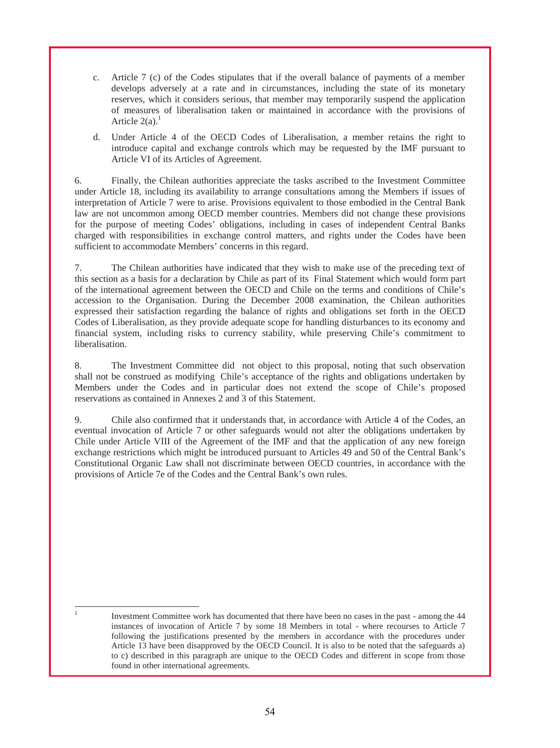- c. Article 7 (c) of the Codes stipulates that if the overall balance of payments of a member develops adversely at a rate and in circumstances, including the state of its monetary reserves, which it considers serious, that member may temporarily suspend the application of measures of liberalisation taken or maintained in accordance with the provisions of Article  $2(a)$ .<sup>1</sup>
- d. Under Article 4 of the OECD Codes of Liberalisation, a member retains the right to introduce capital and exchange controls which may be requested by the IMF pursuant to Article VI of its Articles of Agreement.

6. Finally, the Chilean authorities appreciate the tasks ascribed to the Investment Committee under Article 18, including its availability to arrange consultations among the Members if issues of interpretation of Article 7 were to arise. Provisions equivalent to those embodied in the Central Bank law are not uncommon among OECD member countries. Members did not change these provisions for the purpose of meeting Codes' obligations, including in cases of independent Central Banks charged with responsibilities in exchange control matters, and rights under the Codes have been sufficient to accommodate Members' concerns in this regard.

7. The Chilean authorities have indicated that they wish to make use of the preceding text of this section as a basis for a declaration by Chile as part of its Final Statement which would form part of the international agreement between the OECD and Chile on the terms and conditions of Chile's accession to the Organisation. During the December 2008 examination, the Chilean authorities expressed their satisfaction regarding the balance of rights and obligations set forth in the OECD Codes of Liberalisation, as they provide adequate scope for handling disturbances to its economy and financial system, including risks to currency stability, while preserving Chile's commitment to liberalisation.

8. The Investment Committee did not object to this proposal, noting that such observation shall not be construed as modifying Chile's acceptance of the rights and obligations undertaken by Members under the Codes and in particular does not extend the scope of Chile's proposed reservations as contained in Annexes 2 and 3 of this Statement.

9. Chile also confirmed that it understands that, in accordance with Article 4 of the Codes, an eventual invocation of Article 7 or other safeguards would not alter the obligations undertaken by Chile under Article VIII of the Agreement of the IMF and that the application of any new foreign exchange restrictions which might be introduced pursuant to Articles 49 and 50 of the Central Bank's Constitutional Organic Law shall not discriminate between OECD countries, in accordance with the provisions of Article 7e of the Codes and the Central Bank's own rules.

 $\overline{a}$ 1

Investment Committee work has documented that there have been no cases in the past - among the 44 instances of invocation of Article 7 by some 18 Members in total - where recourses to Article 7 following the justifications presented by the members in accordance with the procedures under Article 13 have been disapproved by the OECD Council. It is also to be noted that the safeguards a) to c) described in this paragraph are unique to the OECD Codes and different in scope from those found in other international agreements.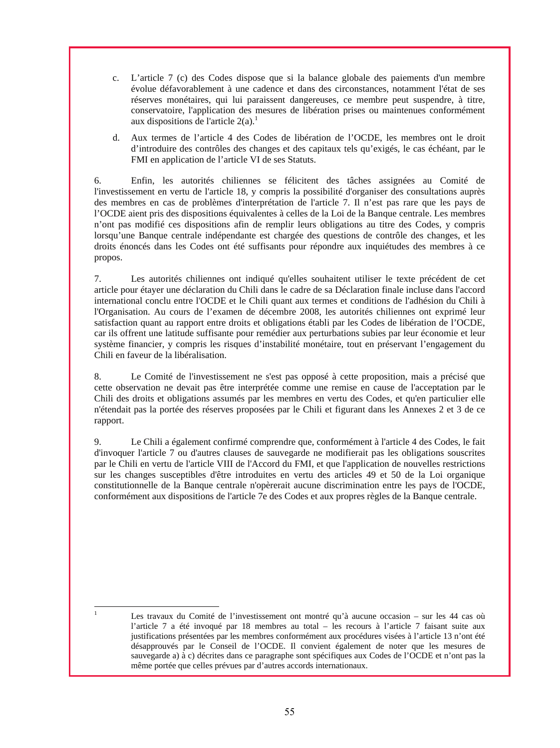- c. L'article 7 (c) des Codes dispose que si la balance globale des paiements d'un membre évolue défavorablement à une cadence et dans des circonstances, notamment l'état de ses réserves monétaires, qui lui paraissent dangereuses, ce membre peut suspendre, à titre, conservatoire, l'application des mesures de libération prises ou maintenues conformément aux dispositions de l'article  $2(a)$ .<sup>1</sup>
- d. Aux termes de l'article 4 des Codes de libération de l'OCDE, les membres ont le droit d'introduire des contrôles des changes et des capitaux tels qu'exigés, le cas échéant, par le FMI en application de l'article VI de ses Statuts.

6. Enfin, les autorités chiliennes se félicitent des tâches assignées au Comité de l'investissement en vertu de l'article 18, y compris la possibilité d'organiser des consultations auprès des membres en cas de problèmes d'interprétation de l'article 7. Il n'est pas rare que les pays de l'OCDE aient pris des dispositions équivalentes à celles de la Loi de la Banque centrale. Les membres n'ont pas modifié ces dispositions afin de remplir leurs obligations au titre des Codes, y compris lorsqu'une Banque centrale indépendante est chargée des questions de contrôle des changes, et les droits énoncés dans les Codes ont été suffisants pour répondre aux inquiétudes des membres à ce propos.

7. Les autorités chiliennes ont indiqué qu'elles souhaitent utiliser le texte précédent de cet article pour étayer une déclaration du Chili dans le cadre de sa Déclaration finale incluse dans l'accord international conclu entre l'OCDE et le Chili quant aux termes et conditions de l'adhésion du Chili à l'Organisation. Au cours de l'examen de décembre 2008, les autorités chiliennes ont exprimé leur satisfaction quant au rapport entre droits et obligations établi par les Codes de libération de l'OCDE, car ils offrent une latitude suffisante pour remédier aux perturbations subies par leur économie et leur système financier, y compris les risques d'instabilité monétaire, tout en préservant l'engagement du Chili en faveur de la libéralisation.

8. Le Comité de l'investissement ne s'est pas opposé à cette proposition, mais a précisé que cette observation ne devait pas être interprétée comme une remise en cause de l'acceptation par le Chili des droits et obligations assumés par les membres en vertu des Codes, et qu'en particulier elle n'étendait pas la portée des réserves proposées par le Chili et figurant dans les Annexes 2 et 3 de ce rapport.

9. Le Chili a également confirmé comprendre que, conformément à l'article 4 des Codes, le fait d'invoquer l'article 7 ou d'autres clauses de sauvegarde ne modifierait pas les obligations souscrites par le Chili en vertu de l'article VIII de l'Accord du FMI, et que l'application de nouvelles restrictions sur les changes susceptibles d'être introduites en vertu des articles 49 et 50 de la Loi organique constitutionnelle de la Banque centrale n'opèrerait aucune discrimination entre les pays de l'OCDE, conformément aux dispositions de l'article 7e des Codes et aux propres règles de la Banque centrale.

l 1

Les travaux du Comité de l'investissement ont montré qu'à aucune occasion – sur les 44 cas où l'article 7 a été invoqué par 18 membres au total – les recours à l'article 7 faisant suite aux justifications présentées par les membres conformément aux procédures visées à l'article 13 n'ont été désapprouvés par le Conseil de l'OCDE. Il convient également de noter que les mesures de sauvegarde a) à c) décrites dans ce paragraphe sont spécifiques aux Codes de l'OCDE et n'ont pas la même portée que celles prévues par d'autres accords internationaux.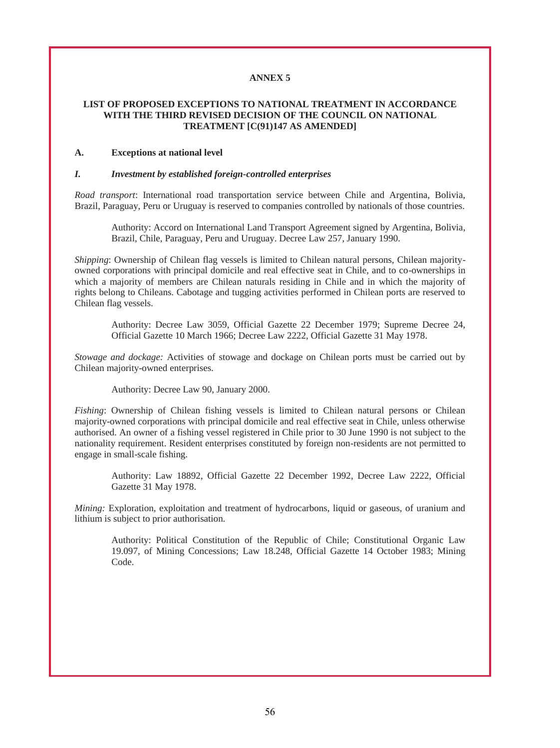# **ANNEX 5**

### **LIST OF PROPOSED EXCEPTIONS TO NATIONAL TREATMENT IN ACCORDANCE WITH THE THIRD REVISED DECISION OF THE COUNCIL ON NATIONAL TREATMENT [C(91)147 AS AMENDED]**

#### **A. Exceptions at national level**

#### *I. Investment by established foreign-controlled enterprises*

*Road transport*: International road transportation service between Chile and Argentina, Bolivia, Brazil, Paraguay, Peru or Uruguay is reserved to companies controlled by nationals of those countries.

Authority: Accord on International Land Transport Agreement signed by Argentina, Bolivia, Brazil, Chile, Paraguay, Peru and Uruguay. Decree Law 257, January 1990.

*Shipping*: Ownership of Chilean flag vessels is limited to Chilean natural persons, Chilean majorityowned corporations with principal domicile and real effective seat in Chile, and to co-ownerships in which a majority of members are Chilean naturals residing in Chile and in which the majority of rights belong to Chileans. Cabotage and tugging activities performed in Chilean ports are reserved to Chilean flag vessels.

Authority: Decree Law 3059, Official Gazette 22 December 1979; Supreme Decree 24, Official Gazette 10 March 1966; Decree Law 2222, Official Gazette 31 May 1978.

*Stowage and dockage:* Activities of stowage and dockage on Chilean ports must be carried out by Chilean majority-owned enterprises.

Authority: Decree Law 90, January 2000.

*Fishing*: Ownership of Chilean fishing vessels is limited to Chilean natural persons or Chilean majority-owned corporations with principal domicile and real effective seat in Chile, unless otherwise authorised. An owner of a fishing vessel registered in Chile prior to 30 June 1990 is not subject to the nationality requirement. Resident enterprises constituted by foreign non-residents are not permitted to engage in small-scale fishing.

Authority: Law 18892, Official Gazette 22 December 1992, Decree Law 2222, Official Gazette 31 May 1978.

*Mining:* Exploration, exploitation and treatment of hydrocarbons, liquid or gaseous, of uranium and lithium is subject to prior authorisation*.* 

Authority: Political Constitution of the Republic of Chile; Constitutional Organic Law 19.097, of Mining Concessions; Law 18.248, Official Gazette 14 October 1983; Mining Code.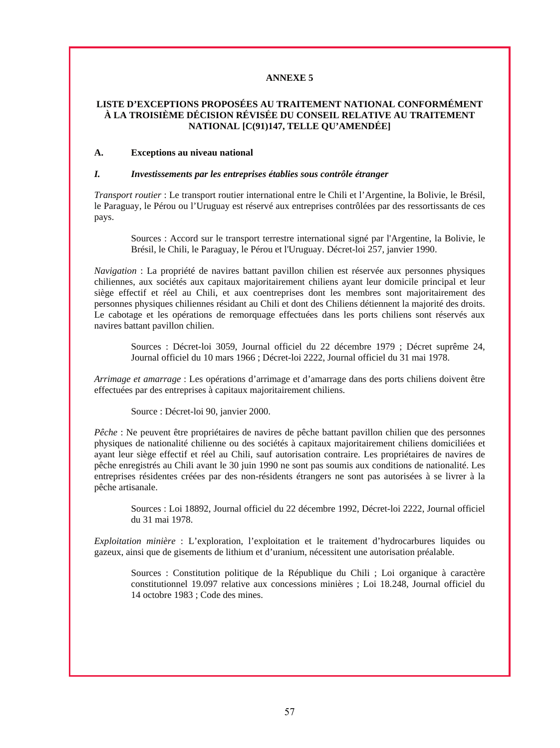### **ANNEXE 5**

### **LISTE D'EXCEPTIONS PROPOSÉES AU TRAITEMENT NATIONAL CONFORMÉMENT À LA TROISIÈME DÉCISION RÉVISÉE DU CONSEIL RELATIVE AU TRAITEMENT NATIONAL [C(91)147, TELLE QU'AMENDÉE]**

# **A. Exceptions au niveau national**

#### *I. Investissements par les entreprises établies sous contrôle étranger*

*Transport routier* : Le transport routier international entre le Chili et l'Argentine, la Bolivie, le Brésil, le Paraguay, le Pérou ou l'Uruguay est réservé aux entreprises contrôlées par des ressortissants de ces pays.

Sources : Accord sur le transport terrestre international signé par l'Argentine, la Bolivie, le Brésil, le Chili, le Paraguay, le Pérou et l'Uruguay. Décret-loi 257, janvier 1990.

*Navigation* : La propriété de navires battant pavillon chilien est réservée aux personnes physiques chiliennes, aux sociétés aux capitaux majoritairement chiliens ayant leur domicile principal et leur siège effectif et réel au Chili, et aux coentreprises dont les membres sont majoritairement des personnes physiques chiliennes résidant au Chili et dont des Chiliens détiennent la majorité des droits. Le cabotage et les opérations de remorquage effectuées dans les ports chiliens sont réservés aux navires battant pavillon chilien.

Sources : Décret-loi 3059, Journal officiel du 22 décembre 1979 ; Décret suprême 24, Journal officiel du 10 mars 1966 ; Décret-loi 2222, Journal officiel du 31 mai 1978.

*Arrimage et amarrage* : Les opérations d'arrimage et d'amarrage dans des ports chiliens doivent être effectuées par des entreprises à capitaux majoritairement chiliens.

Source : Décret-loi 90, janvier 2000.

*Pêche* : Ne peuvent être propriétaires de navires de pêche battant pavillon chilien que des personnes physiques de nationalité chilienne ou des sociétés à capitaux majoritairement chiliens domiciliées et ayant leur siège effectif et réel au Chili, sauf autorisation contraire. Les propriétaires de navires de pêche enregistrés au Chili avant le 30 juin 1990 ne sont pas soumis aux conditions de nationalité. Les entreprises résidentes créées par des non-résidents étrangers ne sont pas autorisées à se livrer à la pêche artisanale.

Sources : Loi 18892, Journal officiel du 22 décembre 1992, Décret-loi 2222, Journal officiel du 31 mai 1978.

*Exploitation minière* : L'exploration, l'exploitation et le traitement d'hydrocarbures liquides ou gazeux, ainsi que de gisements de lithium et d'uranium, nécessitent une autorisation préalable.

Sources : Constitution politique de la République du Chili ; Loi organique à caractère constitutionnel 19.097 relative aux concessions minières ; Loi 18.248, Journal officiel du 14 octobre 1983 ; Code des mines.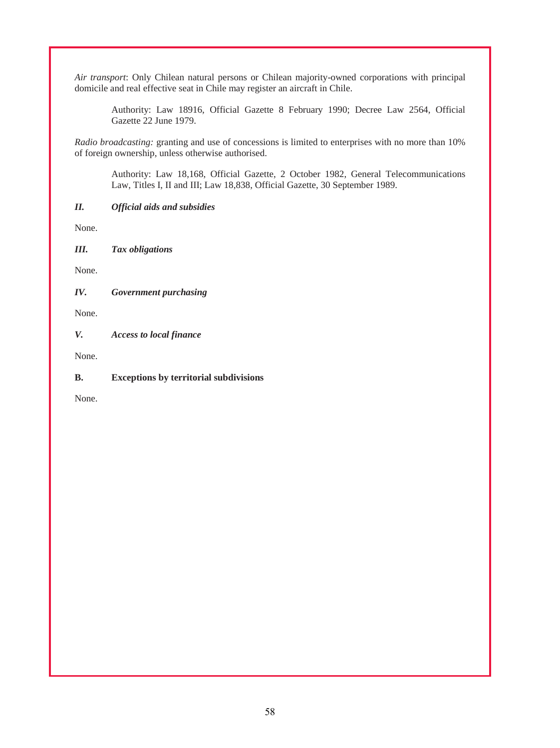*Air transport*: Only Chilean natural persons or Chilean majority-owned corporations with principal domicile and real effective seat in Chile may register an aircraft in Chile.

Authority: Law 18916, Official Gazette 8 February 1990; Decree Law 2564, Official Gazette 22 June 1979.

*Radio broadcasting:* granting and use of concessions is limited to enterprises with no more than 10% of foreign ownership, unless otherwise authorised.

Authority: Law 18,168, Official Gazette, 2 October 1982, General Telecommunications Law, Titles I, II and III; Law 18,838, Official Gazette, 30 September 1989.

*II. Official aids and subsidies* 

None.

*III. Tax obligations* 

None.

*IV. Government purchasing* 

None.

*V. Access to local finance* 

None.

#### **B. Exceptions by territorial subdivisions**

None.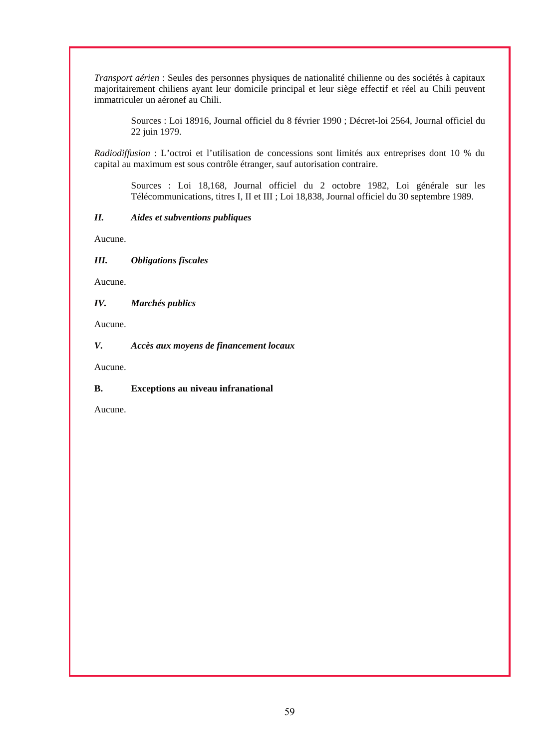*Transport aérien* : Seules des personnes physiques de nationalité chilienne ou des sociétés à capitaux majoritairement chiliens ayant leur domicile principal et leur siège effectif et réel au Chili peuvent immatriculer un aéronef au Chili.

Sources : Loi 18916, Journal officiel du 8 février 1990 ; Décret-loi 2564, Journal officiel du 22 juin 1979.

*Radiodiffusion* : L'octroi et l'utilisation de concessions sont limités aux entreprises dont 10 % du capital au maximum est sous contrôle étranger, sauf autorisation contraire.

Sources : Loi 18,168, Journal officiel du 2 octobre 1982, Loi générale sur les Télécommunications, titres I, II et III ; Loi 18,838, Journal officiel du 30 septembre 1989.

# *II. Aides et subventions publiques*

Aucune.

*III. Obligations fiscales* 

Aucune.

*IV. Marchés publics* 

Aucune.

# *V. Accès aux moyens de financement locaux*

Aucune.

# **B. Exceptions au niveau infranational**

Aucune.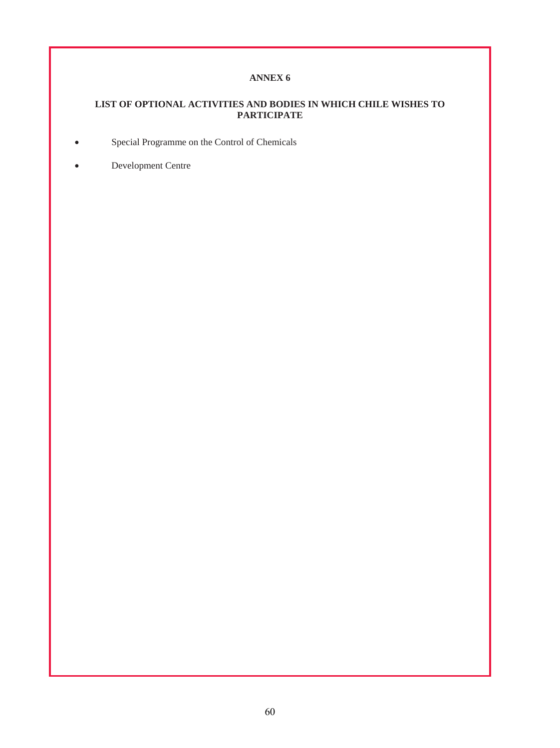# **ANNEX 6**

# **LIST OF OPTIONAL ACTIVITIES AND BODIES IN WHICH CHILE WISHES TO PARTICIPATE**

- **•** Special Programme on the Control of Chemicals
- Development Centre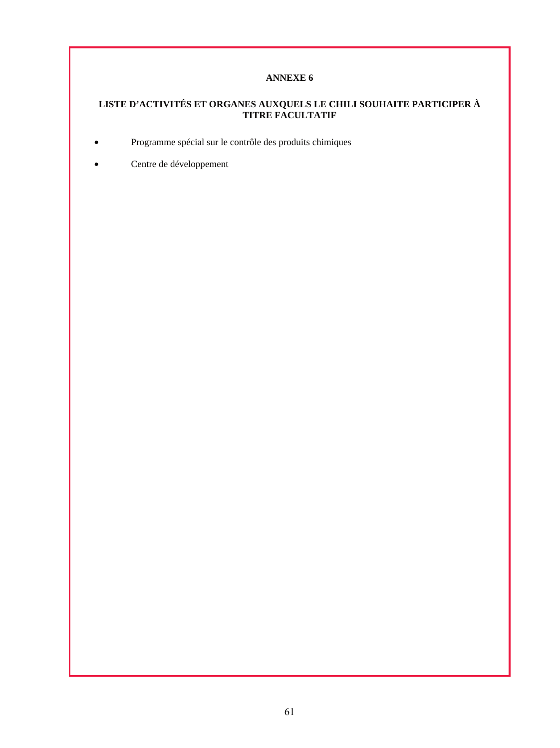# **ANNEXE 6**

# **LISTE D'ACTIVITÉS ET ORGANES AUXQUELS LE CHILI SOUHAITE PARTICIPER À TITRE FACULTATIF**

- Programme spécial sur le contrôle des produits chimiques
- Centre de développement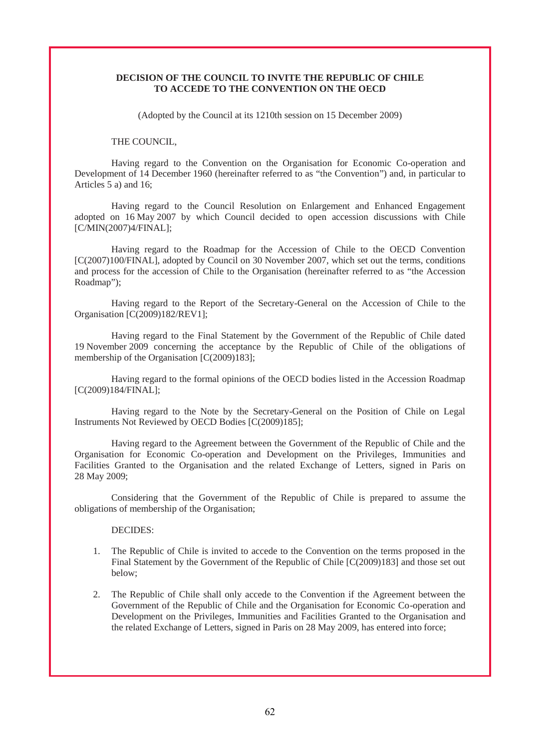#### **DECISION OF THE COUNCIL TO INVITE THE REPUBLIC OF CHILE TO ACCEDE TO THE CONVENTION ON THE OECD**

(Adopted by the Council at its 1210th session on 15 December 2009)

#### THE COUNCIL,

 Having regard to the Convention on the Organisation for Economic Co-operation and Development of 14 December 1960 (hereinafter referred to as "the Convention") and, in particular to Articles 5 a) and 16;

 Having regard to the Council Resolution on Enlargement and Enhanced Engagement adopted on 16 May 2007 by which Council decided to open accession discussions with Chile [C/MIN(2007)4/FINAL];

 Having regard to the Roadmap for the Accession of Chile to the OECD Convention [C(2007)100/FINAL], adopted by Council on 30 November 2007, which set out the terms, conditions and process for the accession of Chile to the Organisation (hereinafter referred to as "the Accession Roadmap");

 Having regard to the Report of the Secretary-General on the Accession of Chile to the Organisation [C(2009)182/REV1];

 Having regard to the Final Statement by the Government of the Republic of Chile dated 19 November 2009 concerning the acceptance by the Republic of Chile of the obligations of membership of the Organisation [C(2009)183];

 Having regard to the formal opinions of the OECD bodies listed in the Accession Roadmap [C(2009)184/FINAL];

 Having regard to the Note by the Secretary-General on the Position of Chile on Legal Instruments Not Reviewed by OECD Bodies [C(2009)185];

 Having regard to the Agreement between the Government of the Republic of Chile and the Organisation for Economic Co-operation and Development on the Privileges, Immunities and Facilities Granted to the Organisation and the related Exchange of Letters, signed in Paris on 28 May 2009;

 Considering that the Government of the Republic of Chile is prepared to assume the obligations of membership of the Organisation;

#### DECIDES:

- 1. The Republic of Chile is invited to accede to the Convention on the terms proposed in the Final Statement by the Government of the Republic of Chile [C(2009)183] and those set out below;
- 2. The Republic of Chile shall only accede to the Convention if the Agreement between the Government of the Republic of Chile and the Organisation for Economic Co-operation and Development on the Privileges, Immunities and Facilities Granted to the Organisation and the related Exchange of Letters, signed in Paris on 28 May 2009, has entered into force;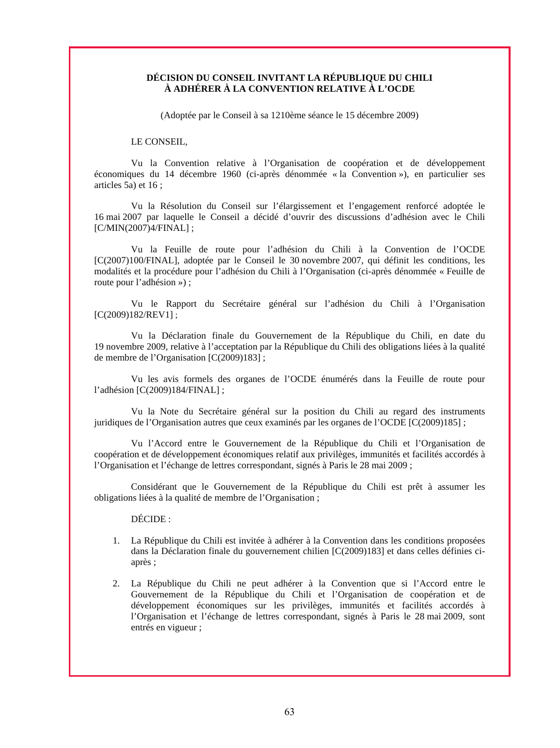### **DÉCISION DU CONSEIL INVITANT LA RÉPUBLIQUE DU CHILI À ADHÉRER À LA CONVENTION RELATIVE À L'OCDE**

(Adoptée par le Conseil à sa 1210ème séance le 15 décembre 2009)

LE CONSEIL,

 Vu la Convention relative à l'Organisation de coopération et de développement économiques du 14 décembre 1960 (ci-après dénommée « la Convention »), en particulier ses articles 5a) et 16 ;

 Vu la Résolution du Conseil sur l'élargissement et l'engagement renforcé adoptée le 16 mai 2007 par laquelle le Conseil a décidé d'ouvrir des discussions d'adhésion avec le Chili [C/MIN(2007)4/FINAL] ;

 Vu la Feuille de route pour l'adhésion du Chili à la Convention de l'OCDE [C(2007)100/FINAL], adoptée par le Conseil le 30 novembre 2007, qui définit les conditions, les modalités et la procédure pour l'adhésion du Chili à l'Organisation (ci-après dénommée « Feuille de route pour l'adhésion ») ;

 Vu le Rapport du Secrétaire général sur l'adhésion du Chili à l'Organisation [C(2009)182/REV1];

 Vu la Déclaration finale du Gouvernement de la République du Chili, en date du 19 novembre 2009, relative à l'acceptation par la République du Chili des obligations liées à la qualité de membre de l'Organisation [C(2009)183] ;

 Vu les avis formels des organes de l'OCDE énumérés dans la Feuille de route pour l'adhésion [C(2009)184/FINAL] ;

 Vu la Note du Secrétaire général sur la position du Chili au regard des instruments juridiques de l'Organisation autres que ceux examinés par les organes de l'OCDE [C(2009)185] ;

 Vu l'Accord entre le Gouvernement de la République du Chili et l'Organisation de coopération et de développement économiques relatif aux privilèges, immunités et facilités accordés à l'Organisation et l'échange de lettres correspondant, signés à Paris le 28 mai 2009 ;

 Considérant que le Gouvernement de la République du Chili est prêt à assumer les obligations liées à la qualité de membre de l'Organisation ;

DÉCIDE :

- 1. La République du Chili est invitée à adhérer à la Convention dans les conditions proposées dans la Déclaration finale du gouvernement chilien [C(2009)183] et dans celles définies ciaprès ;
- 2. La République du Chili ne peut adhérer à la Convention que si l'Accord entre le Gouvernement de la République du Chili et l'Organisation de coopération et de développement économiques sur les privilèges, immunités et facilités accordés à l'Organisation et l'échange de lettres correspondant, signés à Paris le 28 mai 2009, sont entrés en vigueur ;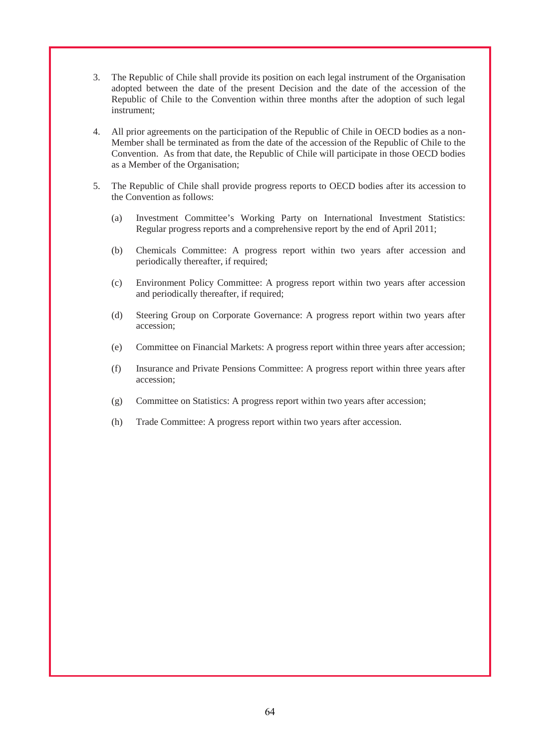- 3. The Republic of Chile shall provide its position on each legal instrument of the Organisation adopted between the date of the present Decision and the date of the accession of the Republic of Chile to the Convention within three months after the adoption of such legal instrument;
- 4. All prior agreements on the participation of the Republic of Chile in OECD bodies as a non-Member shall be terminated as from the date of the accession of the Republic of Chile to the Convention. As from that date, the Republic of Chile will participate in those OECD bodies as a Member of the Organisation;
- 5. The Republic of Chile shall provide progress reports to OECD bodies after its accession to the Convention as follows:
	- (a) Investment Committee's Working Party on International Investment Statistics: Regular progress reports and a comprehensive report by the end of April 2011;
	- (b) Chemicals Committee: A progress report within two years after accession and periodically thereafter, if required;
	- (c) Environment Policy Committee: A progress report within two years after accession and periodically thereafter, if required;
	- (d) Steering Group on Corporate Governance: A progress report within two years after accession;
	- (e) Committee on Financial Markets: A progress report within three years after accession;
	- (f) Insurance and Private Pensions Committee: A progress report within three years after accession;
	- (g) Committee on Statistics: A progress report within two years after accession;
	- (h) Trade Committee: A progress report within two years after accession.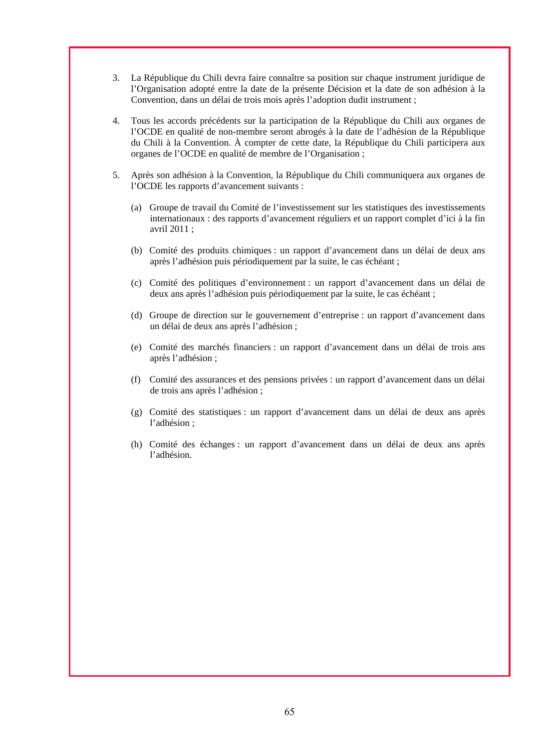- 3. La République du Chili devra faire connaître sa position sur chaque instrument juridique de l'Organisation adopté entre la date de la présente Décision et la date de son adhésion à la Convention, dans un délai de trois mois après l'adoption dudit instrument ;
- 4. Tous les accords précédents sur la participation de la République du Chili aux organes de l'OCDE en qualité de non-membre seront abrogés à la date de l'adhésion de la République du Chili à la Convention. À compter de cette date, la République du Chili participera aux organes de l'OCDE en qualité de membre de l'Organisation ;
- 5. Après son adhésion à la Convention, la République du Chili communiquera aux organes de l'OCDE les rapports d'avancement suivants :
	- (a) Groupe de travail du Comité de l'investissement sur les statistiques des investissements internationaux : des rapports d'avancement réguliers et un rapport complet d'ici à la fin avril 2011 ;
	- (b) Comité des produits chimiques : un rapport d'avancement dans un délai de deux ans après l'adhésion puis périodiquement par la suite, le cas échéant ;
	- (c) Comité des politiques d'environnement : un rapport d'avancement dans un délai de deux ans après l'adhésion puis périodiquement par la suite, le cas échéant ;
	- (d) Groupe de direction sur le gouvernement d'entreprise : un rapport d'avancement dans un délai de deux ans après l'adhésion ;
	- (e) Comité des marchés financiers : un rapport d'avancement dans un délai de trois ans après l'adhésion ;
	- (f) Comité des assurances et des pensions privées : un rapport d'avancement dans un délai de trois ans après l'adhésion ;
	- (g) Comité des statistiques : un rapport d'avancement dans un délai de deux ans après l'adhésion ;
	- (h) Comité des échanges : un rapport d'avancement dans un délai de deux ans après l'adhésion.